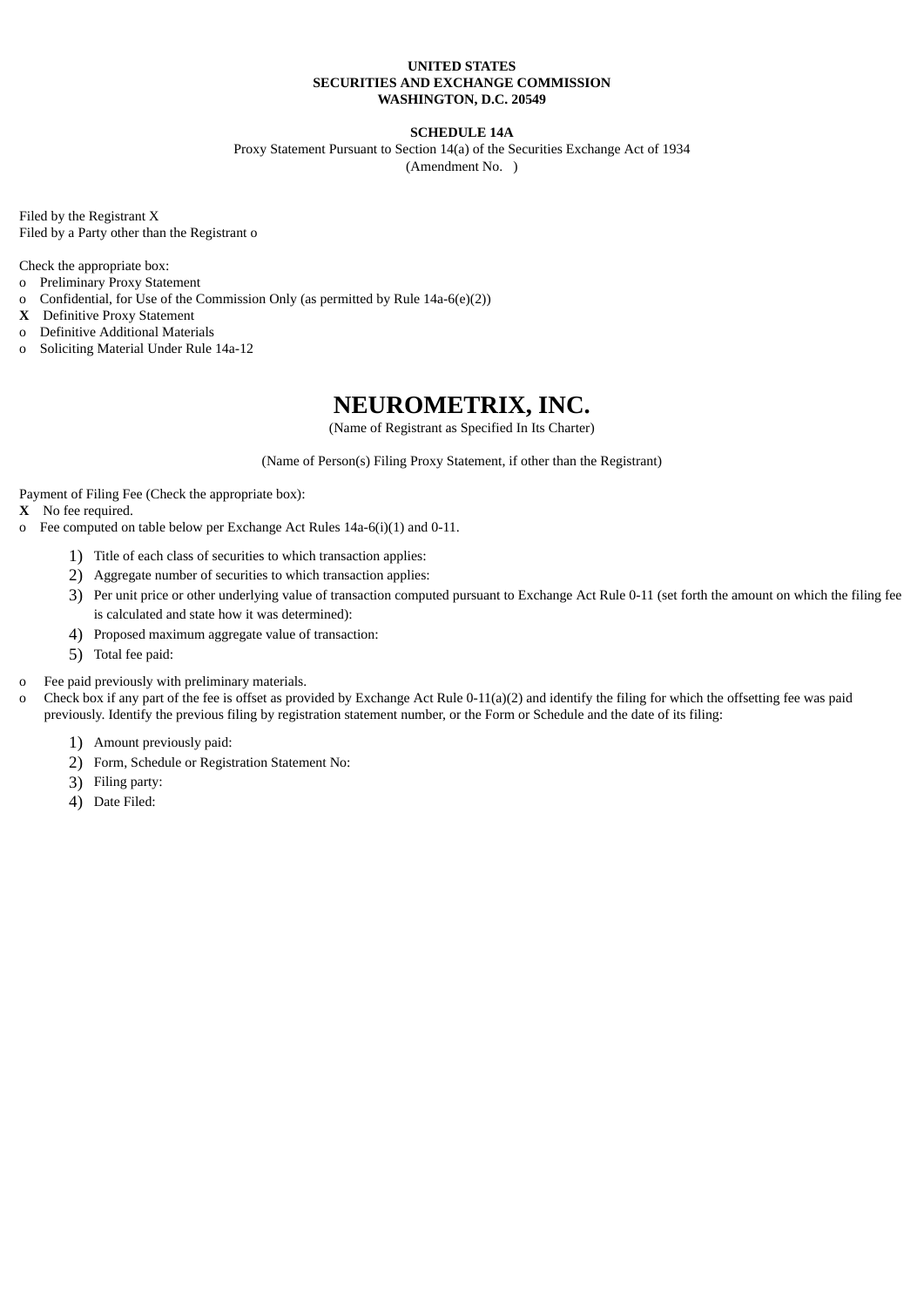# **UNITED STATES SECURITIES AND EXCHANGE COMMISSION WASHINGTON, D.C. 20549**

# **SCHEDULE 14A**

Proxy Statement Pursuant to Section 14(a) of the Securities Exchange Act of 1934 (Amendment No. )

Filed by the Registrant X Filed by a Party other than the Registrant o

Check the appropriate box:

- o Preliminary Proxy Statement
- o Confidential, for Use of the Commission Only (as permitted by Rule 14a-6(e)(2))
- **X** Definitive Proxy Statement
- o Definitive Additional Materials
- o Soliciting Material Under Rule 14a-12

# **NEUROMETRIX, INC.**

(Name of Registrant as Specified In Its Charter)

(Name of Person(s) Filing Proxy Statement, if other than the Registrant)

Payment of Filing Fee (Check the appropriate box):

**X** No fee required.

- o Fee computed on table below per Exchange Act Rules 14a-6(i)(1) and 0-11.
	- 1) Title of each class of securities to which transaction applies:
	- 2) Aggregate number of securities to which transaction applies:
	- 3) Per unit price or other underlying value of transaction computed pursuant to Exchange Act Rule 0-11 (set forth the amount on which the filing fee is calculated and state how it was determined):
	- 4) Proposed maximum aggregate value of transaction:
	- 5) Total fee paid:

# o Fee paid previously with preliminary materials.

o Check box if any part of the fee is offset as provided by Exchange Act Rule 0-11(a)(2) and identify the filing for which the offsetting fee was paid previously. Identify the previous filing by registration statement number, or the Form or Schedule and the date of its filing:

- 1) Amount previously paid:
- 2) Form, Schedule or Registration Statement No:
- 3) Filing party:
- 4) Date Filed: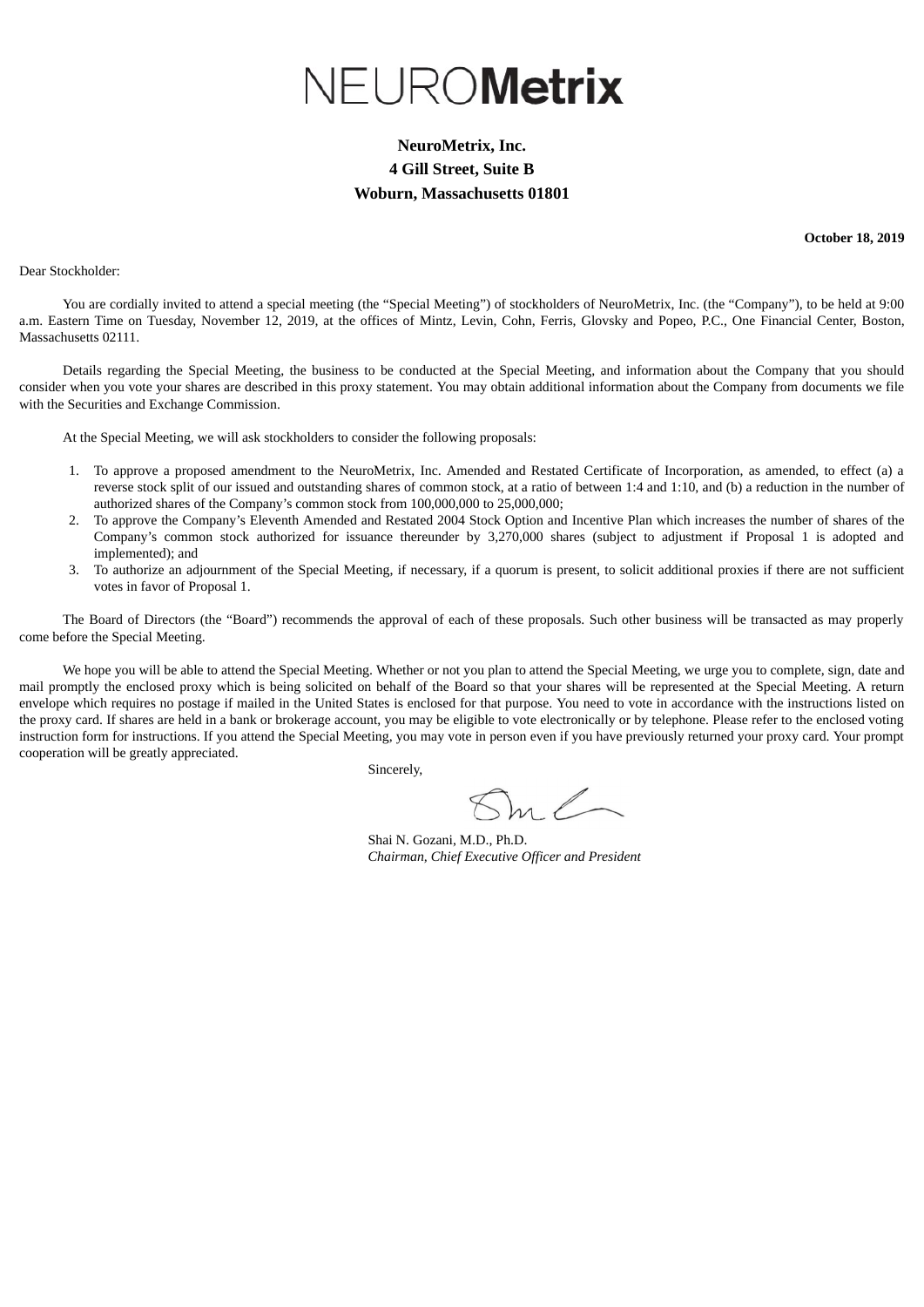# NEUROMetrix

# **NeuroMetrix, Inc. 4 Gill Street, Suite B Woburn, Massachusetts 01801**

**October 18, 2019**

Dear Stockholder:

You are cordially invited to attend a special meeting (the "Special Meeting") of stockholders of NeuroMetrix, Inc. (the "Company"), to be held at 9:00 a.m. Eastern Time on Tuesday, November 12, 2019, at the offices of Mintz, Levin, Cohn, Ferris, Glovsky and Popeo, P.C., One Financial Center, Boston, Massachusetts 02111.

Details regarding the Special Meeting, the business to be conducted at the Special Meeting, and information about the Company that you should consider when you vote your shares are described in this proxy statement. You may obtain additional information about the Company from documents we file with the Securities and Exchange Commission.

At the Special Meeting, we will ask stockholders to consider the following proposals:

- 1. To approve a proposed amendment to the NeuroMetrix, Inc. Amended and Restated Certificate of Incorporation, as amended, to effect (a) a reverse stock split of our issued and outstanding shares of common stock, at a ratio of between 1:4 and 1:10, and (b) a reduction in the number of authorized shares of the Company's common stock from 100,000,000 to 25,000,000;
- 2. To approve the Company's Eleventh Amended and Restated 2004 Stock Option and Incentive Plan which increases the number of shares of the Company's common stock authorized for issuance thereunder by 3,270,000 shares (subject to adjustment if Proposal 1 is adopted and implemented); and
- 3. To authorize an adjournment of the Special Meeting, if necessary, if a quorum is present, to solicit additional proxies if there are not sufficient votes in favor of Proposal 1.

The Board of Directors (the "Board") recommends the approval of each of these proposals. Such other business will be transacted as may properly come before the Special Meeting.

We hope you will be able to attend the Special Meeting. Whether or not you plan to attend the Special Meeting, we urge you to complete, sign, date and mail promptly the enclosed proxy which is being solicited on behalf of the Board so that your shares will be represented at the Special Meeting. A return envelope which requires no postage if mailed in the United States is enclosed for that purpose. You need to vote in accordance with the instructions listed on the proxy card. If shares are held in a bank or brokerage account, you may be eligible to vote electronically or by telephone. Please refer to the enclosed voting instruction form for instructions. If you attend the Special Meeting, you may vote in person even if you have previously returned your proxy card. Your prompt cooperation will be greatly appreciated.

Sincerely,

Shai N. Gozani, M.D., Ph.D. *Chairman, Chief Executive Officer and President*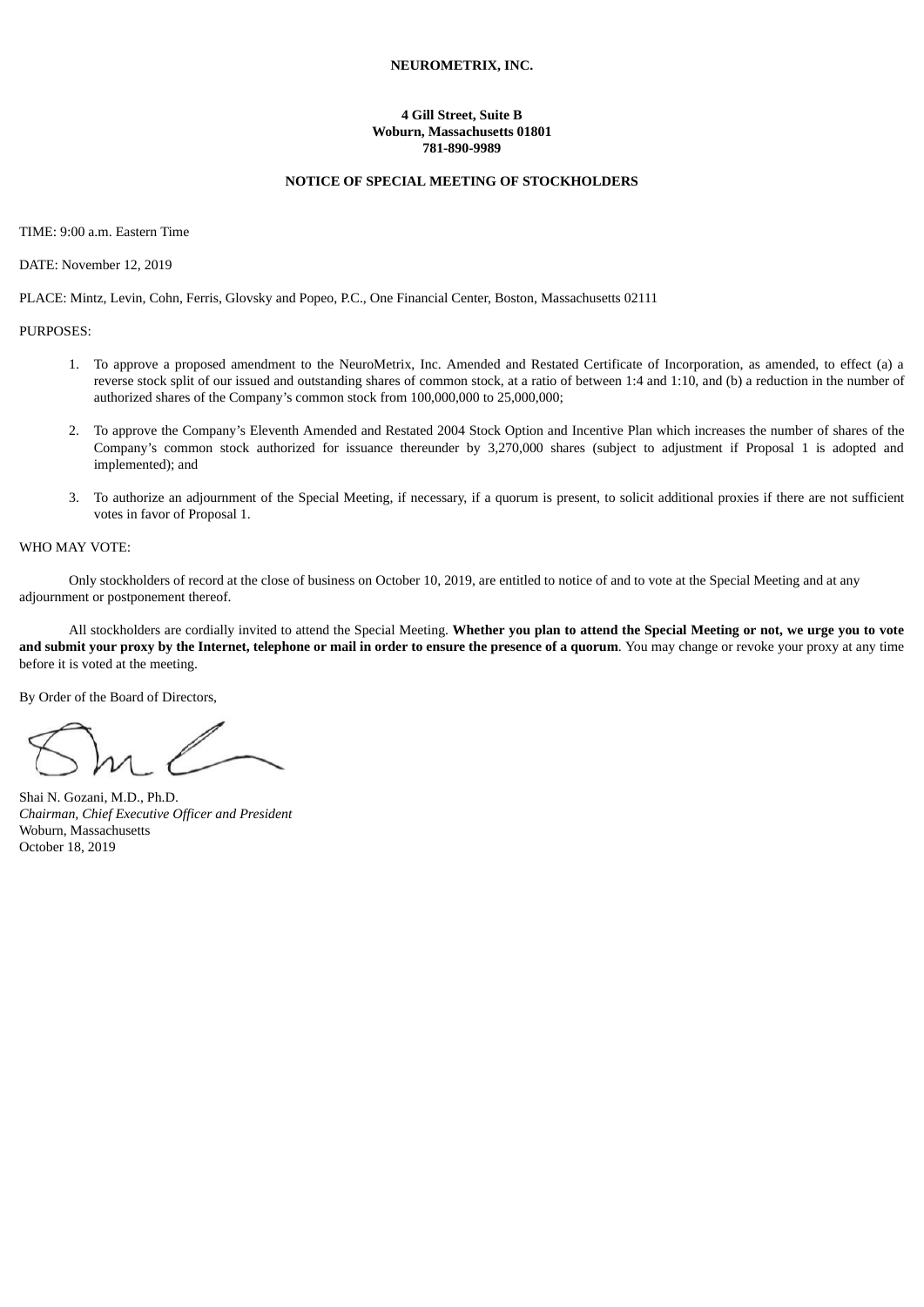# **NEUROMETRIX, INC.**

## **4 Gill Street, Suite B Woburn, Massachusetts 01801 781-890-9989**

# **NOTICE OF SPECIAL MEETING OF STOCKHOLDERS**

TIME: 9:00 a.m. Eastern Time

DATE: November 12, 2019

PLACE: Mintz, Levin, Cohn, Ferris, Glovsky and Popeo, P.C., One Financial Center, Boston, Massachusetts 02111

PURPOSES:

- 1. To approve a proposed amendment to the NeuroMetrix, Inc. Amended and Restated Certificate of Incorporation, as amended, to effect (a) a reverse stock split of our issued and outstanding shares of common stock, at a ratio of between 1:4 and 1:10, and (b) a reduction in the number of authorized shares of the Company's common stock from 100,000,000 to 25,000,000;
- 2. To approve the Company's Eleventh Amended and Restated 2004 Stock Option and Incentive Plan which increases the number of shares of the Company's common stock authorized for issuance thereunder by 3,270,000 shares (subject to adjustment if Proposal 1 is adopted and implemented); and
- 3. To authorize an adjournment of the Special Meeting, if necessary, if a quorum is present, to solicit additional proxies if there are not sufficient votes in favor of Proposal 1.

#### WHO MAY VOTE:

Only stockholders of record at the close of business on October 10, 2019, are entitled to notice of and to vote at the Special Meeting and at any adjournment or postponement thereof.

All stockholders are cordially invited to attend the Special Meeting. Whether you plan to attend the Special Meeting or not, we urge you to vote and submit your proxy by the Internet, telephone or mail in order to ensure the presence of a quorum. You may change or revoke your proxy at any time before it is voted at the meeting.

By Order of the Board of Directors,

Shai N. Gozani, M.D., Ph.D. *Chairman, Chief Executive Officer and President* Woburn, Massachusetts October 18, 2019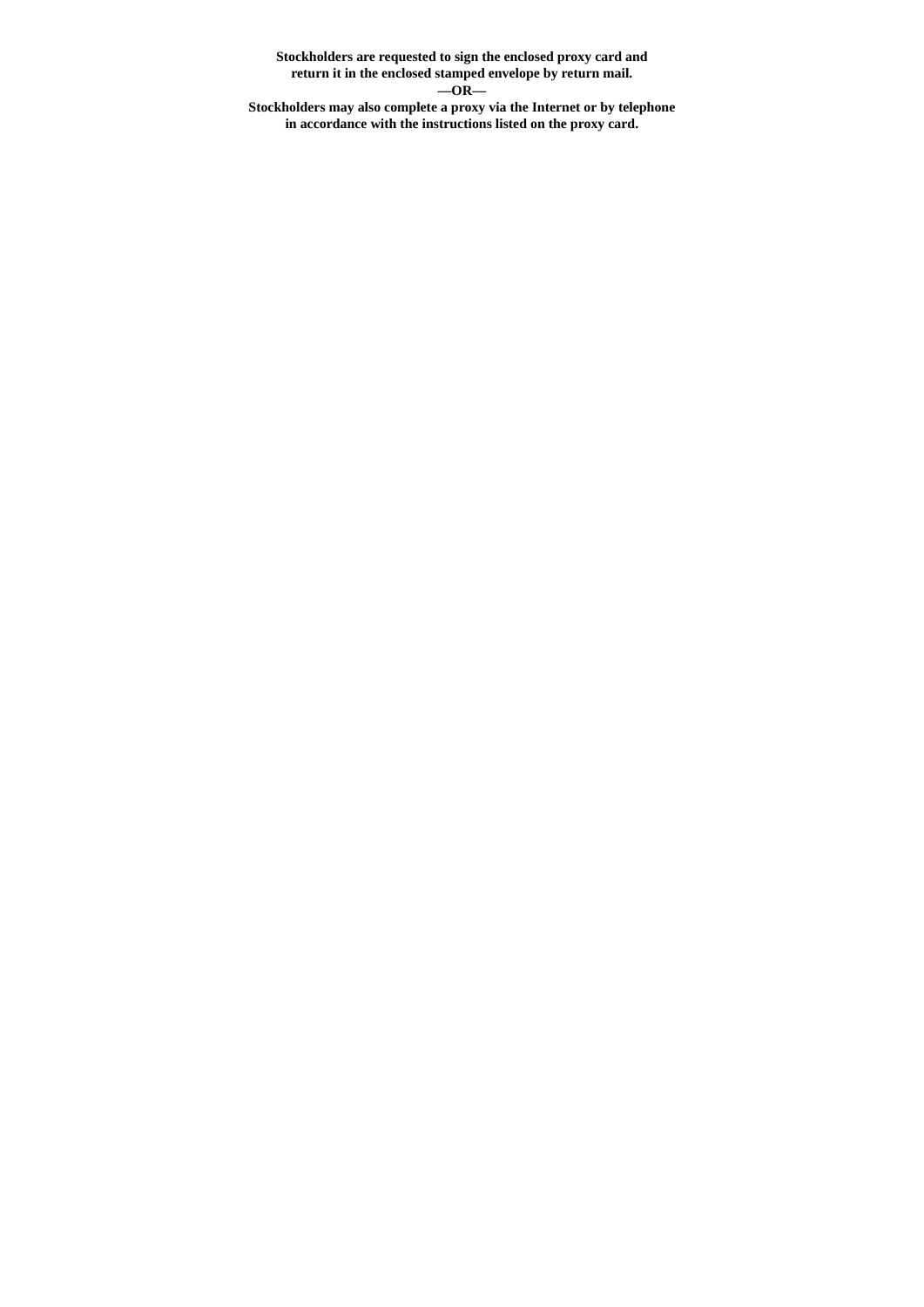**Stockholders are requested to sign the enclosed proxy card and return it in the enclosed stamped envelope by return mail. —OR— Stockholders may also complete a proxy via the Internet or by telephone**

**in accordance with the instructions listed on the proxy card.**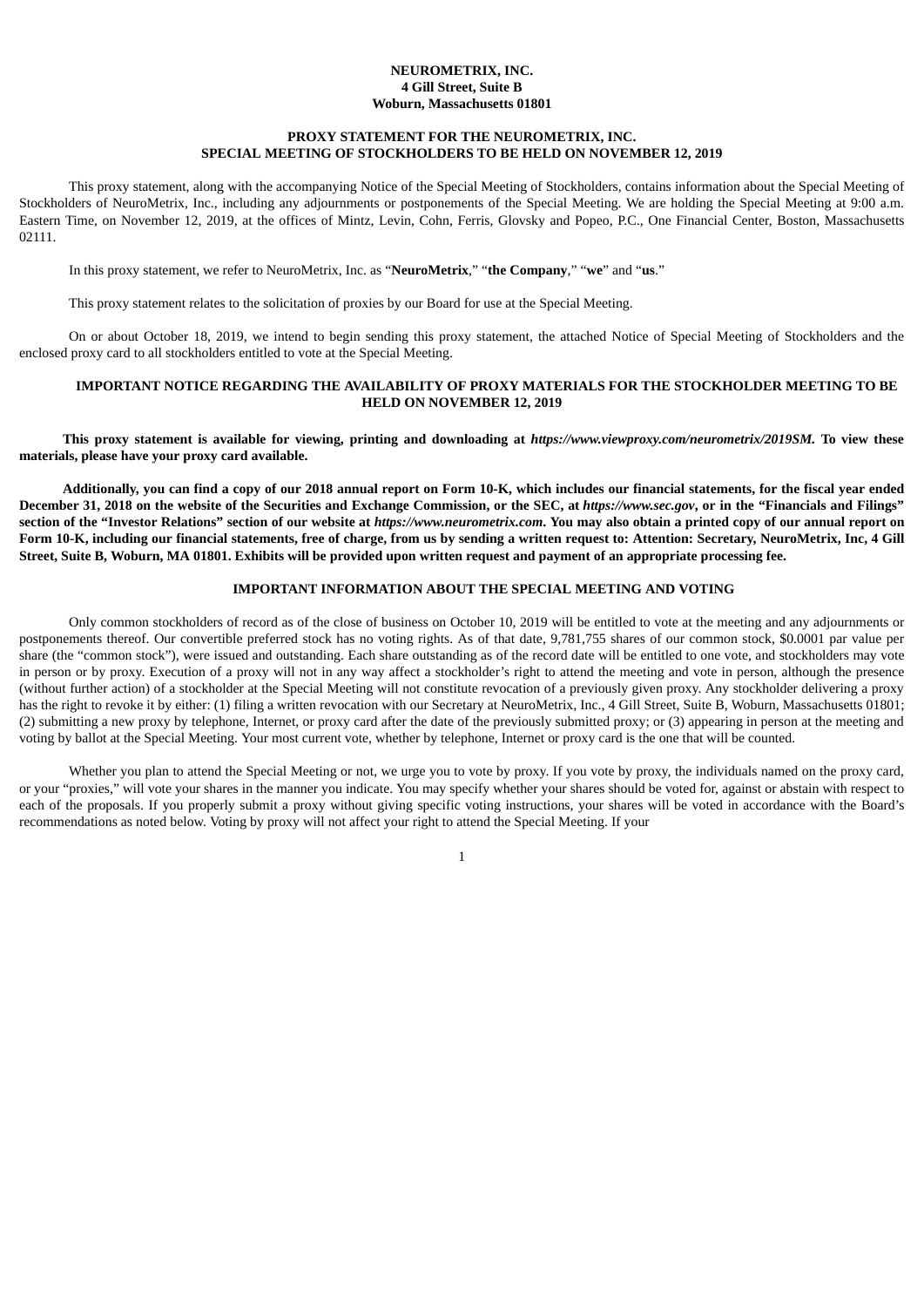# **NEUROMETRIX, INC. 4 Gill Street, Suite B Woburn, Massachusetts 01801**

# **PROXY STATEMENT FOR THE NEUROMETRIX, INC. SPECIAL MEETING OF STOCKHOLDERS TO BE HELD ON NOVEMBER 12, 2019**

This proxy statement, along with the accompanying Notice of the Special Meeting of Stockholders, contains information about the Special Meeting of Stockholders of NeuroMetrix, Inc., including any adjournments or postponements of the Special Meeting. We are holding the Special Meeting at 9:00 a.m. Eastern Time, on November 12, 2019, at the offices of Mintz, Levin, Cohn, Ferris, Glovsky and Popeo, P.C., One Financial Center, Boston, Massachusetts 02111.

In this proxy statement, we refer to NeuroMetrix, Inc. as "**NeuroMetrix**," "**the Company**," "**we**" and "**us**."

This proxy statement relates to the solicitation of proxies by our Board for use at the Special Meeting.

On or about October 18, 2019, we intend to begin sending this proxy statement, the attached Notice of Special Meeting of Stockholders and the enclosed proxy card to all stockholders entitled to vote at the Special Meeting.

# **IMPORTANT NOTICE REGARDING THE AVAILABILITY OF PROXY MATERIALS FOR THE STOCKHOLDER MEETING TO BE HELD ON NOVEMBER 12, 2019**

This proxy statement is available for viewing, printing and downloading at https://www.viewproxy.com/neurometrix/2019SM. To view these **materials, please have your proxy card available.**

Additionally, you can find a copy of our 2018 annual report on Form 10-K, which includes our financial statements, for the fiscal year ended December 31, 2018 on the website of the Securities and Exchange Commission, or the SEC, at https://www.sec.gov. or in the "Financials and Filings" section of the "Investor Relations" section of our website at https://www.neurometrix.com. You may also obtain a printed copy of our annual report on Form 10-K, including our financial statements, free of charge, from us by sending a written request to: Attention: Secretary, NeuroMetrix, Inc, 4 Gill Street. Suite B. Woburn. MA 01801. Exhibits will be provided upon written request and payment of an appropriate processing fee.

# **IMPORTANT INFORMATION ABOUT THE SPECIAL MEETING AND VOTING**

Only common stockholders of record as of the close of business on October 10, 2019 will be entitled to vote at the meeting and any adjournments or postponements thereof. Our convertible preferred stock has no voting rights. As of that date, 9,781,755 shares of our common stock, \$0.0001 par value per share (the "common stock"), were issued and outstanding. Each share outstanding as of the record date will be entitled to one vote, and stockholders may vote in person or by proxy. Execution of a proxy will not in any way affect a stockholder's right to attend the meeting and vote in person, although the presence (without further action) of a stockholder at the Special Meeting will not constitute revocation of a previously given proxy. Any stockholder delivering a proxy has the right to revoke it by either: (1) filing a written revocation with our Secretary at NeuroMetrix, Inc., 4 Gill Street, Suite B, Woburn, Massachusetts 01801; (2) submitting a new proxy by telephone, Internet, or proxy card after the date of the previously submitted proxy; or (3) appearing in person at the meeting and voting by ballot at the Special Meeting. Your most current vote, whether by telephone, Internet or proxy card is the one that will be counted.

Whether you plan to attend the Special Meeting or not, we urge you to vote by proxy. If you vote by proxy, the individuals named on the proxy card, or your "proxies," will vote your shares in the manner you indicate. You may specify whether your shares should be voted for, against or abstain with respect to each of the proposals. If you properly submit a proxy without giving specific voting instructions, your shares will be voted in accordance with the Board's recommendations as noted below. Voting by proxy will not affect your right to attend the Special Meeting. If your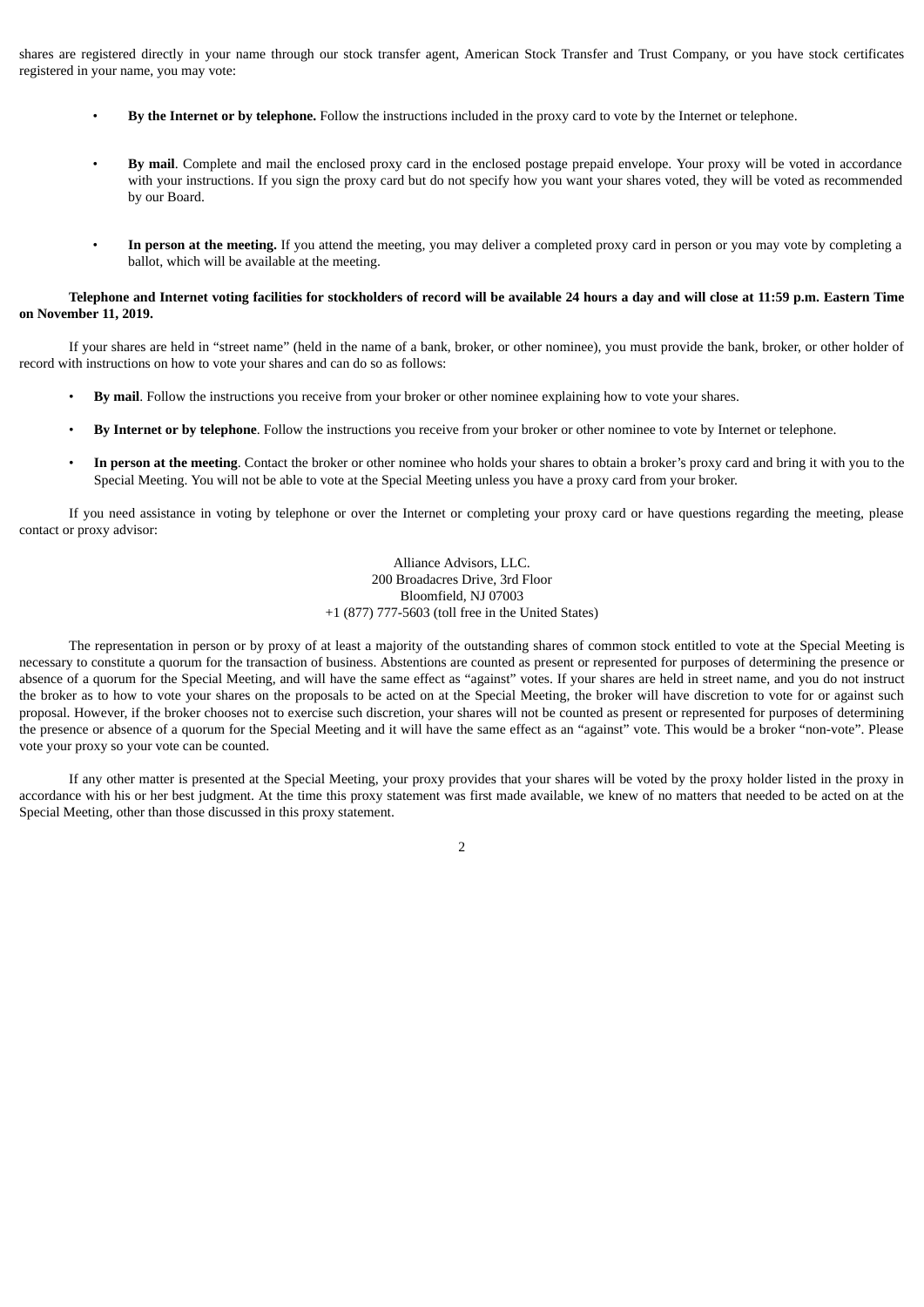shares are registered directly in your name through our stock transfer agent, American Stock Transfer and Trust Company, or you have stock certificates registered in your name, you may vote:

- **By the Internet or by telephone.** Follow the instructions included in the proxy card to vote by the Internet or telephone.
- **By mail**. Complete and mail the enclosed proxy card in the enclosed postage prepaid envelope. Your proxy will be voted in accordance with your instructions. If you sign the proxy card but do not specify how you want your shares voted, they will be voted as recommended by our Board.
- **In person at the meeting.** If you attend the meeting, you may deliver a completed proxy card in person or you may vote by completing a ballot, which will be available at the meeting.

# Telephone and Internet voting facilities for stockholders of record will be available 24 hours a day and will close at 11:59 p.m. Eastern Time **on November 11, 2019.**

If your shares are held in "street name" (held in the name of a bank, broker, or other nominee), you must provide the bank, broker, or other holder of record with instructions on how to vote your shares and can do so as follows:

- **By mail**. Follow the instructions you receive from your broker or other nominee explaining how to vote your shares.
- **By Internet or by telephone**. Follow the instructions you receive from your broker or other nominee to vote by Internet or telephone.
- **In person at the meeting**. Contact the broker or other nominee who holds your shares to obtain a broker's proxy card and bring it with you to the Special Meeting. You will not be able to vote at the Special Meeting unless you have a proxy card from your broker.

If you need assistance in voting by telephone or over the Internet or completing your proxy card or have questions regarding the meeting, please contact or proxy advisor:

> Alliance Advisors, LLC. 200 Broadacres Drive, 3rd Floor Bloomfield, NJ 07003 +1 (877) 777-5603 (toll free in the United States)

The representation in person or by proxy of at least a majority of the outstanding shares of common stock entitled to vote at the Special Meeting is necessary to constitute a quorum for the transaction of business. Abstentions are counted as present or represented for purposes of determining the presence or absence of a quorum for the Special Meeting, and will have the same effect as "against" votes. If your shares are held in street name, and you do not instruct the broker as to how to vote your shares on the proposals to be acted on at the Special Meeting, the broker will have discretion to vote for or against such proposal. However, if the broker chooses not to exercise such discretion, your shares will not be counted as present or represented for purposes of determining the presence or absence of a quorum for the Special Meeting and it will have the same effect as an "against" vote. This would be a broker "non-vote". Please vote your proxy so your vote can be counted.

If any other matter is presented at the Special Meeting, your proxy provides that your shares will be voted by the proxy holder listed in the proxy in accordance with his or her best judgment. At the time this proxy statement was first made available, we knew of no matters that needed to be acted on at the Special Meeting, other than those discussed in this proxy statement.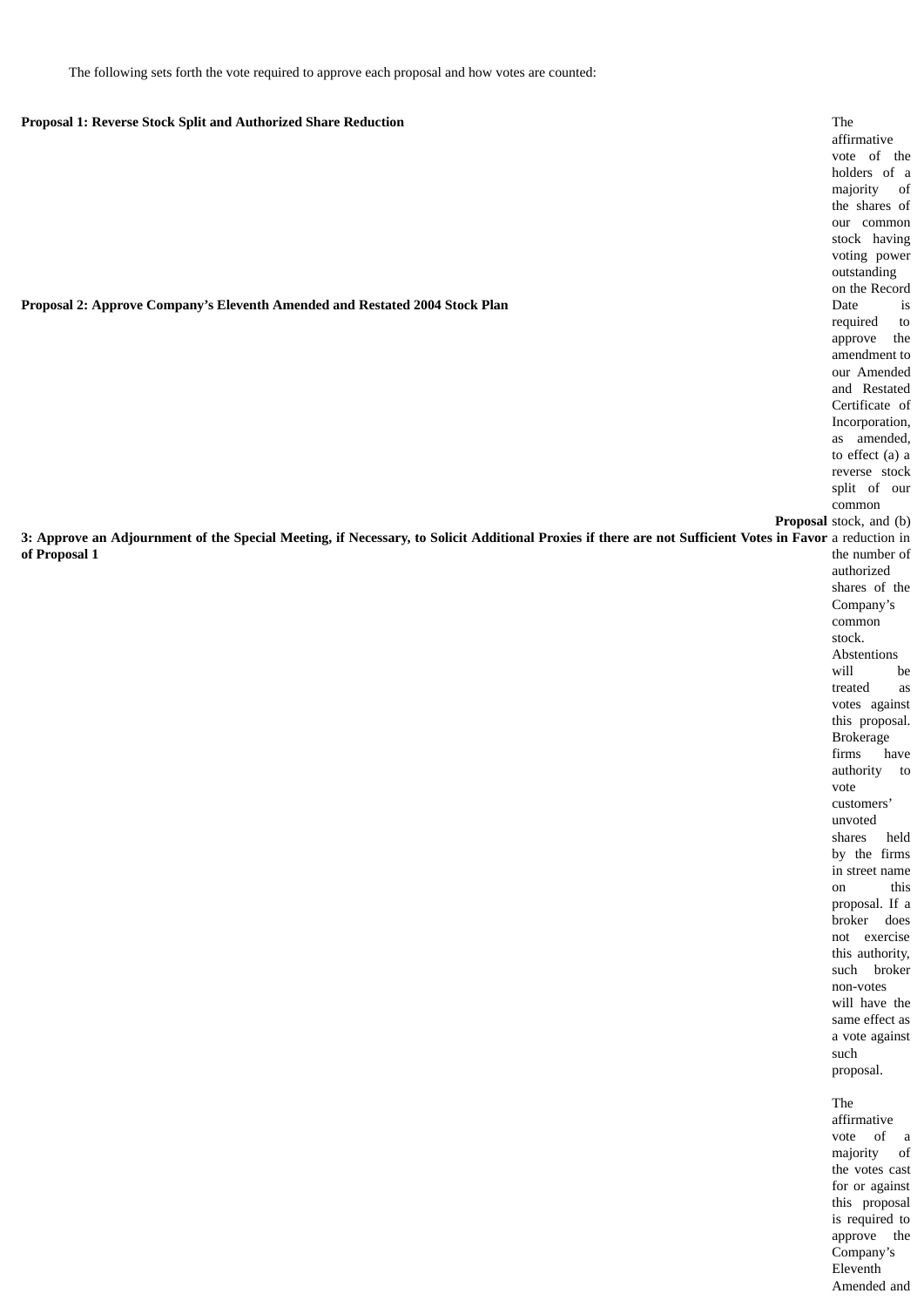The following sets forth the vote required to approve each proposal and how votes are counted:

# **Proposal 1: Reverse Stock Split and Authorized Share Reduction**

**Proposal 2: Approve Company's Eleventh Amended and Restated 2004 Stock Plan**

3: Approve an Adjournment of the Special Meeting, if Necessary, to Solicit Additional Proxies if there are not Sufficient Votes in Favor a reduction in **of Proposal 1**

**Proposal** stock, and (b) The affirmative vote of the holders of a majority of the shares of our common stock having voting power outstanding on the Record Date is required to approve the amendment to our Amended and Restated Certificate of Incorporation, as amended, to effect (a) a reverse stock split of our common the number of authorized shares of the Company's common stock. Abstentions will be treated as votes against this proposal. Brokerage firms have authority to vote customers' unvoted shares held by the firms in street name on this proposal. If a broker does not exercise this authority, such broker non-votes will have the same effect as a vote against such proposal. The affirmative

vote of a majority of the votes cast for or against this proposal is required to approve the Company's Eleventh Amended and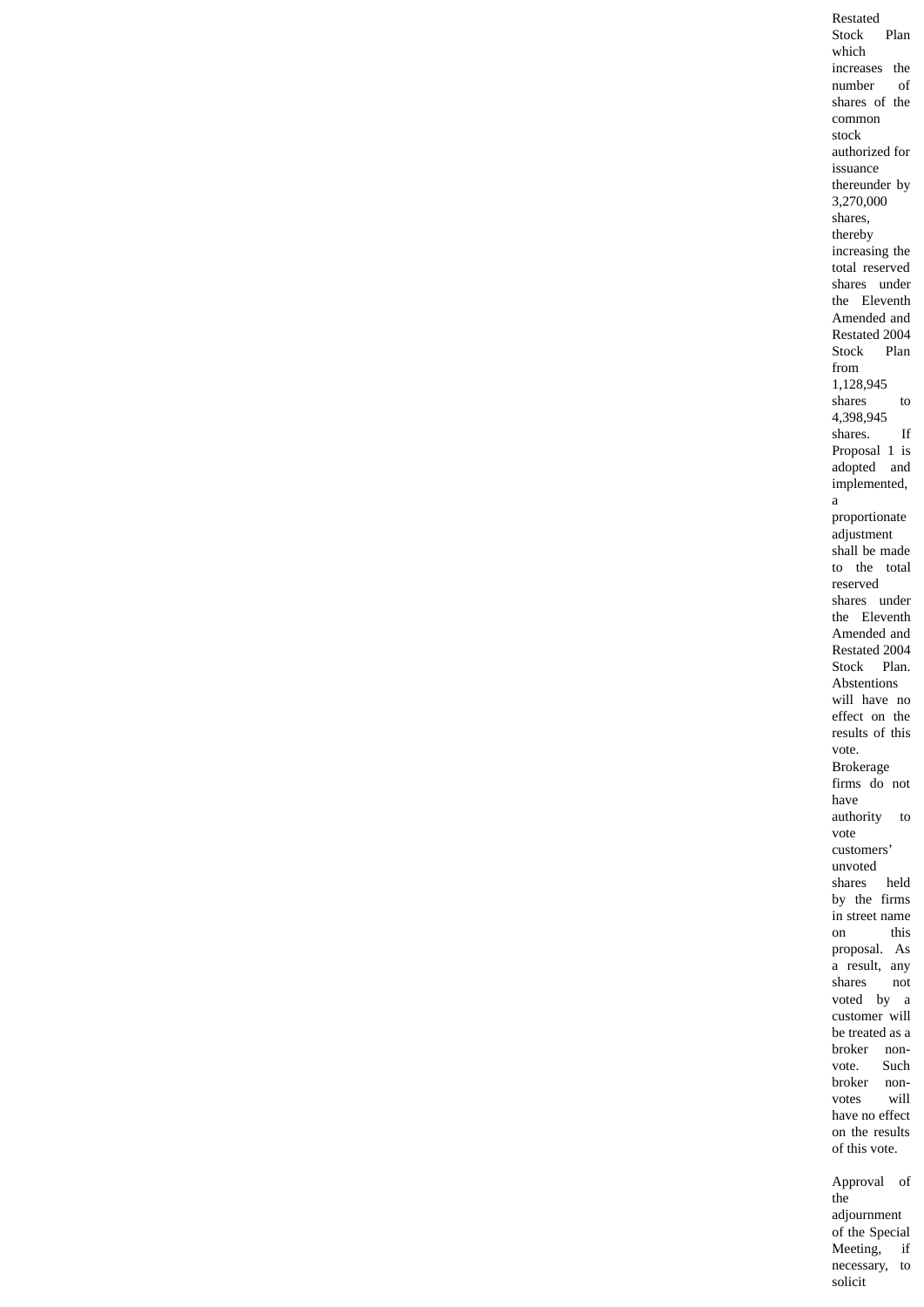Restated Stock Plan which increases the number of shares of the common stock authorized for issuance thereunder by 3,270,000 shares, thereby increasing the total reserved shares under the Eleventh Amended and Restated 2004 Stock Plan from 1,128,945 shares to 4,398,945 shares. If Proposal 1 is adopted and implemented, a proportionate adjustment shall be made to the total reserved shares under the Eleventh Amended and Restated 2004 Stock Plan. Abstentions will have no effect on the results of this vote. Brokerage firms do not have authority to vote customers' unvoted shares held by the firms in street name on this proposal. As a result, any shares not voted by a customer will be treated as a broker nonvote. Such broker non-<br>votes will votes have no effect on the results of this vote. Approval of the adjournment of the Special Meeting, if

> necessary, to solicit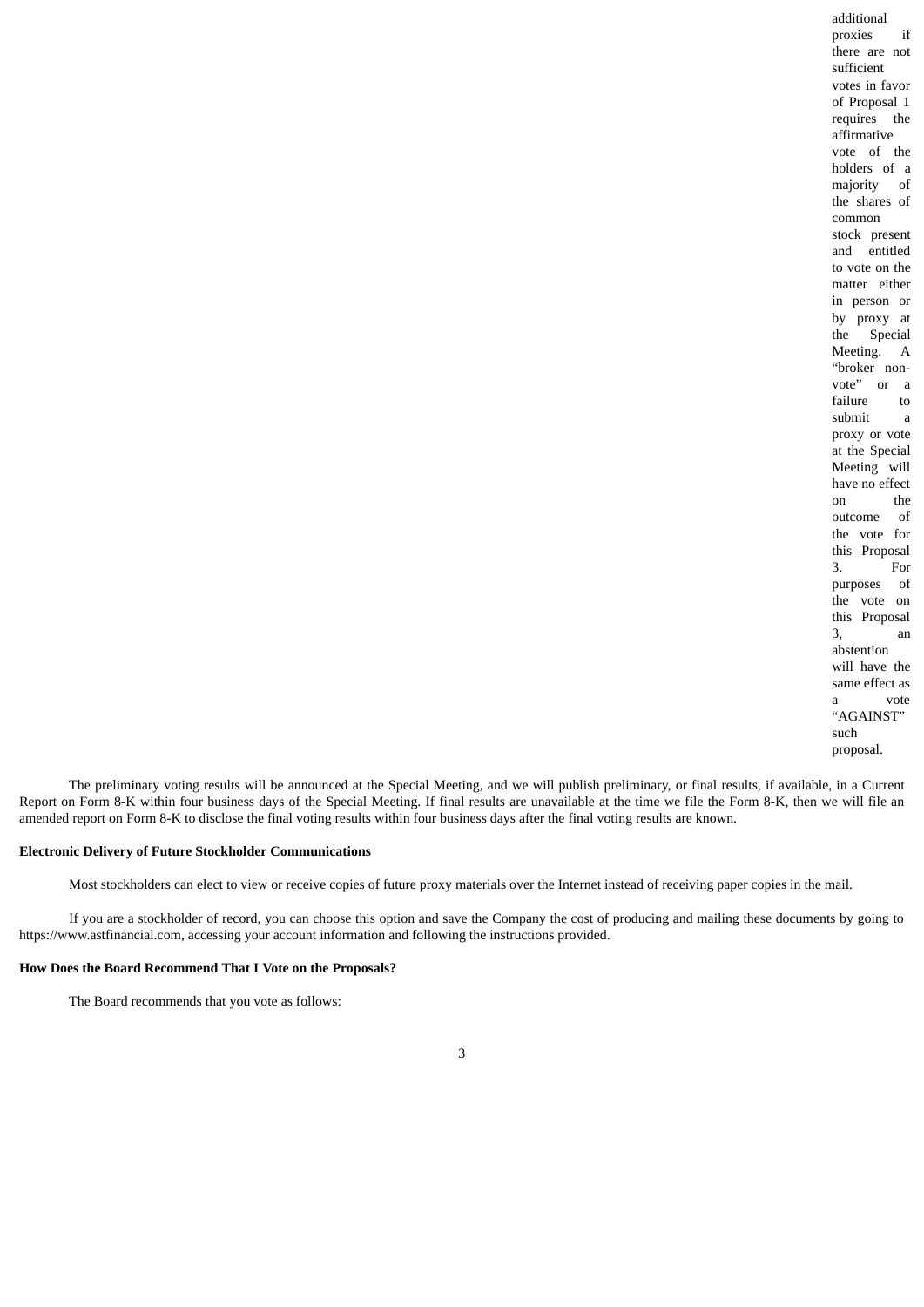additional proxies if there are not sufficient votes in favor of Proposal 1 requires the affirmative vote of the holders of a majority of the shares of common stock present and entitled to vote on the matter either in person or by proxy at the Special Meeting. A "broker nonvote" or a failure to submit a proxy or vote at the Special Meeting will have no effect on the outcome of the vote for this Proposal 3. For purposes of the vote on this Proposal 3, an abstention will have the same effect as a vote "AGAINST" such proposal.

The preliminary voting results will be announced at the Special Meeting, and we will publish preliminary, or final results, if available, in a Current Report on Form 8-K within four business days of the Special Meeting. If final results are unavailable at the time we file the Form 8-K, then we will file an amended report on Form 8-K to disclose the final voting results within four business days after the final voting results are known.

#### **Electronic Delivery of Future Stockholder Communications**

Most stockholders can elect to view or receive copies of future proxy materials over the Internet instead of receiving paper copies in the mail.

If you are a stockholder of record, you can choose this option and save the Company the cost of producing and mailing these documents by going to https://www.astfinancial.com, accessing your account information and following the instructions provided.

#### **How Does the Board Recommend That I Vote on the Proposals?**

The Board recommends that you vote as follows: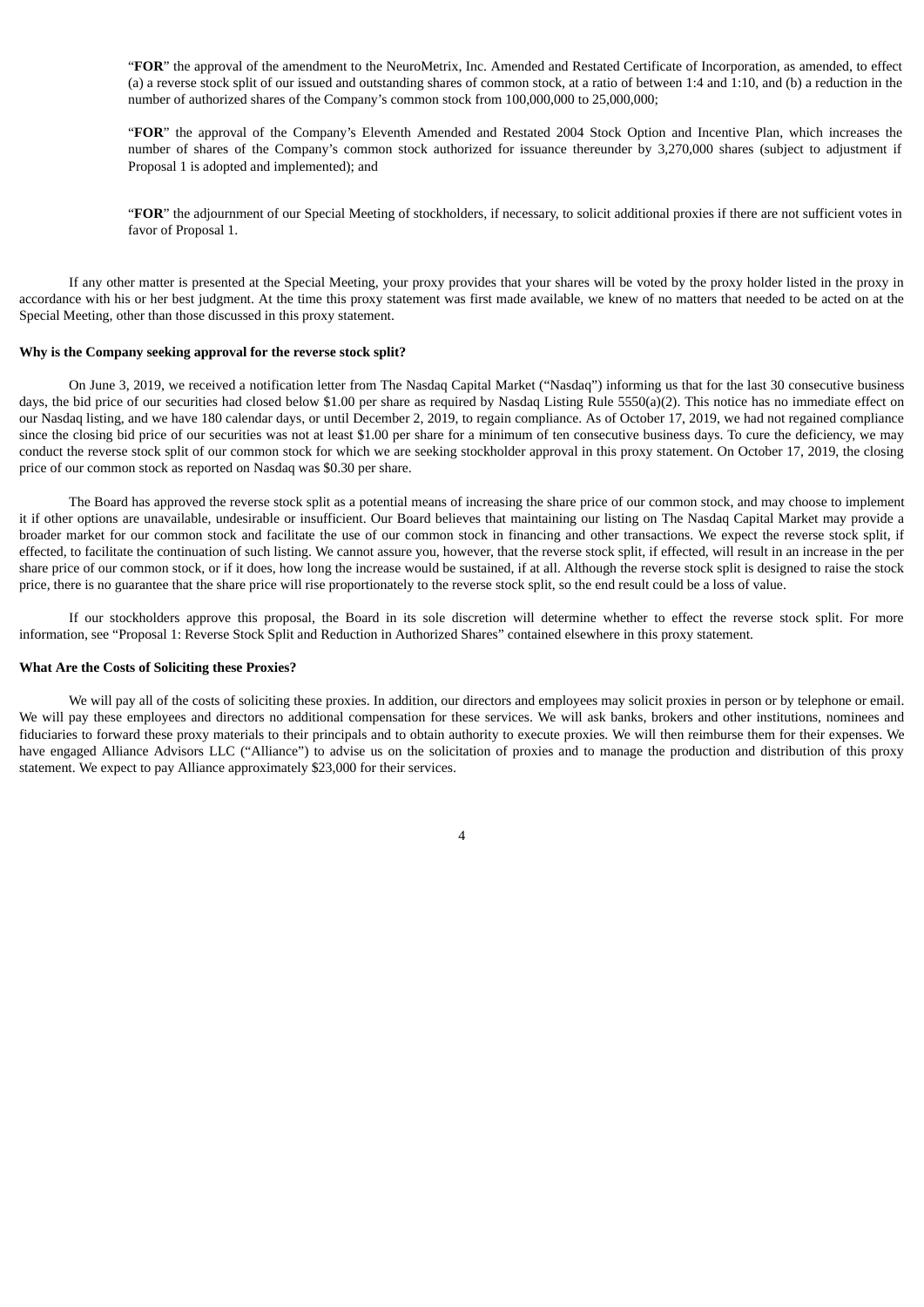"**FOR**" the approval of the amendment to the NeuroMetrix, Inc. Amended and Restated Certificate of Incorporation, as amended, to effect (a) a reverse stock split of our issued and outstanding shares of common stock, at a ratio of between 1:4 and 1:10, and (b) a reduction in the number of authorized shares of the Company's common stock from 100,000,000 to 25,000,000;

"**FOR**" the approval of the Company's Eleventh Amended and Restated 2004 Stock Option and Incentive Plan, which increases the number of shares of the Company's common stock authorized for issuance thereunder by 3,270,000 shares (subject to adjustment if Proposal 1 is adopted and implemented); and

"**FOR**" the adjournment of our Special Meeting of stockholders, if necessary, to solicit additional proxies if there are not sufficient votes in favor of Proposal 1.

If any other matter is presented at the Special Meeting, your proxy provides that your shares will be voted by the proxy holder listed in the proxy in accordance with his or her best judgment. At the time this proxy statement was first made available, we knew of no matters that needed to be acted on at the Special Meeting, other than those discussed in this proxy statement.

# **Why is the Company seeking approval for the reverse stock split?**

On June 3, 2019, we received a notification letter from The Nasdaq Capital Market ("Nasdaq") informing us that for the last 30 consecutive business days, the bid price of our securities had closed below \$1.00 per share as required by Nasdaq Listing Rule 5550(a)(2). This notice has no immediate effect on our Nasdaq listing, and we have 180 calendar days, or until December 2, 2019, to regain compliance. As of October 17, 2019, we had not regained compliance since the closing bid price of our securities was not at least \$1.00 per share for a minimum of ten consecutive business days. To cure the deficiency, we may conduct the reverse stock split of our common stock for which we are seeking stockholder approval in this proxy statement. On October 17, 2019, the closing price of our common stock as reported on Nasdaq was \$0.30 per share.

The Board has approved the reverse stock split as a potential means of increasing the share price of our common stock, and may choose to implement it if other options are unavailable, undesirable or insufficient. Our Board believes that maintaining our listing on The Nasdaq Capital Market may provide a broader market for our common stock and facilitate the use of our common stock in financing and other transactions. We expect the reverse stock split, if effected, to facilitate the continuation of such listing. We cannot assure you, however, that the reverse stock split, if effected, will result in an increase in the per share price of our common stock, or if it does, how long the increase would be sustained, if at all. Although the reverse stock split is designed to raise the stock price, there is no guarantee that the share price will rise proportionately to the reverse stock split, so the end result could be a loss of value.

If our stockholders approve this proposal, the Board in its sole discretion will determine whether to effect the reverse stock split. For more information, see "Proposal 1: Reverse Stock Split and Reduction in Authorized Shares" contained elsewhere in this proxy statement.

#### **What Are the Costs of Soliciting these Proxies?**

We will pay all of the costs of soliciting these proxies. In addition, our directors and employees may solicit proxies in person or by telephone or email. We will pay these employees and directors no additional compensation for these services. We will ask banks, brokers and other institutions, nominees and fiduciaries to forward these proxy materials to their principals and to obtain authority to execute proxies. We will then reimburse them for their expenses. We have engaged Alliance Advisors LLC ("Alliance") to advise us on the solicitation of proxies and to manage the production and distribution of this proxy statement. We expect to pay Alliance approximately \$23,000 for their services.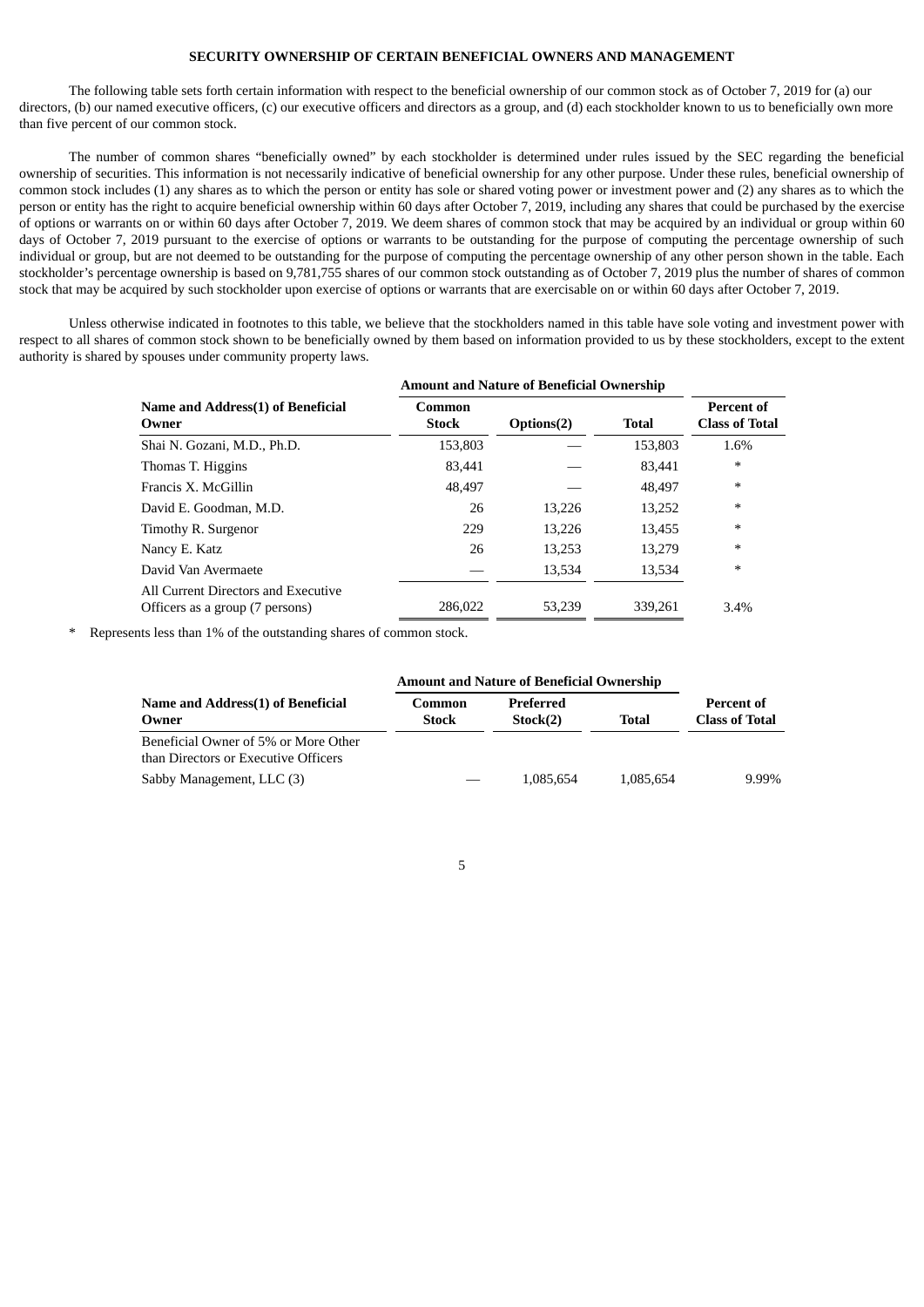# **SECURITY OWNERSHIP OF CERTAIN BENEFICIAL OWNERS AND MANAGEMENT**

The following table sets forth certain information with respect to the beneficial ownership of our common stock as of October 7, 2019 for (a) our directors, (b) our named executive officers, (c) our executive officers and directors as a group, and (d) each stockholder known to us to beneficially own more than five percent of our common stock.

The number of common shares "beneficially owned" by each stockholder is determined under rules issued by the SEC regarding the beneficial ownership of securities. This information is not necessarily indicative of beneficial ownership for any other purpose. Under these rules, beneficial ownership of common stock includes (1) any shares as to which the person or entity has sole or shared voting power or investment power and (2) any shares as to which the person or entity has the right to acquire beneficial ownership within 60 days after October 7, 2019, including any shares that could be purchased by the exercise of options or warrants on or within 60 days after October 7, 2019. We deem shares of common stock that may be acquired by an individual or group within 60 days of October 7, 2019 pursuant to the exercise of options or warrants to be outstanding for the purpose of computing the percentage ownership of such individual or group, but are not deemed to be outstanding for the purpose of computing the percentage ownership of any other person shown in the table. Each stockholder's percentage ownership is based on 9,781,755 shares of our common stock outstanding as of October 7, 2019 plus the number of shares of common stock that may be acquired by such stockholder upon exercise of options or warrants that are exercisable on or within 60 days after October 7, 2019.

Unless otherwise indicated in footnotes to this table, we believe that the stockholders named in this table have sole voting and investment power with respect to all shares of common stock shown to be beneficially owned by them based on information provided to us by these stockholders, except to the extent authority is shared by spouses under community property laws.

|                                                                        | <b>Amount and Nature of Beneficial Ownership</b> |            |              |                                     |
|------------------------------------------------------------------------|--------------------------------------------------|------------|--------------|-------------------------------------|
| Name and Address(1) of Beneficial<br>Owner                             | Common<br><b>Stock</b>                           | Options(2) | <b>Total</b> | Percent of<br><b>Class of Total</b> |
| Shai N. Gozani, M.D., Ph.D.                                            | 153,803                                          |            | 153,803      | 1.6%                                |
| Thomas T. Higgins                                                      | 83.441                                           |            | 83.441       | $\ast$                              |
| Francis X. McGillin                                                    | 48.497                                           |            | 48.497       | $\ast$                              |
| David E. Goodman, M.D.                                                 | 26                                               | 13.226     | 13,252       | $\ast$                              |
| Timothy R. Surgenor                                                    | 229                                              | 13.226     | 13,455       | $\ast$                              |
| Nancy E. Katz                                                          | 26                                               | 13.253     | 13,279       | $\ast$                              |
| David Van Avermaete                                                    |                                                  | 13,534     | 13,534       | $\ast$                              |
| All Current Directors and Executive<br>Officers as a group (7 persons) | 286,022                                          | 53.239     | 339,261      | 3.4%                                |

Represents less than 1% of the outstanding shares of common stock.

|                                                                              | <b>Amount and Nature of Beneficial Ownership</b> |                       |           |                                     |
|------------------------------------------------------------------------------|--------------------------------------------------|-----------------------|-----------|-------------------------------------|
| Name and Address(1) of Beneficial<br>Owner                                   | Common<br><b>Stock</b>                           | Preferred<br>Stock(2) | Total     | Percent of<br><b>Class of Total</b> |
| Beneficial Owner of 5% or More Other<br>than Directors or Executive Officers |                                                  |                       |           |                                     |
| Sabby Management, LLC (3)                                                    |                                                  | 1,085,654             | 1,085,654 | 9.99%                               |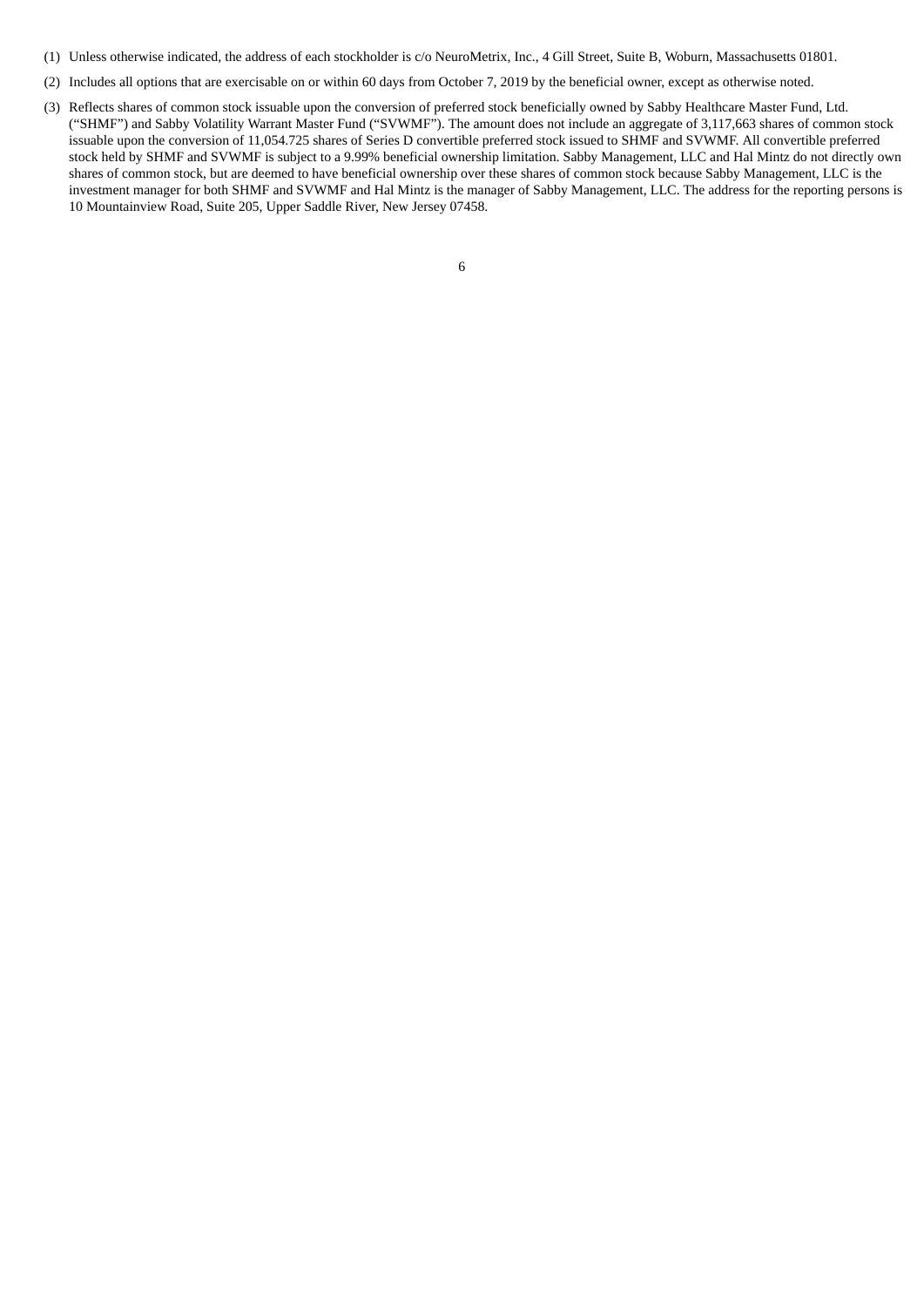- (1) Unless otherwise indicated, the address of each stockholder is c/o NeuroMetrix, Inc., 4 Gill Street, Suite B, Woburn, Massachusetts 01801.
- (2) Includes all options that are exercisable on or within 60 days from October 7, 2019 by the beneficial owner, except as otherwise noted.
- (3) Reflects shares of common stock issuable upon the conversion of preferred stock beneficially owned by Sabby Healthcare Master Fund, Ltd. ("SHMF") and Sabby Volatility Warrant Master Fund ("SVWMF"). The amount does not include an aggregate of 3,117,663 shares of common stock issuable upon the conversion of 11,054.725 shares of Series D convertible preferred stock issued to SHMF and SVWMF. All convertible preferred stock held by SHMF and SVWMF is subject to a 9.99% beneficial ownership limitation. Sabby Management, LLC and Hal Mintz do not directly own shares of common stock, but are deemed to have beneficial ownership over these shares of common stock because Sabby Management, LLC is the investment manager for both SHMF and SVWMF and Hal Mintz is the manager of Sabby Management, LLC. The address for the reporting persons is 10 Mountainview Road, Suite 205, Upper Saddle River, New Jersey 07458.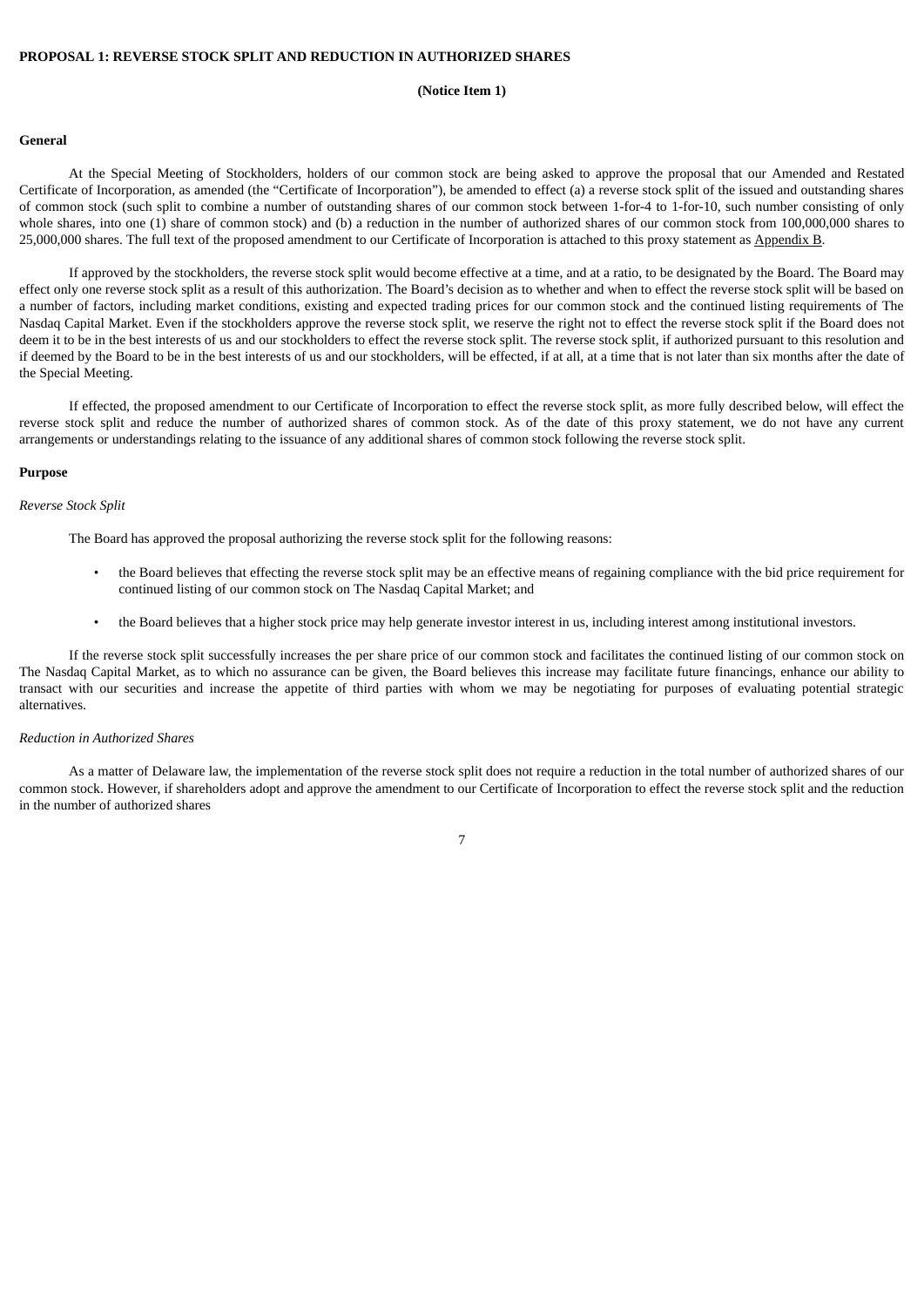#### **PROPOSAL 1: REVERSE STOCK SPLIT AND REDUCTION IN AUTHORIZED SHARES**

#### **(Notice Item 1)**

#### **General**

At the Special Meeting of Stockholders, holders of our common stock are being asked to approve the proposal that our Amended and Restated Certificate of Incorporation, as amended (the "Certificate of Incorporation"), be amended to effect (a) a reverse stock split of the issued and outstanding shares of common stock (such split to combine a number of outstanding shares of our common stock between 1-for-4 to 1-for-10, such number consisting of only whole shares, into one (1) share of common stock) and (b) a reduction in the number of authorized shares of our common stock from 100,000,000 shares to 25,000,000 shares. The full text of the proposed amendment to our Certificate of Incorporation is attached to this proxy statement as Appendix B.

If approved by the stockholders, the reverse stock split would become effective at a time, and at a ratio, to be designated by the Board. The Board may effect only one reverse stock split as a result of this authorization. The Board's decision as to whether and when to effect the reverse stock split will be based on a number of factors, including market conditions, existing and expected trading prices for our common stock and the continued listing requirements of The Nasdaq Capital Market. Even if the stockholders approve the reverse stock split, we reserve the right not to effect the reverse stock split if the Board does not deem it to be in the best interests of us and our stockholders to effect the reverse stock split. The reverse stock split, if authorized pursuant to this resolution and if deemed by the Board to be in the best interests of us and our stockholders, will be effected, if at all, at a time that is not later than six months after the date of the Special Meeting.

If effected, the proposed amendment to our Certificate of Incorporation to effect the reverse stock split, as more fully described below, will effect the reverse stock split and reduce the number of authorized shares of common stock. As of the date of this proxy statement, we do not have any current arrangements or understandings relating to the issuance of any additional shares of common stock following the reverse stock split.

#### **Purpose**

#### *Reverse Stock Split*

The Board has approved the proposal authorizing the reverse stock split for the following reasons:

- the Board believes that effecting the reverse stock split may be an effective means of regaining compliance with the bid price requirement for continued listing of our common stock on The Nasdaq Capital Market; and
- the Board believes that a higher stock price may help generate investor interest in us, including interest among institutional investors.

If the reverse stock split successfully increases the per share price of our common stock and facilitates the continued listing of our common stock on The Nasdaq Capital Market, as to which no assurance can be given, the Board believes this increase may facilitate future financings, enhance our ability to transact with our securities and increase the appetite of third parties with whom we may be negotiating for purposes of evaluating potential strategic alternatives.

# *Reduction in Authorized Shares*

As a matter of Delaware law, the implementation of the reverse stock split does not require a reduction in the total number of authorized shares of our common stock. However, if shareholders adopt and approve the amendment to our Certificate of Incorporation to effect the reverse stock split and the reduction in the number of authorized shares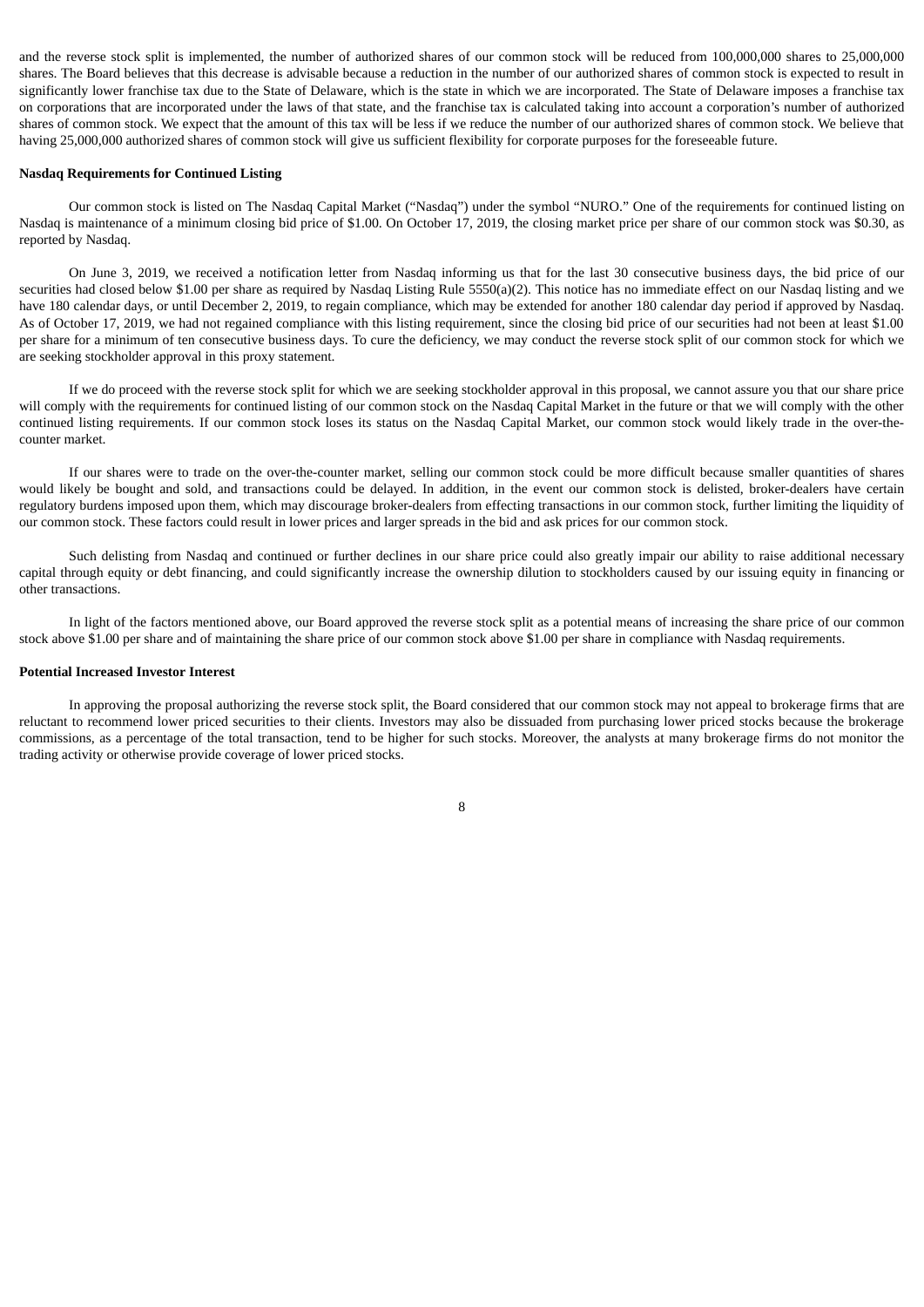and the reverse stock split is implemented, the number of authorized shares of our common stock will be reduced from 100,000,000 shares to 25,000,000 shares. The Board believes that this decrease is advisable because a reduction in the number of our authorized shares of common stock is expected to result in significantly lower franchise tax due to the State of Delaware, which is the state in which we are incorporated. The State of Delaware imposes a franchise tax on corporations that are incorporated under the laws of that state, and the franchise tax is calculated taking into account a corporation's number of authorized shares of common stock. We expect that the amount of this tax will be less if we reduce the number of our authorized shares of common stock. We believe that having 25,000,000 authorized shares of common stock will give us sufficient flexibility for corporate purposes for the foreseeable future.

#### **Nasdaq Requirements for Continued Listing**

Our common stock is listed on The Nasdaq Capital Market ("Nasdaq") under the symbol "NURO." One of the requirements for continued listing on Nasdaq is maintenance of a minimum closing bid price of \$1.00. On October 17, 2019, the closing market price per share of our common stock was \$0.30, as reported by Nasdaq.

On June 3, 2019, we received a notification letter from Nasdaq informing us that for the last 30 consecutive business days, the bid price of our securities had closed below \$1.00 per share as required by Nasdaq Listing Rule 5550(a)(2). This notice has no immediate effect on our Nasdaq listing and we have 180 calendar days, or until December 2, 2019, to regain compliance, which may be extended for another 180 calendar day period if approved by Nasdaq. As of October 17, 2019, we had not regained compliance with this listing requirement, since the closing bid price of our securities had not been at least \$1.00 per share for a minimum of ten consecutive business days. To cure the deficiency, we may conduct the reverse stock split of our common stock for which we are seeking stockholder approval in this proxy statement.

If we do proceed with the reverse stock split for which we are seeking stockholder approval in this proposal, we cannot assure you that our share price will comply with the requirements for continued listing of our common stock on the Nasdaq Capital Market in the future or that we will comply with the other continued listing requirements. If our common stock loses its status on the Nasdaq Capital Market, our common stock would likely trade in the over-thecounter market.

If our shares were to trade on the over-the-counter market, selling our common stock could be more difficult because smaller quantities of shares would likely be bought and sold, and transactions could be delayed. In addition, in the event our common stock is delisted, broker-dealers have certain regulatory burdens imposed upon them, which may discourage broker-dealers from effecting transactions in our common stock, further limiting the liquidity of our common stock. These factors could result in lower prices and larger spreads in the bid and ask prices for our common stock.

Such delisting from Nasdaq and continued or further declines in our share price could also greatly impair our ability to raise additional necessary capital through equity or debt financing, and could significantly increase the ownership dilution to stockholders caused by our issuing equity in financing or other transactions.

In light of the factors mentioned above, our Board approved the reverse stock split as a potential means of increasing the share price of our common stock above \$1.00 per share and of maintaining the share price of our common stock above \$1.00 per share in compliance with Nasdaq requirements.

#### **Potential Increased Investor Interest**

In approving the proposal authorizing the reverse stock split, the Board considered that our common stock may not appeal to brokerage firms that are reluctant to recommend lower priced securities to their clients. Investors may also be dissuaded from purchasing lower priced stocks because the brokerage commissions, as a percentage of the total transaction, tend to be higher for such stocks. Moreover, the analysts at many brokerage firms do not monitor the trading activity or otherwise provide coverage of lower priced stocks.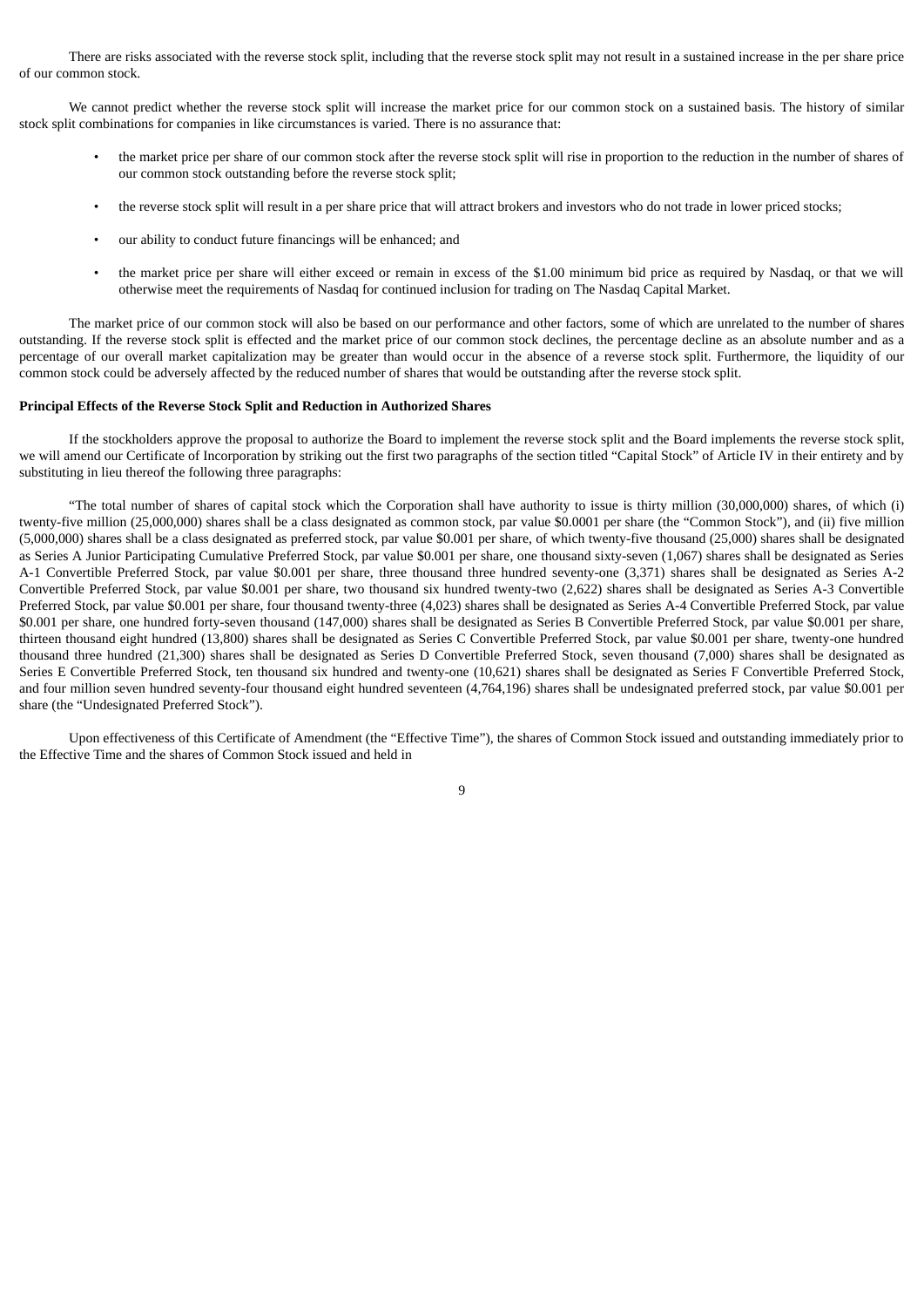There are risks associated with the reverse stock split, including that the reverse stock split may not result in a sustained increase in the per share price of our common stock.

We cannot predict whether the reverse stock split will increase the market price for our common stock on a sustained basis. The history of similar stock split combinations for companies in like circumstances is varied. There is no assurance that:

- the market price per share of our common stock after the reverse stock split will rise in proportion to the reduction in the number of shares of our common stock outstanding before the reverse stock split;
- the reverse stock split will result in a per share price that will attract brokers and investors who do not trade in lower priced stocks;
- our ability to conduct future financings will be enhanced; and
- the market price per share will either exceed or remain in excess of the \$1.00 minimum bid price as required by Nasdaq, or that we will otherwise meet the requirements of Nasdaq for continued inclusion for trading on The Nasdaq Capital Market.

The market price of our common stock will also be based on our performance and other factors, some of which are unrelated to the number of shares outstanding. If the reverse stock split is effected and the market price of our common stock declines, the percentage decline as an absolute number and as a percentage of our overall market capitalization may be greater than would occur in the absence of a reverse stock split. Furthermore, the liquidity of our common stock could be adversely affected by the reduced number of shares that would be outstanding after the reverse stock split.

# **Principal Effects of the Reverse Stock Split and Reduction in Authorized Shares**

If the stockholders approve the proposal to authorize the Board to implement the reverse stock split and the Board implements the reverse stock split, we will amend our Certificate of Incorporation by striking out the first two paragraphs of the section titled "Capital Stock" of Article IV in their entirety and by substituting in lieu thereof the following three paragraphs:

"The total number of shares of capital stock which the Corporation shall have authority to issue is thirty million (30,000,000) shares, of which (i) twenty-five million (25,000,000) shares shall be a class designated as common stock, par value \$0.0001 per share (the "Common Stock"), and (ii) five million (5,000,000) shares shall be a class designated as preferred stock, par value \$0.001 per share, of which twenty-five thousand (25,000) shares shall be designated as Series A Junior Participating Cumulative Preferred Stock, par value \$0.001 per share, one thousand sixty-seven (1,067) shares shall be designated as Series A-1 Convertible Preferred Stock, par value \$0.001 per share, three thousand three hundred seventy-one (3,371) shares shall be designated as Series A-2 Convertible Preferred Stock, par value \$0.001 per share, two thousand six hundred twenty-two (2,622) shares shall be designated as Series A-3 Convertible Preferred Stock, par value \$0.001 per share, four thousand twenty-three (4,023) shares shall be designated as Series A-4 Convertible Preferred Stock, par value \$0.001 per share, one hundred forty-seven thousand (147,000) shares shall be designated as Series B Convertible Preferred Stock, par value \$0.001 per share, thirteen thousand eight hundred (13,800) shares shall be designated as Series C Convertible Preferred Stock, par value \$0.001 per share, twenty-one hundred thousand three hundred (21,300) shares shall be designated as Series D Convertible Preferred Stock, seven thousand (7,000) shares shall be designated as Series E Convertible Preferred Stock, ten thousand six hundred and twenty-one (10,621) shares shall be designated as Series F Convertible Preferred Stock, and four million seven hundred seventy-four thousand eight hundred seventeen (4,764,196) shares shall be undesignated preferred stock, par value \$0.001 per share (the "Undesignated Preferred Stock").

Upon effectiveness of this Certificate of Amendment (the "Effective Time"), the shares of Common Stock issued and outstanding immediately prior to the Effective Time and the shares of Common Stock issued and held in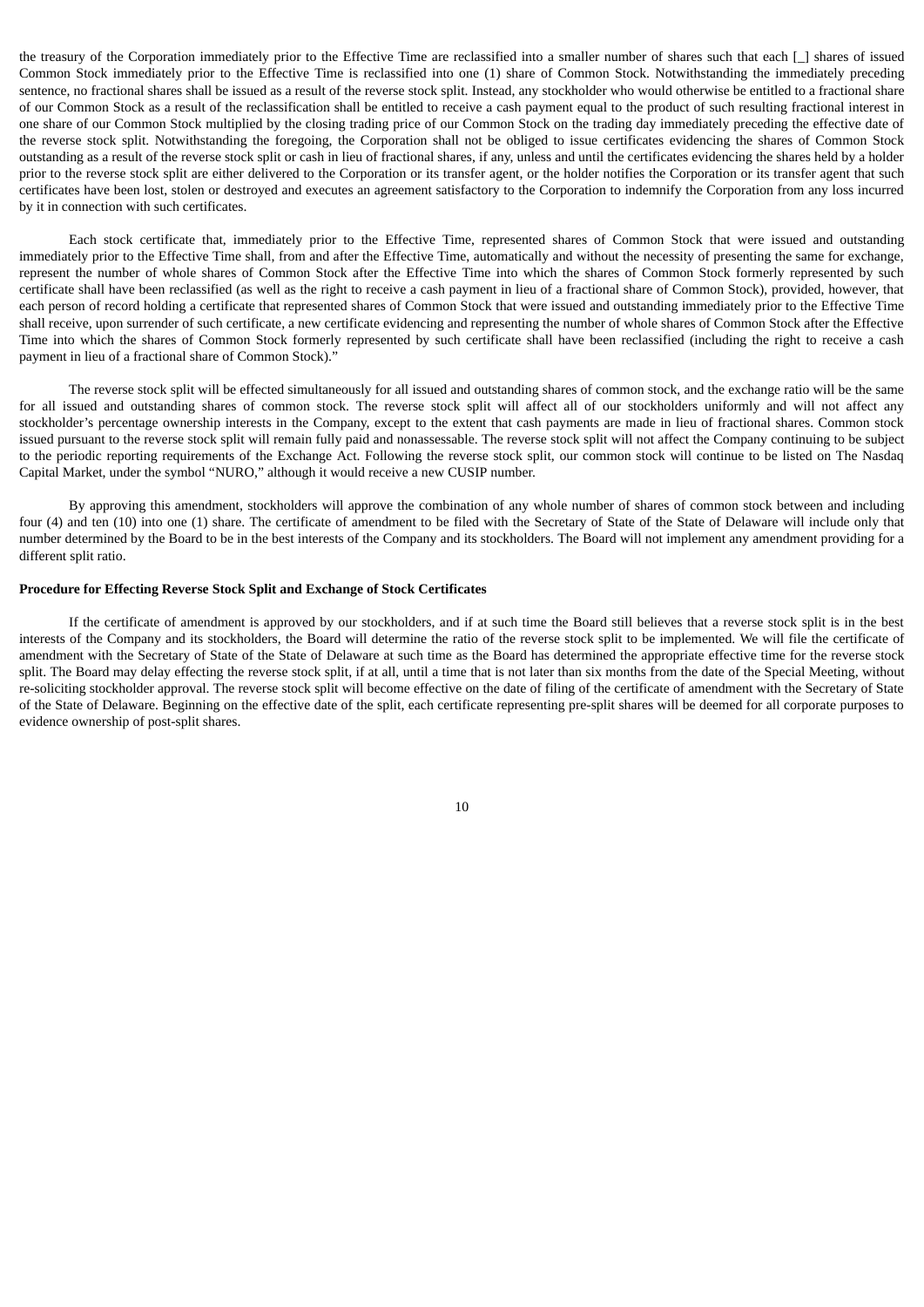the treasury of the Corporation immediately prior to the Effective Time are reclassified into a smaller number of shares such that each [\_] shares of issued Common Stock immediately prior to the Effective Time is reclassified into one (1) share of Common Stock. Notwithstanding the immediately preceding sentence, no fractional shares shall be issued as a result of the reverse stock split. Instead, any stockholder who would otherwise be entitled to a fractional share of our Common Stock as a result of the reclassification shall be entitled to receive a cash payment equal to the product of such resulting fractional interest in one share of our Common Stock multiplied by the closing trading price of our Common Stock on the trading day immediately preceding the effective date of the reverse stock split. Notwithstanding the foregoing, the Corporation shall not be obliged to issue certificates evidencing the shares of Common Stock outstanding as a result of the reverse stock split or cash in lieu of fractional shares, if any, unless and until the certificates evidencing the shares held by a holder prior to the reverse stock split are either delivered to the Corporation or its transfer agent, or the holder notifies the Corporation or its transfer agent that such certificates have been lost, stolen or destroyed and executes an agreement satisfactory to the Corporation to indemnify the Corporation from any loss incurred by it in connection with such certificates.

Each stock certificate that, immediately prior to the Effective Time, represented shares of Common Stock that were issued and outstanding immediately prior to the Effective Time shall, from and after the Effective Time, automatically and without the necessity of presenting the same for exchange, represent the number of whole shares of Common Stock after the Effective Time into which the shares of Common Stock formerly represented by such certificate shall have been reclassified (as well as the right to receive a cash payment in lieu of a fractional share of Common Stock), provided, however, that each person of record holding a certificate that represented shares of Common Stock that were issued and outstanding immediately prior to the Effective Time shall receive, upon surrender of such certificate, a new certificate evidencing and representing the number of whole shares of Common Stock after the Effective Time into which the shares of Common Stock formerly represented by such certificate shall have been reclassified (including the right to receive a cash payment in lieu of a fractional share of Common Stock)."

The reverse stock split will be effected simultaneously for all issued and outstanding shares of common stock, and the exchange ratio will be the same for all issued and outstanding shares of common stock. The reverse stock split will affect all of our stockholders uniformly and will not affect any stockholder's percentage ownership interests in the Company, except to the extent that cash payments are made in lieu of fractional shares. Common stock issued pursuant to the reverse stock split will remain fully paid and nonassessable. The reverse stock split will not affect the Company continuing to be subject to the periodic reporting requirements of the Exchange Act. Following the reverse stock split, our common stock will continue to be listed on The Nasdaq Capital Market, under the symbol "NURO," although it would receive a new CUSIP number.

By approving this amendment, stockholders will approve the combination of any whole number of shares of common stock between and including four (4) and ten (10) into one (1) share. The certificate of amendment to be filed with the Secretary of State of the State of Delaware will include only that number determined by the Board to be in the best interests of the Company and its stockholders. The Board will not implement any amendment providing for a different split ratio.

# **Procedure for Effecting Reverse Stock Split and Exchange of Stock Certificates**

If the certificate of amendment is approved by our stockholders, and if at such time the Board still believes that a reverse stock split is in the best interests of the Company and its stockholders, the Board will determine the ratio of the reverse stock split to be implemented. We will file the certificate of amendment with the Secretary of State of the State of Delaware at such time as the Board has determined the appropriate effective time for the reverse stock split. The Board may delay effecting the reverse stock split, if at all, until a time that is not later than six months from the date of the Special Meeting, without re-soliciting stockholder approval. The reverse stock split will become effective on the date of filing of the certificate of amendment with the Secretary of State of the State of Delaware. Beginning on the effective date of the split, each certificate representing pre-split shares will be deemed for all corporate purposes to evidence ownership of post-split shares.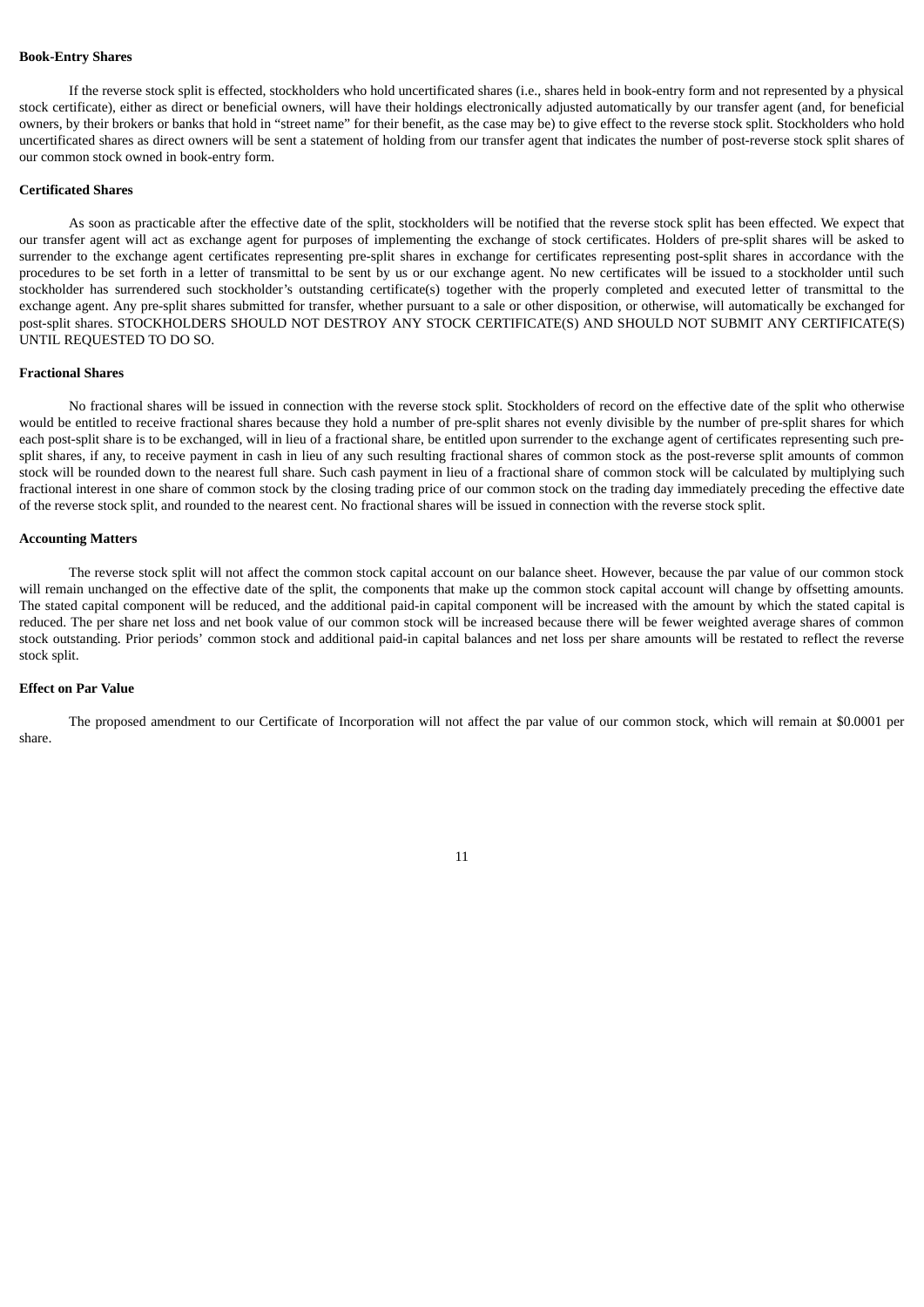# **Book-Entry Shares**

If the reverse stock split is effected, stockholders who hold uncertificated shares (i.e., shares held in book-entry form and not represented by a physical stock certificate), either as direct or beneficial owners, will have their holdings electronically adjusted automatically by our transfer agent (and, for beneficial owners, by their brokers or banks that hold in "street name" for their benefit, as the case may be) to give effect to the reverse stock split. Stockholders who hold uncertificated shares as direct owners will be sent a statement of holding from our transfer agent that indicates the number of post-reverse stock split shares of our common stock owned in book-entry form.

#### **Certificated Shares**

As soon as practicable after the effective date of the split, stockholders will be notified that the reverse stock split has been effected. We expect that our transfer agent will act as exchange agent for purposes of implementing the exchange of stock certificates. Holders of pre-split shares will be asked to surrender to the exchange agent certificates representing pre-split shares in exchange for certificates representing post-split shares in accordance with the procedures to be set forth in a letter of transmittal to be sent by us or our exchange agent. No new certificates will be issued to a stockholder until such stockholder has surrendered such stockholder's outstanding certificate(s) together with the properly completed and executed letter of transmittal to the exchange agent. Any pre-split shares submitted for transfer, whether pursuant to a sale or other disposition, or otherwise, will automatically be exchanged for post-split shares. STOCKHOLDERS SHOULD NOT DESTROY ANY STOCK CERTIFICATE(S) AND SHOULD NOT SUBMIT ANY CERTIFICATE(S) UNTIL REQUESTED TO DO SO.

#### **Fractional Shares**

No fractional shares will be issued in connection with the reverse stock split. Stockholders of record on the effective date of the split who otherwise would be entitled to receive fractional shares because they hold a number of pre-split shares not evenly divisible by the number of pre-split shares for which each post-split share is to be exchanged, will in lieu of a fractional share, be entitled upon surrender to the exchange agent of certificates representing such presplit shares, if any, to receive payment in cash in lieu of any such resulting fractional shares of common stock as the post-reverse split amounts of common stock will be rounded down to the nearest full share. Such cash payment in lieu of a fractional share of common stock will be calculated by multiplying such fractional interest in one share of common stock by the closing trading price of our common stock on the trading day immediately preceding the effective date of the reverse stock split, and rounded to the nearest cent. No fractional shares will be issued in connection with the reverse stock split.

#### **Accounting Matters**

The reverse stock split will not affect the common stock capital account on our balance sheet. However, because the par value of our common stock will remain unchanged on the effective date of the split, the components that make up the common stock capital account will change by offsetting amounts. The stated capital component will be reduced, and the additional paid-in capital component will be increased with the amount by which the stated capital is reduced. The per share net loss and net book value of our common stock will be increased because there will be fewer weighted average shares of common stock outstanding. Prior periods' common stock and additional paid-in capital balances and net loss per share amounts will be restated to reflect the reverse stock split.

# **Effect on Par Value**

The proposed amendment to our Certificate of Incorporation will not affect the par value of our common stock, which will remain at \$0.0001 per share.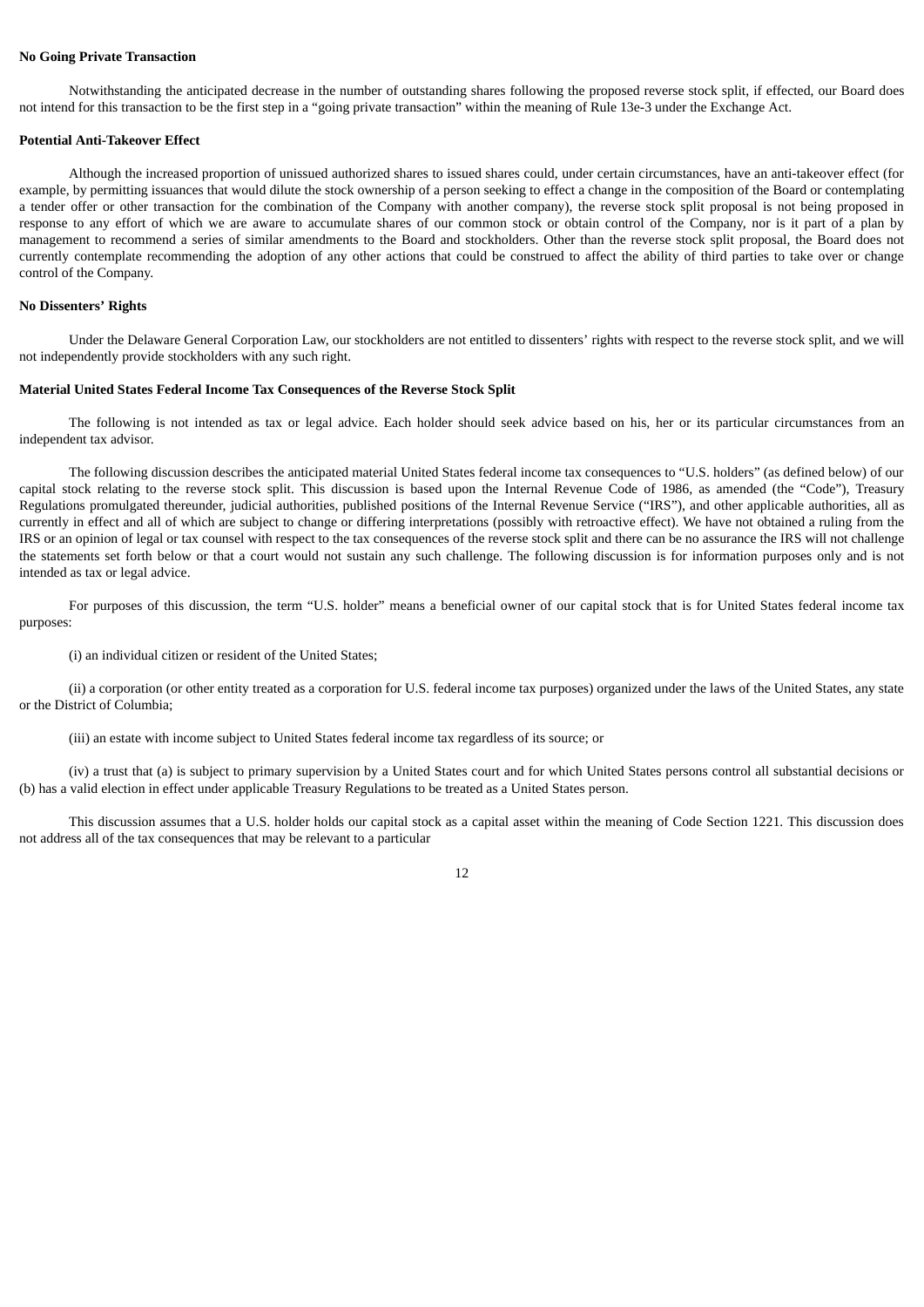# **No Going Private Transaction**

Notwithstanding the anticipated decrease in the number of outstanding shares following the proposed reverse stock split, if effected, our Board does not intend for this transaction to be the first step in a "going private transaction" within the meaning of Rule 13e-3 under the Exchange Act.

#### **Potential Anti-Takeover Effect**

Although the increased proportion of unissued authorized shares to issued shares could, under certain circumstances, have an anti-takeover effect (for example, by permitting issuances that would dilute the stock ownership of a person seeking to effect a change in the composition of the Board or contemplating a tender offer or other transaction for the combination of the Company with another company), the reverse stock split proposal is not being proposed in response to any effort of which we are aware to accumulate shares of our common stock or obtain control of the Company, nor is it part of a plan by management to recommend a series of similar amendments to the Board and stockholders. Other than the reverse stock split proposal, the Board does not currently contemplate recommending the adoption of any other actions that could be construed to affect the ability of third parties to take over or change control of the Company.

# **No Dissenters' Rights**

Under the Delaware General Corporation Law, our stockholders are not entitled to dissenters' rights with respect to the reverse stock split, and we will not independently provide stockholders with any such right.

#### **Material United States Federal Income Tax Consequences of the Reverse Stock Split**

The following is not intended as tax or legal advice. Each holder should seek advice based on his, her or its particular circumstances from an independent tax advisor.

The following discussion describes the anticipated material United States federal income tax consequences to "U.S. holders" (as defined below) of our capital stock relating to the reverse stock split. This discussion is based upon the Internal Revenue Code of 1986, as amended (the "Code"), Treasury Regulations promulgated thereunder, judicial authorities, published positions of the Internal Revenue Service ("IRS"), and other applicable authorities, all as currently in effect and all of which are subject to change or differing interpretations (possibly with retroactive effect). We have not obtained a ruling from the IRS or an opinion of legal or tax counsel with respect to the tax consequences of the reverse stock split and there can be no assurance the IRS will not challenge the statements set forth below or that a court would not sustain any such challenge. The following discussion is for information purposes only and is not intended as tax or legal advice.

For purposes of this discussion, the term "U.S. holder" means a beneficial owner of our capital stock that is for United States federal income tax purposes:

(i) an individual citizen or resident of the United States;

(ii) a corporation (or other entity treated as a corporation for U.S. federal income tax purposes) organized under the laws of the United States, any state or the District of Columbia;

(iii) an estate with income subject to United States federal income tax regardless of its source; or

(iv) a trust that (a) is subject to primary supervision by a United States court and for which United States persons control all substantial decisions or (b) has a valid election in effect under applicable Treasury Regulations to be treated as a United States person.

This discussion assumes that a U.S. holder holds our capital stock as a capital asset within the meaning of Code Section 1221. This discussion does not address all of the tax consequences that may be relevant to a particular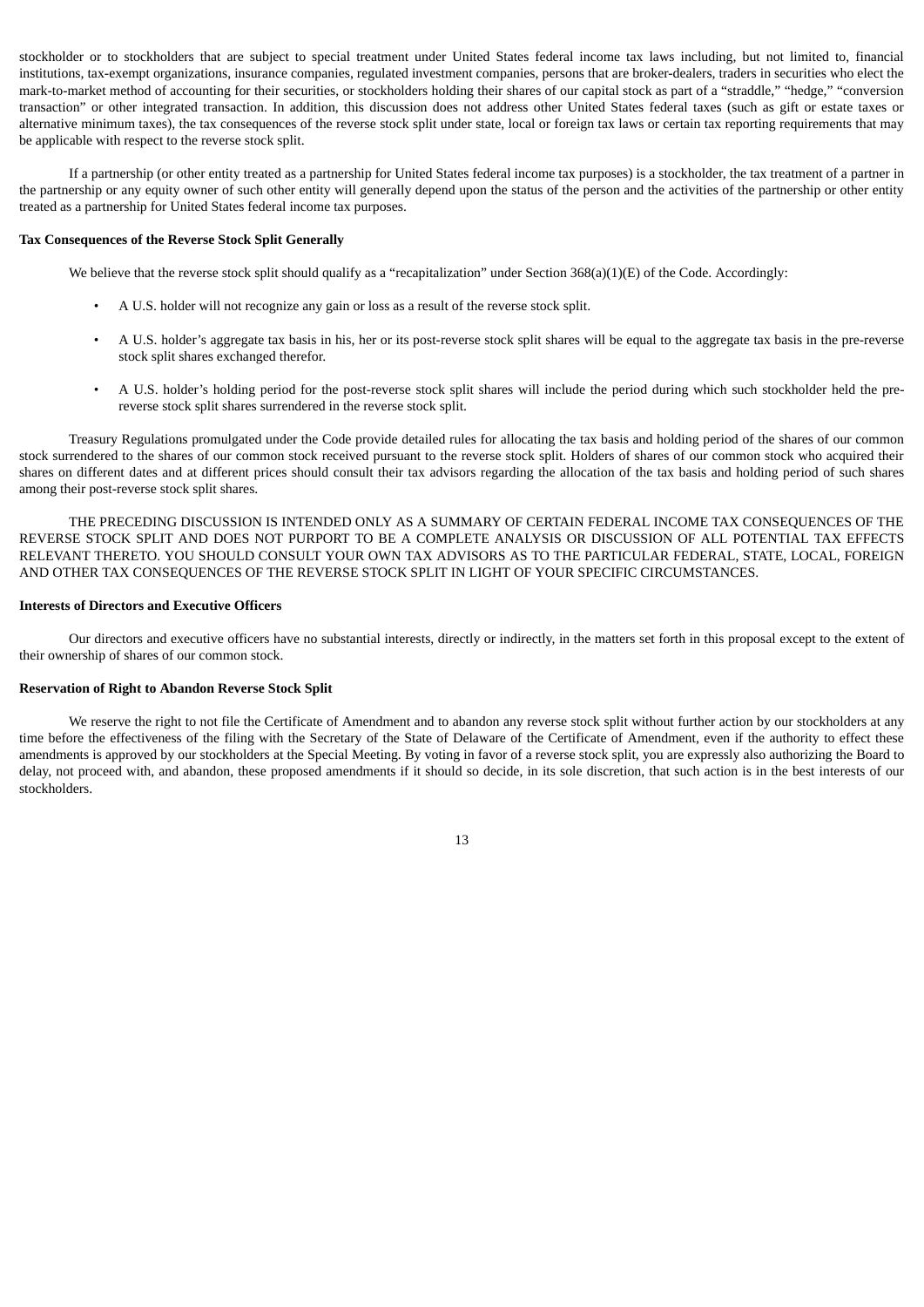stockholder or to stockholders that are subject to special treatment under United States federal income tax laws including, but not limited to, financial institutions, tax-exempt organizations, insurance companies, regulated investment companies, persons that are broker-dealers, traders in securities who elect the mark-to-market method of accounting for their securities, or stockholders holding their shares of our capital stock as part of a "straddle," "hedge," "conversion transaction" or other integrated transaction. In addition, this discussion does not address other United States federal taxes (such as gift or estate taxes or alternative minimum taxes), the tax consequences of the reverse stock split under state, local or foreign tax laws or certain tax reporting requirements that may be applicable with respect to the reverse stock split.

If a partnership (or other entity treated as a partnership for United States federal income tax purposes) is a stockholder, the tax treatment of a partner in the partnership or any equity owner of such other entity will generally depend upon the status of the person and the activities of the partnership or other entity treated as a partnership for United States federal income tax purposes.

#### **Tax Consequences of the Reverse Stock Split Generally**

We believe that the reverse stock split should qualify as a "recapitalization" under Section 368(a)(1)(E) of the Code. Accordingly:

- A U.S. holder will not recognize any gain or loss as a result of the reverse stock split.
- A U.S. holder's aggregate tax basis in his, her or its post-reverse stock split shares will be equal to the aggregate tax basis in the pre-reverse stock split shares exchanged therefor.
- A U.S. holder's holding period for the post-reverse stock split shares will include the period during which such stockholder held the prereverse stock split shares surrendered in the reverse stock split.

Treasury Regulations promulgated under the Code provide detailed rules for allocating the tax basis and holding period of the shares of our common stock surrendered to the shares of our common stock received pursuant to the reverse stock split. Holders of shares of our common stock who acquired their shares on different dates and at different prices should consult their tax advisors regarding the allocation of the tax basis and holding period of such shares among their post-reverse stock split shares.

THE PRECEDING DISCUSSION IS INTENDED ONLY AS A SUMMARY OF CERTAIN FEDERAL INCOME TAX CONSEQUENCES OF THE REVERSE STOCK SPLIT AND DOES NOT PURPORT TO BE A COMPLETE ANALYSIS OR DISCUSSION OF ALL POTENTIAL TAX EFFECTS RELEVANT THERETO. YOU SHOULD CONSULT YOUR OWN TAX ADVISORS AS TO THE PARTICULAR FEDERAL, STATE, LOCAL, FOREIGN AND OTHER TAX CONSEQUENCES OF THE REVERSE STOCK SPLIT IN LIGHT OF YOUR SPECIFIC CIRCUMSTANCES.

# **Interests of Directors and Executive Officers**

Our directors and executive officers have no substantial interests, directly or indirectly, in the matters set forth in this proposal except to the extent of their ownership of shares of our common stock.

# **Reservation of Right to Abandon Reverse Stock Split**

We reserve the right to not file the Certificate of Amendment and to abandon any reverse stock split without further action by our stockholders at any time before the effectiveness of the filing with the Secretary of the State of Delaware of the Certificate of Amendment, even if the authority to effect these amendments is approved by our stockholders at the Special Meeting. By voting in favor of a reverse stock split, you are expressly also authorizing the Board to delay, not proceed with, and abandon, these proposed amendments if it should so decide, in its sole discretion, that such action is in the best interests of our stockholders.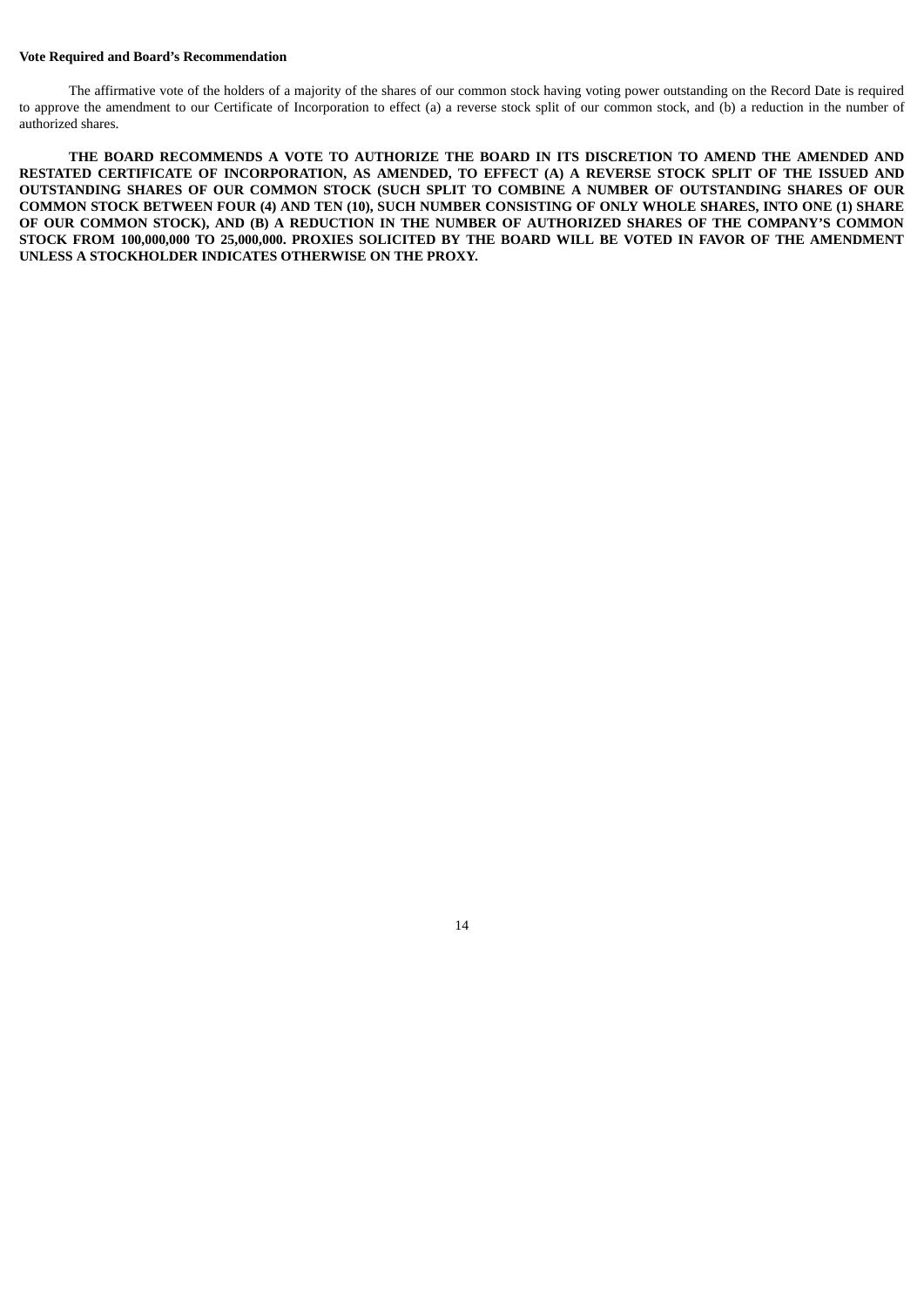#### **Vote Required and Board's Recommendation**

The affirmative vote of the holders of a majority of the shares of our common stock having voting power outstanding on the Record Date is required to approve the amendment to our Certificate of Incorporation to effect (a) a reverse stock split of our common stock, and (b) a reduction in the number of authorized shares.

**THE BOARD RECOMMENDS A VOTE TO AUTHORIZE THE BOARD IN ITS DISCRETION TO AMEND THE AMENDED AND RESTATED CERTIFICATE OF INCORPORATION, AS AMENDED, TO EFFECT (A) A REVERSE STOCK SPLIT OF THE ISSUED AND OUTSTANDING SHARES OF OUR COMMON STOCK (SUCH SPLIT TO COMBINE A NUMBER OF OUTSTANDING SHARES OF OUR** COMMON STOCK BETWEEN FOUR (4) AND TEN (10), SUCH NUMBER CONSISTING OF ONLY WHOLE SHARES, INTO ONE (1) SHARE OF OUR COMMON STOCK), AND (B) A REDUCTION IN THE NUMBER OF AUTHORIZED SHARES OF THE COMPANY'S COMMON STOCK FROM 100,000,000 TO 25,000,000. PROXIES SOLICITED BY THE BOARD WILL BE VOTED IN FAVOR OF THE AMENDMENT **UNLESS A STOCKHOLDER INDICATES OTHERWISE ON THE PROXY.**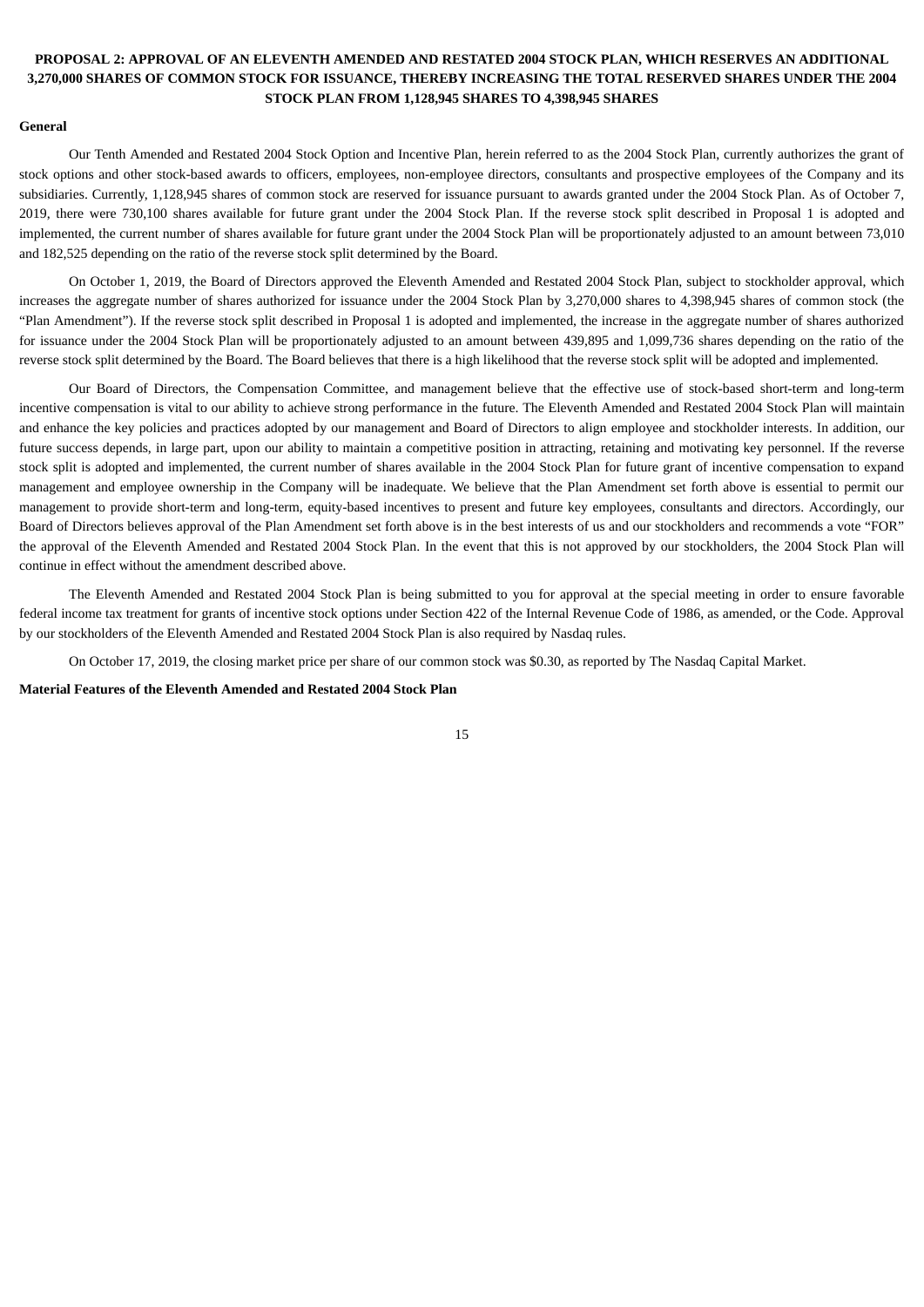# **PROPOSAL 2: APPROVAL OF AN ELEVENTH AMENDED AND RESTATED 2004 STOCK PLAN, WHICH RESERVES AN ADDITIONAL 3,270,000 SHARES OF COMMON STOCK FOR ISSUANCE, THEREBY INCREASING THE TOTAL RESERVED SHARES UNDER THE 2004 STOCK PLAN FROM 1,128,945 SHARES TO 4,398,945 SHARES**

#### **General**

Our Tenth Amended and Restated 2004 Stock Option and Incentive Plan, herein referred to as the 2004 Stock Plan, currently authorizes the grant of stock options and other stock-based awards to officers, employees, non-employee directors, consultants and prospective employees of the Company and its subsidiaries. Currently, 1,128,945 shares of common stock are reserved for issuance pursuant to awards granted under the 2004 Stock Plan. As of October 7, 2019, there were 730,100 shares available for future grant under the 2004 Stock Plan. If the reverse stock split described in Proposal 1 is adopted and implemented, the current number of shares available for future grant under the 2004 Stock Plan will be proportionately adjusted to an amount between 73,010 and 182,525 depending on the ratio of the reverse stock split determined by the Board.

On October 1, 2019, the Board of Directors approved the Eleventh Amended and Restated 2004 Stock Plan, subject to stockholder approval, which increases the aggregate number of shares authorized for issuance under the 2004 Stock Plan by 3,270,000 shares to 4,398,945 shares of common stock (the "Plan Amendment"). If the reverse stock split described in Proposal 1 is adopted and implemented, the increase in the aggregate number of shares authorized for issuance under the 2004 Stock Plan will be proportionately adjusted to an amount between 439,895 and 1,099,736 shares depending on the ratio of the reverse stock split determined by the Board. The Board believes that there is a high likelihood that the reverse stock split will be adopted and implemented.

Our Board of Directors, the Compensation Committee, and management believe that the effective use of stock-based short-term and long-term incentive compensation is vital to our ability to achieve strong performance in the future. The Eleventh Amended and Restated 2004 Stock Plan will maintain and enhance the key policies and practices adopted by our management and Board of Directors to align employee and stockholder interests. In addition, our future success depends, in large part, upon our ability to maintain a competitive position in attracting, retaining and motivating key personnel. If the reverse stock split is adopted and implemented, the current number of shares available in the 2004 Stock Plan for future grant of incentive compensation to expand management and employee ownership in the Company will be inadequate. We believe that the Plan Amendment set forth above is essential to permit our management to provide short-term and long-term, equity-based incentives to present and future key employees, consultants and directors. Accordingly, our Board of Directors believes approval of the Plan Amendment set forth above is in the best interests of us and our stockholders and recommends a vote "FOR" the approval of the Eleventh Amended and Restated 2004 Stock Plan. In the event that this is not approved by our stockholders, the 2004 Stock Plan will continue in effect without the amendment described above.

The Eleventh Amended and Restated 2004 Stock Plan is being submitted to you for approval at the special meeting in order to ensure favorable federal income tax treatment for grants of incentive stock options under Section 422 of the Internal Revenue Code of 1986, as amended, or the Code. Approval by our stockholders of the Eleventh Amended and Restated 2004 Stock Plan is also required by Nasdaq rules.

On October 17, 2019, the closing market price per share of our common stock was \$0.30, as reported by The Nasdaq Capital Market.

**Material Features of the Eleventh Amended and Restated 2004 Stock Plan**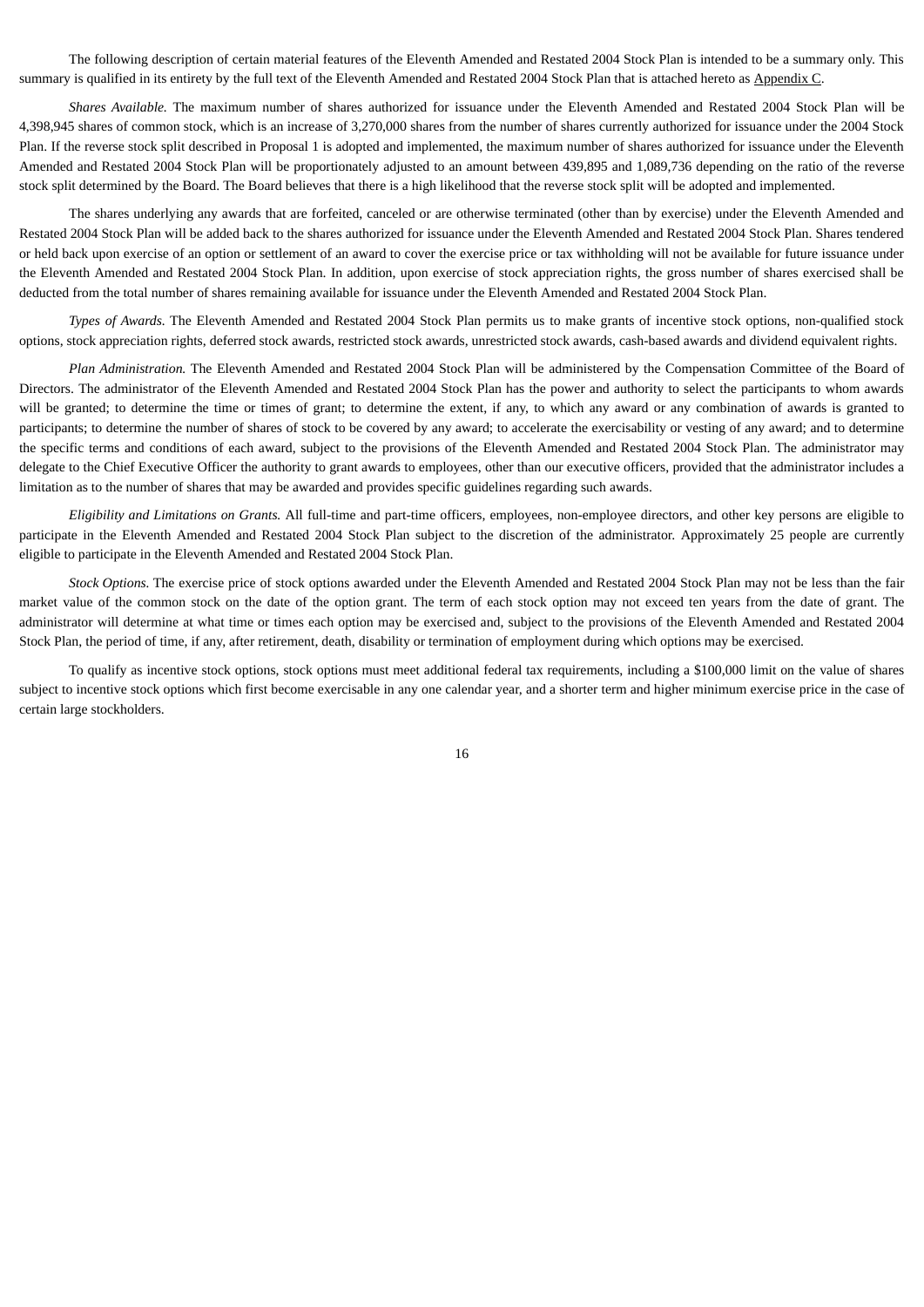The following description of certain material features of the Eleventh Amended and Restated 2004 Stock Plan is intended to be a summary only. This summary is qualified in its entirety by the full text of the Eleventh Amended and Restated 2004 Stock Plan that is attached hereto as Appendix C.

*Shares Available.* The maximum number of shares authorized for issuance under the Eleventh Amended and Restated 2004 Stock Plan will be 4,398,945 shares of common stock, which is an increase of 3,270,000 shares from the number of shares currently authorized for issuance under the 2004 Stock Plan. If the reverse stock split described in Proposal 1 is adopted and implemented, the maximum number of shares authorized for issuance under the Eleventh Amended and Restated 2004 Stock Plan will be proportionately adjusted to an amount between 439,895 and 1,089,736 depending on the ratio of the reverse stock split determined by the Board. The Board believes that there is a high likelihood that the reverse stock split will be adopted and implemented.

The shares underlying any awards that are forfeited, canceled or are otherwise terminated (other than by exercise) under the Eleventh Amended and Restated 2004 Stock Plan will be added back to the shares authorized for issuance under the Eleventh Amended and Restated 2004 Stock Plan. Shares tendered or held back upon exercise of an option or settlement of an award to cover the exercise price or tax withholding will not be available for future issuance under the Eleventh Amended and Restated 2004 Stock Plan. In addition, upon exercise of stock appreciation rights, the gross number of shares exercised shall be deducted from the total number of shares remaining available for issuance under the Eleventh Amended and Restated 2004 Stock Plan.

*Types of Awards.* The Eleventh Amended and Restated 2004 Stock Plan permits us to make grants of incentive stock options, non-qualified stock options, stock appreciation rights, deferred stock awards, restricted stock awards, unrestricted stock awards, cash-based awards and dividend equivalent rights.

*Plan Administration.* The Eleventh Amended and Restated 2004 Stock Plan will be administered by the Compensation Committee of the Board of Directors. The administrator of the Eleventh Amended and Restated 2004 Stock Plan has the power and authority to select the participants to whom awards will be granted; to determine the time or times of grant; to determine the extent, if any, to which any award or any combination of awards is granted to participants; to determine the number of shares of stock to be covered by any award; to accelerate the exercisability or vesting of any award; and to determine the specific terms and conditions of each award, subject to the provisions of the Eleventh Amended and Restated 2004 Stock Plan. The administrator may delegate to the Chief Executive Officer the authority to grant awards to employees, other than our executive officers, provided that the administrator includes a limitation as to the number of shares that may be awarded and provides specific guidelines regarding such awards.

*Eligibility and Limitations on Grants.* All full-time and part-time officers, employees, non-employee directors, and other key persons are eligible to participate in the Eleventh Amended and Restated 2004 Stock Plan subject to the discretion of the administrator. Approximately 25 people are currently eligible to participate in the Eleventh Amended and Restated 2004 Stock Plan.

*Stock Options.* The exercise price of stock options awarded under the Eleventh Amended and Restated 2004 Stock Plan may not be less than the fair market value of the common stock on the date of the option grant. The term of each stock option may not exceed ten years from the date of grant. The administrator will determine at what time or times each option may be exercised and, subject to the provisions of the Eleventh Amended and Restated 2004 Stock Plan, the period of time, if any, after retirement, death, disability or termination of employment during which options may be exercised.

To qualify as incentive stock options, stock options must meet additional federal tax requirements, including a \$100,000 limit on the value of shares subject to incentive stock options which first become exercisable in any one calendar year, and a shorter term and higher minimum exercise price in the case of certain large stockholders.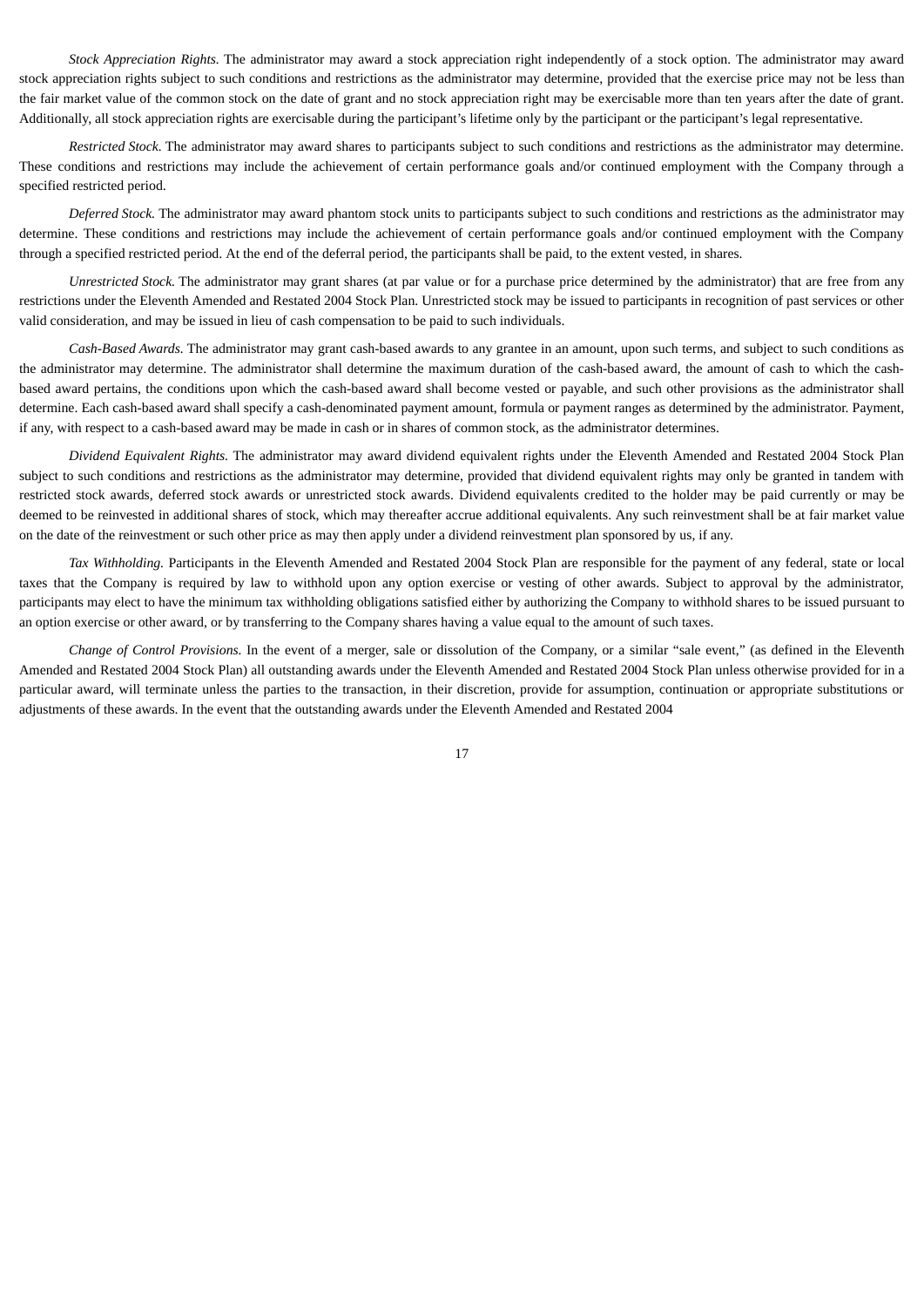*Stock Appreciation Rights.* The administrator may award a stock appreciation right independently of a stock option. The administrator may award stock appreciation rights subject to such conditions and restrictions as the administrator may determine, provided that the exercise price may not be less than the fair market value of the common stock on the date of grant and no stock appreciation right may be exercisable more than ten years after the date of grant. Additionally, all stock appreciation rights are exercisable during the participant's lifetime only by the participant or the participant's legal representative.

*Restricted Stock.* The administrator may award shares to participants subject to such conditions and restrictions as the administrator may determine. These conditions and restrictions may include the achievement of certain performance goals and/or continued employment with the Company through a specified restricted period.

*Deferred Stock.* The administrator may award phantom stock units to participants subject to such conditions and restrictions as the administrator may determine. These conditions and restrictions may include the achievement of certain performance goals and/or continued employment with the Company through a specified restricted period. At the end of the deferral period, the participants shall be paid, to the extent vested, in shares.

*Unrestricted Stock.* The administrator may grant shares (at par value or for a purchase price determined by the administrator) that are free from any restrictions under the Eleventh Amended and Restated 2004 Stock Plan. Unrestricted stock may be issued to participants in recognition of past services or other valid consideration, and may be issued in lieu of cash compensation to be paid to such individuals.

*Cash-Based Awards.* The administrator may grant cash-based awards to any grantee in an amount, upon such terms, and subject to such conditions as the administrator may determine. The administrator shall determine the maximum duration of the cash-based award, the amount of cash to which the cashbased award pertains, the conditions upon which the cash-based award shall become vested or payable, and such other provisions as the administrator shall determine. Each cash-based award shall specify a cash-denominated payment amount, formula or payment ranges as determined by the administrator. Payment, if any, with respect to a cash-based award may be made in cash or in shares of common stock, as the administrator determines.

*Dividend Equivalent Rights.* The administrator may award dividend equivalent rights under the Eleventh Amended and Restated 2004 Stock Plan subject to such conditions and restrictions as the administrator may determine, provided that dividend equivalent rights may only be granted in tandem with restricted stock awards, deferred stock awards or unrestricted stock awards. Dividend equivalents credited to the holder may be paid currently or may be deemed to be reinvested in additional shares of stock, which may thereafter accrue additional equivalents. Any such reinvestment shall be at fair market value on the date of the reinvestment or such other price as may then apply under a dividend reinvestment plan sponsored by us, if any.

*Tax Withholding.* Participants in the Eleventh Amended and Restated 2004 Stock Plan are responsible for the payment of any federal, state or local taxes that the Company is required by law to withhold upon any option exercise or vesting of other awards. Subject to approval by the administrator, participants may elect to have the minimum tax withholding obligations satisfied either by authorizing the Company to withhold shares to be issued pursuant to an option exercise or other award, or by transferring to the Company shares having a value equal to the amount of such taxes.

*Change of Control Provisions.* In the event of a merger, sale or dissolution of the Company, or a similar "sale event," (as defined in the Eleventh Amended and Restated 2004 Stock Plan) all outstanding awards under the Eleventh Amended and Restated 2004 Stock Plan unless otherwise provided for in a particular award, will terminate unless the parties to the transaction, in their discretion, provide for assumption, continuation or appropriate substitutions or adjustments of these awards. In the event that the outstanding awards under the Eleventh Amended and Restated 2004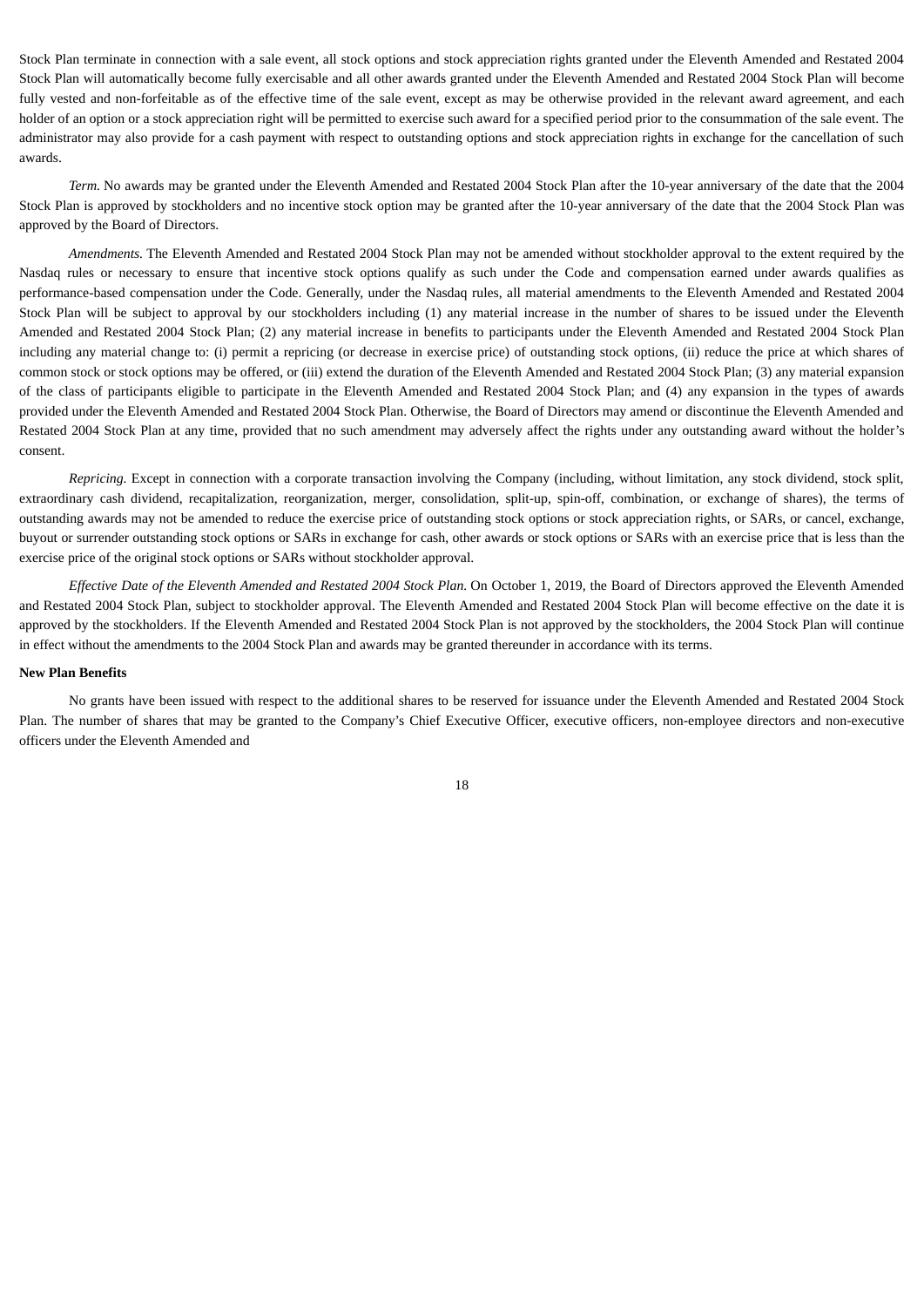Stock Plan terminate in connection with a sale event, all stock options and stock appreciation rights granted under the Eleventh Amended and Restated 2004 Stock Plan will automatically become fully exercisable and all other awards granted under the Eleventh Amended and Restated 2004 Stock Plan will become fully vested and non-forfeitable as of the effective time of the sale event, except as may be otherwise provided in the relevant award agreement, and each holder of an option or a stock appreciation right will be permitted to exercise such award for a specified period prior to the consummation of the sale event. The administrator may also provide for a cash payment with respect to outstanding options and stock appreciation rights in exchange for the cancellation of such awards.

*Term.* No awards may be granted under the Eleventh Amended and Restated 2004 Stock Plan after the 10‑year anniversary of the date that the 2004 Stock Plan is approved by stockholders and no incentive stock option may be granted after the 10‑year anniversary of the date that the 2004 Stock Plan was approved by the Board of Directors.

*Amendments.* The Eleventh Amended and Restated 2004 Stock Plan may not be amended without stockholder approval to the extent required by the Nasdaq rules or necessary to ensure that incentive stock options qualify as such under the Code and compensation earned under awards qualifies as performance-based compensation under the Code. Generally, under the Nasdaq rules, all material amendments to the Eleventh Amended and Restated 2004 Stock Plan will be subject to approval by our stockholders including (1) any material increase in the number of shares to be issued under the Eleventh Amended and Restated 2004 Stock Plan; (2) any material increase in benefits to participants under the Eleventh Amended and Restated 2004 Stock Plan including any material change to: (i) permit a repricing (or decrease in exercise price) of outstanding stock options, (ii) reduce the price at which shares of common stock or stock options may be offered, or (iii) extend the duration of the Eleventh Amended and Restated 2004 Stock Plan; (3) any material expansion of the class of participants eligible to participate in the Eleventh Amended and Restated 2004 Stock Plan; and (4) any expansion in the types of awards provided under the Eleventh Amended and Restated 2004 Stock Plan. Otherwise, the Board of Directors may amend or discontinue the Eleventh Amended and Restated 2004 Stock Plan at any time, provided that no such amendment may adversely affect the rights under any outstanding award without the holder's consent.

*Repricing.* Except in connection with a corporate transaction involving the Company (including, without limitation, any stock dividend, stock split, extraordinary cash dividend, recapitalization, reorganization, merger, consolidation, split-up, spin-off, combination, or exchange of shares), the terms of outstanding awards may not be amended to reduce the exercise price of outstanding stock options or stock appreciation rights, or SARs, or cancel, exchange, buyout or surrender outstanding stock options or SARs in exchange for cash, other awards or stock options or SARs with an exercise price that is less than the exercise price of the original stock options or SARs without stockholder approval.

*Effective Date of the Eleventh Amended and Restated 2004 Stock Plan.* On October 1, 2019, the Board of Directors approved the Eleventh Amended and Restated 2004 Stock Plan, subject to stockholder approval. The Eleventh Amended and Restated 2004 Stock Plan will become effective on the date it is approved by the stockholders. If the Eleventh Amended and Restated 2004 Stock Plan is not approved by the stockholders, the 2004 Stock Plan will continue in effect without the amendments to the 2004 Stock Plan and awards may be granted thereunder in accordance with its terms.

#### **New Plan Benefits**

No grants have been issued with respect to the additional shares to be reserved for issuance under the Eleventh Amended and Restated 2004 Stock Plan. The number of shares that may be granted to the Company's Chief Executive Officer, executive officers, non-employee directors and non-executive officers under the Eleventh Amended and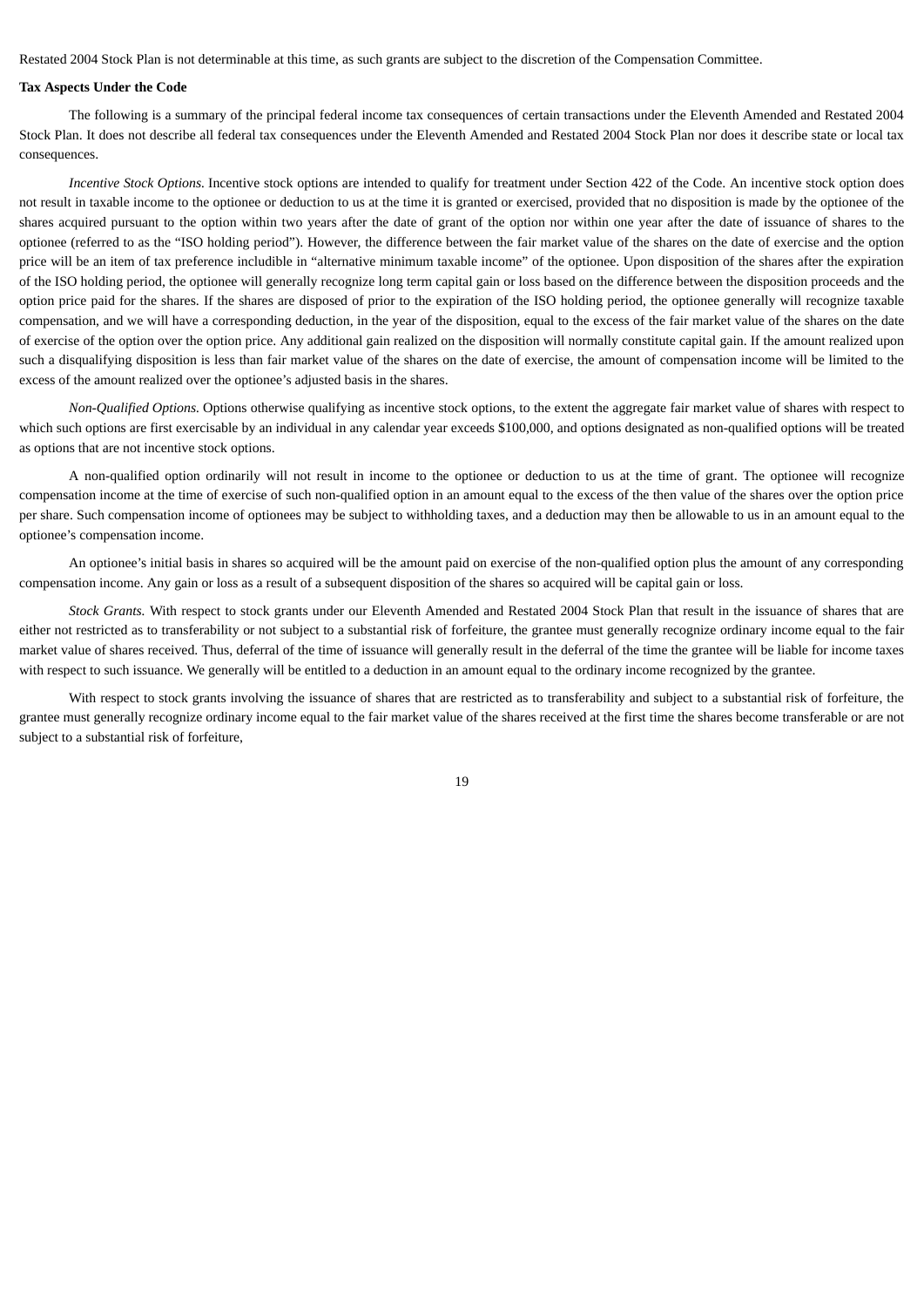Restated 2004 Stock Plan is not determinable at this time, as such grants are subject to the discretion of the Compensation Committee.

# **Tax Aspects Under the Code**

The following is a summary of the principal federal income tax consequences of certain transactions under the Eleventh Amended and Restated 2004 Stock Plan. It does not describe all federal tax consequences under the Eleventh Amended and Restated 2004 Stock Plan nor does it describe state or local tax consequences.

*Incentive Stock Options.* Incentive stock options are intended to qualify for treatment under Section 422 of the Code. An incentive stock option does not result in taxable income to the optionee or deduction to us at the time it is granted or exercised, provided that no disposition is made by the optionee of the shares acquired pursuant to the option within two years after the date of grant of the option nor within one year after the date of issuance of shares to the optionee (referred to as the "ISO holding period"). However, the difference between the fair market value of the shares on the date of exercise and the option price will be an item of tax preference includible in "alternative minimum taxable income" of the optionee. Upon disposition of the shares after the expiration of the ISO holding period, the optionee will generally recognize long term capital gain or loss based on the difference between the disposition proceeds and the option price paid for the shares. If the shares are disposed of prior to the expiration of the ISO holding period, the optionee generally will recognize taxable compensation, and we will have a corresponding deduction, in the year of the disposition, equal to the excess of the fair market value of the shares on the date of exercise of the option over the option price. Any additional gain realized on the disposition will normally constitute capital gain. If the amount realized upon such a disqualifying disposition is less than fair market value of the shares on the date of exercise, the amount of compensation income will be limited to the excess of the amount realized over the optionee's adjusted basis in the shares.

*Non-Qualified Options.* Options otherwise qualifying as incentive stock options, to the extent the aggregate fair market value of shares with respect to which such options are first exercisable by an individual in any calendar year exceeds \$100,000, and options designated as non-qualified options will be treated as options that are not incentive stock options.

A non-qualified option ordinarily will not result in income to the optionee or deduction to us at the time of grant. The optionee will recognize compensation income at the time of exercise of such non-qualified option in an amount equal to the excess of the then value of the shares over the option price per share. Such compensation income of optionees may be subject to withholding taxes, and a deduction may then be allowable to us in an amount equal to the optionee's compensation income.

An optionee's initial basis in shares so acquired will be the amount paid on exercise of the non-qualified option plus the amount of any corresponding compensation income. Any gain or loss as a result of a subsequent disposition of the shares so acquired will be capital gain or loss.

*Stock Grants.* With respect to stock grants under our Eleventh Amended and Restated 2004 Stock Plan that result in the issuance of shares that are either not restricted as to transferability or not subject to a substantial risk of forfeiture, the grantee must generally recognize ordinary income equal to the fair market value of shares received. Thus, deferral of the time of issuance will generally result in the deferral of the time the grantee will be liable for income taxes with respect to such issuance. We generally will be entitled to a deduction in an amount equal to the ordinary income recognized by the grantee.

With respect to stock grants involving the issuance of shares that are restricted as to transferability and subject to a substantial risk of forfeiture, the grantee must generally recognize ordinary income equal to the fair market value of the shares received at the first time the shares become transferable or are not subject to a substantial risk of forfeiture,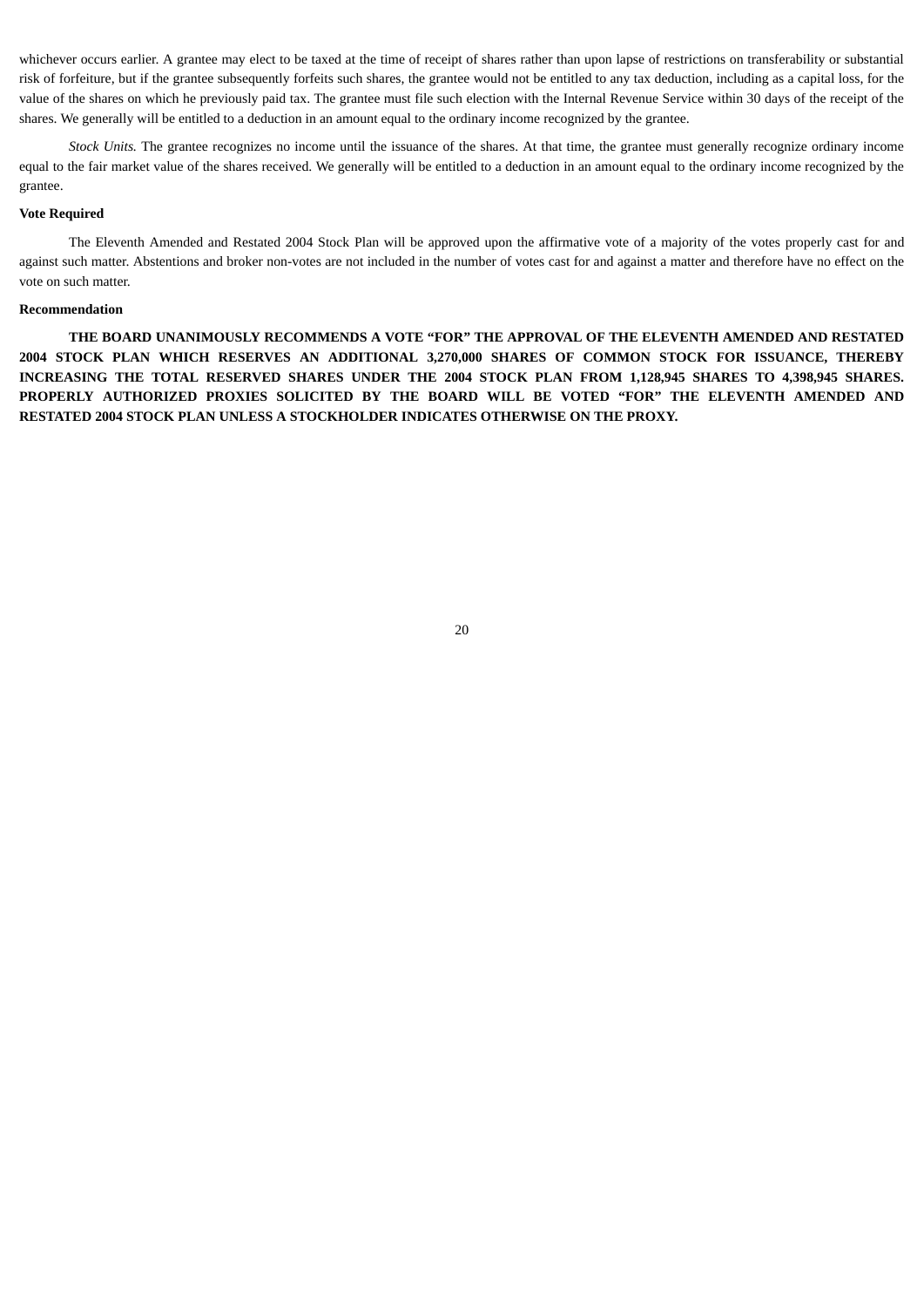whichever occurs earlier. A grantee may elect to be taxed at the time of receipt of shares rather than upon lapse of restrictions on transferability or substantial risk of forfeiture, but if the grantee subsequently forfeits such shares, the grantee would not be entitled to any tax deduction, including as a capital loss, for the value of the shares on which he previously paid tax. The grantee must file such election with the Internal Revenue Service within 30 days of the receipt of the shares. We generally will be entitled to a deduction in an amount equal to the ordinary income recognized by the grantee.

*Stock Units.* The grantee recognizes no income until the issuance of the shares. At that time, the grantee must generally recognize ordinary income equal to the fair market value of the shares received. We generally will be entitled to a deduction in an amount equal to the ordinary income recognized by the grantee.

# **Vote Required**

The Eleventh Amended and Restated 2004 Stock Plan will be approved upon the affirmative vote of a majority of the votes properly cast for and against such matter. Abstentions and broker non-votes are not included in the number of votes cast for and against a matter and therefore have no effect on the vote on such matter.

# **Recommendation**

**THE BOARD UNANIMOUSLY RECOMMENDS A VOTE "FOR" THE APPROVAL OF THE ELEVENTH AMENDED AND RESTATED 2004 STOCK PLAN WHICH RESERVES AN ADDITIONAL 3,270,000 SHARES OF COMMON STOCK FOR ISSUANCE, THEREBY INCREASING THE TOTAL RESERVED SHARES UNDER THE 2004 STOCK PLAN FROM 1,128,945 SHARES TO 4,398,945 SHARES. PROPERLY AUTHORIZED PROXIES SOLICITED BY THE BOARD WILL BE VOTED "FOR" THE ELEVENTH AMENDED AND RESTATED 2004 STOCK PLAN UNLESS A STOCKHOLDER INDICATES OTHERWISE ON THE PROXY.**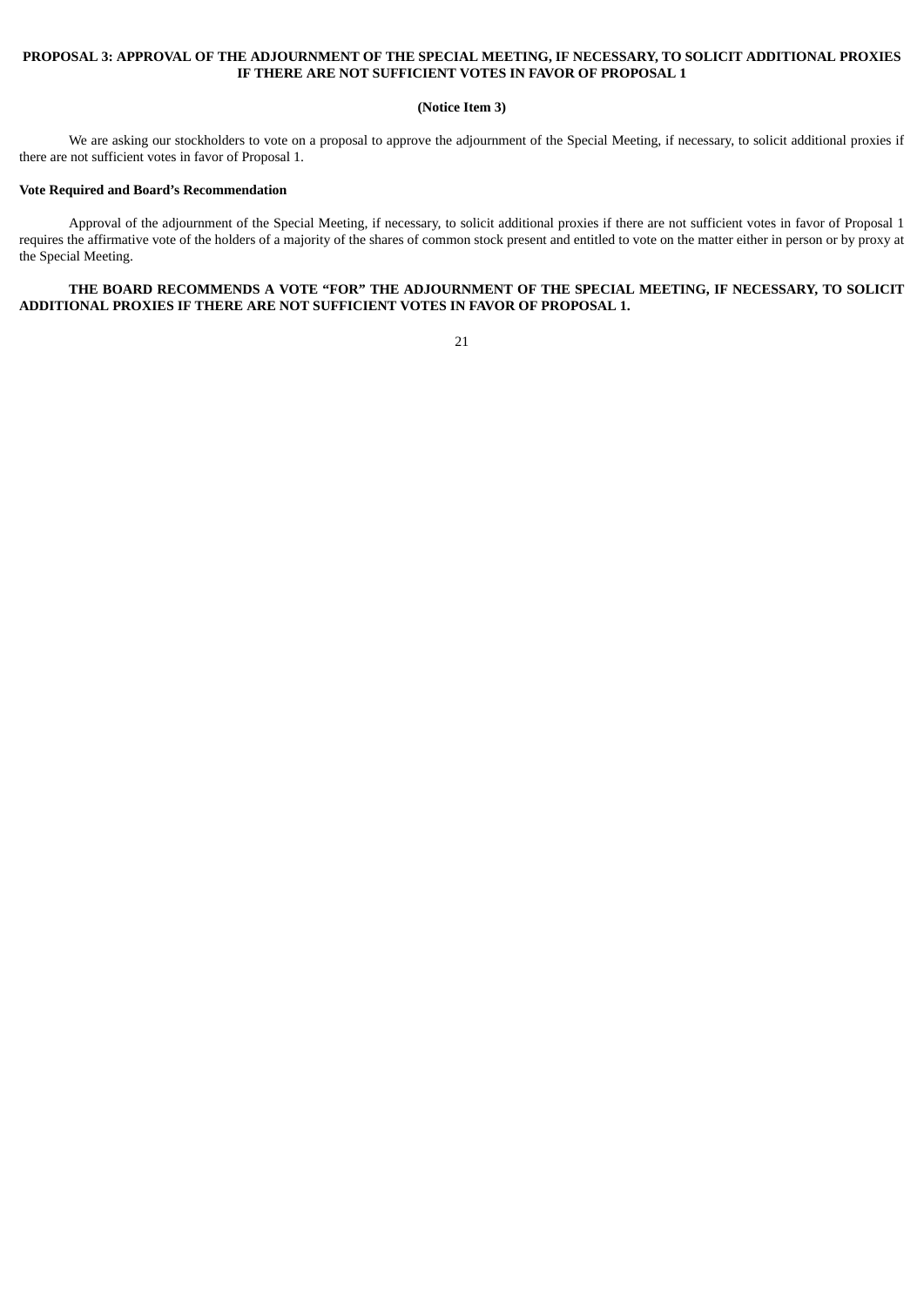# **PROPOSAL 3: APPROVAL OF THE ADJOURNMENT OF THE SPECIAL MEETING, IF NECESSARY, TO SOLICIT ADDITIONAL PROXIES IF THERE ARE NOT SUFFICIENT VOTES IN FAVOR OF PROPOSAL 1**

#### **(Notice Item 3)**

We are asking our stockholders to vote on a proposal to approve the adjournment of the Special Meeting, if necessary, to solicit additional proxies if there are not sufficient votes in favor of Proposal 1.

#### **Vote Required and Board's Recommendation**

Approval of the adjournment of the Special Meeting, if necessary, to solicit additional proxies if there are not sufficient votes in favor of Proposal 1 requires the affirmative vote of the holders of a majority of the shares of common stock present and entitled to vote on the matter either in person or by proxy at the Special Meeting.

**THE BOARD RECOMMENDS A VOTE "FOR" THE ADJOURNMENT OF THE SPECIAL MEETING, IF NECESSARY, TO SOLICIT ADDITIONAL PROXIES IF THERE ARE NOT SUFFICIENT VOTES IN FAVOR OF PROPOSAL 1.**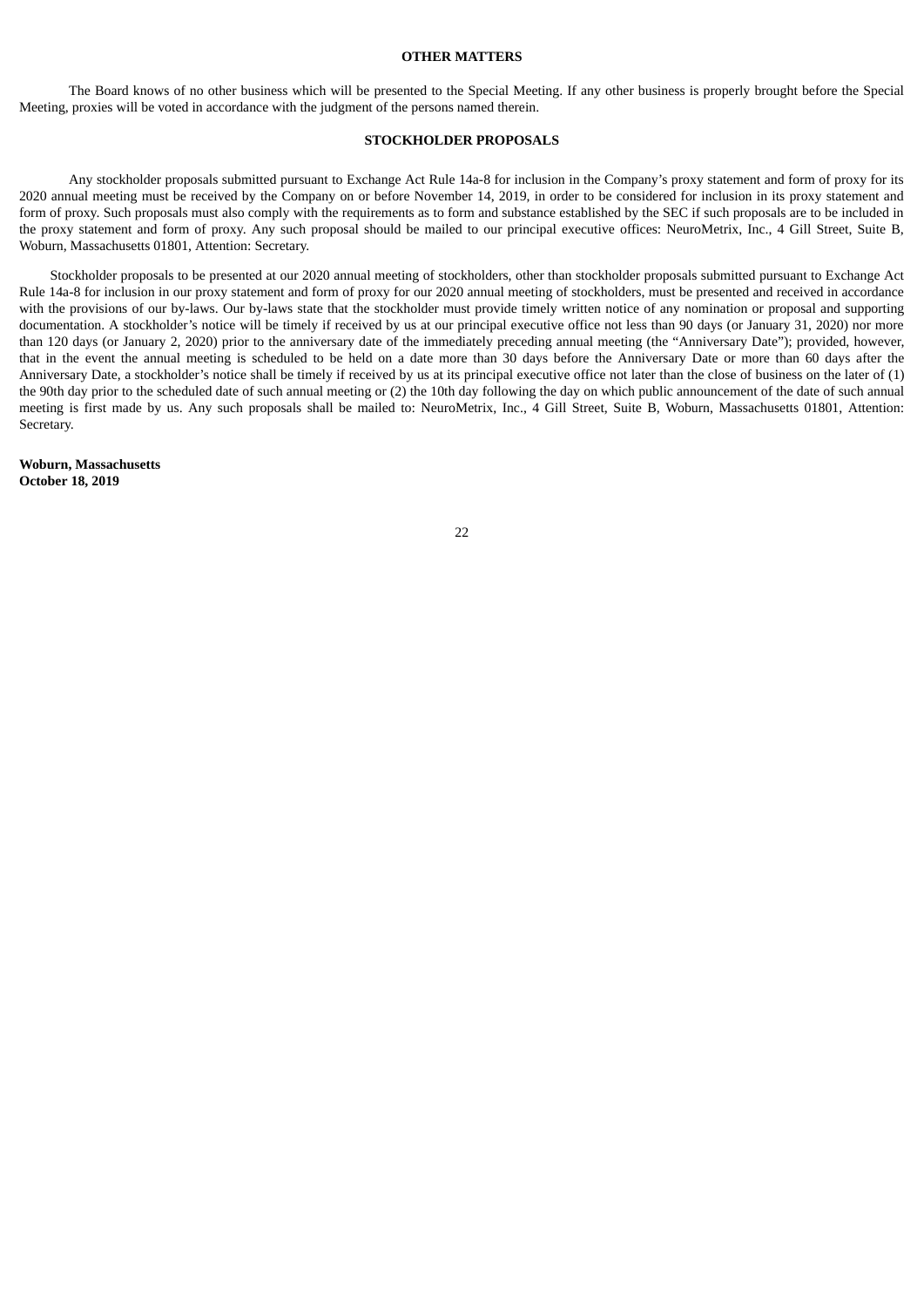#### **OTHER MATTERS**

The Board knows of no other business which will be presented to the Special Meeting. If any other business is properly brought before the Special Meeting, proxies will be voted in accordance with the judgment of the persons named therein.

# **STOCKHOLDER PROPOSALS**

Any stockholder proposals submitted pursuant to Exchange Act Rule 14a-8 for inclusion in the Company's proxy statement and form of proxy for its 2020 annual meeting must be received by the Company on or before November 14, 2019, in order to be considered for inclusion in its proxy statement and form of proxy. Such proposals must also comply with the requirements as to form and substance established by the SEC if such proposals are to be included in the proxy statement and form of proxy. Any such proposal should be mailed to our principal executive offices: NeuroMetrix, Inc., 4 Gill Street, Suite B, Woburn, Massachusetts 01801, Attention: Secretary.

Stockholder proposals to be presented at our 2020 annual meeting of stockholders, other than stockholder proposals submitted pursuant to Exchange Act Rule 14a-8 for inclusion in our proxy statement and form of proxy for our 2020 annual meeting of stockholders, must be presented and received in accordance with the provisions of our by-laws. Our by-laws state that the stockholder must provide timely written notice of any nomination or proposal and supporting documentation. A stockholder's notice will be timely if received by us at our principal executive office not less than 90 days (or January 31, 2020) nor more than 120 days (or January 2, 2020) prior to the anniversary date of the immediately preceding annual meeting (the "Anniversary Date"); provided, however, that in the event the annual meeting is scheduled to be held on a date more than 30 days before the Anniversary Date or more than 60 days after the Anniversary Date, a stockholder's notice shall be timely if received by us at its principal executive office not later than the close of business on the later of (1) the 90th day prior to the scheduled date of such annual meeting or (2) the 10th day following the day on which public announcement of the date of such annual meeting is first made by us. Any such proposals shall be mailed to: NeuroMetrix, Inc., 4 Gill Street, Suite B, Woburn, Massachusetts 01801, Attention: Secretary.

**Woburn, Massachusetts October 18, 2019**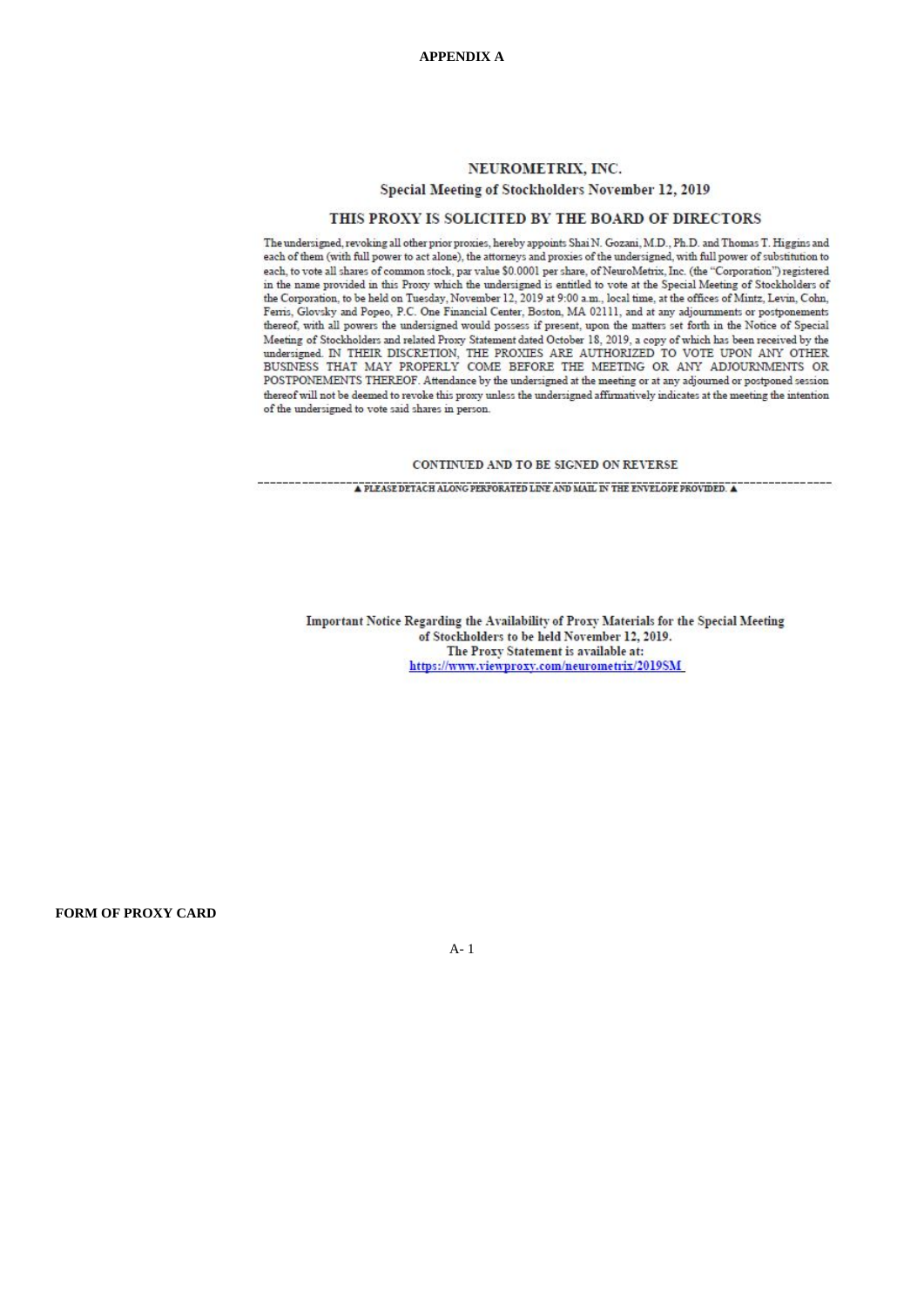# NEUROMETRIX, INC. Special Meeting of Stockholders November 12, 2019

# THIS PROXY IS SOLICITED BY THE BOARD OF DIRECTORS

The undersigned, revoking all other prior proxies, hereby appoints Shai N. Gozani, M.D., Ph.D. and Thomas T. Higgins and each of them (with full power to act alone), the attorneys and proxies of the undersigned, with full power of substitution to each, to vote all shares of common stock, par value \$0.0001 per share, of NeuroMetrix. Inc. (the "Corporation") registered in the name provided in this Proxy which the undersigned is entitled to vote at the Special Meeting of Stockholders of the Corporation, to be held on Tuesday, November 12, 2019 at 9:00 a.m., local time, at the offices of Mintz, Levin, Cohn, Ferris, Glovsky and Popeo, P.C. One Financial Center, Boston, MA 02111, and at any adjournments or postponements thereof, with all powers the undersigned would possess if present, upon the matters set forth in the Notice of Special Meeting of Stockholders and related Proxy Statement dated October 18, 2019, a copy of which has been received by the indersigned IN THEIR DISCRETION, THE PROXIES ARE AUTHORIZED TO VOTE UPON ANY OTHER BUSINESS THAT MAY PROPERLY COME BEFORE THE MEETING OR ANY ADJOURNMENTS OR POSTPONEMENTS THEREOF. Attendance by the undersigned at the meeting or at any adjourned or postponed session thereof will not be deemed to revoke this proxy unless the undersigned affumatively indicates at the meeting the intention of the undersigned to vote said shares in person.

#### CONTINUED AND TO BE SIGNED ON REVERSE

 $\blacktriangle$  PLEASE DETACH ALONG PERFORATED LINE AND MAIL IN THE ENVELOPE PROVIDED.  $\blacktriangle$ 

Important Notice Regarding the Availability of Proxy Materials for the Special Meeting of Stockholders to be held November 12, 2019. The Proxy Statement is available at: https://www.viewproxy.com/neurometrix/2019SM

**FORM OF PROXY CARD**

A- 1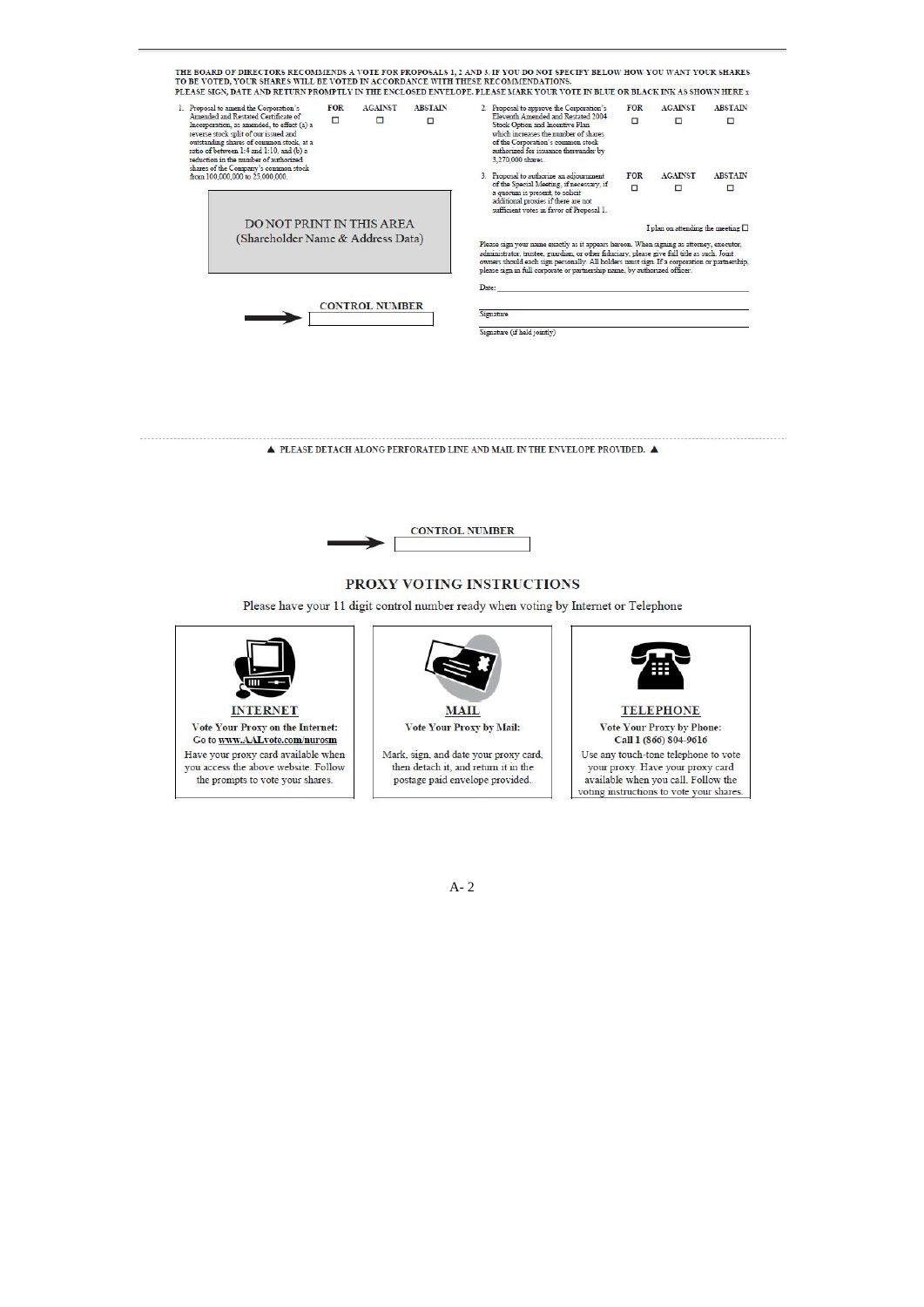

A- 2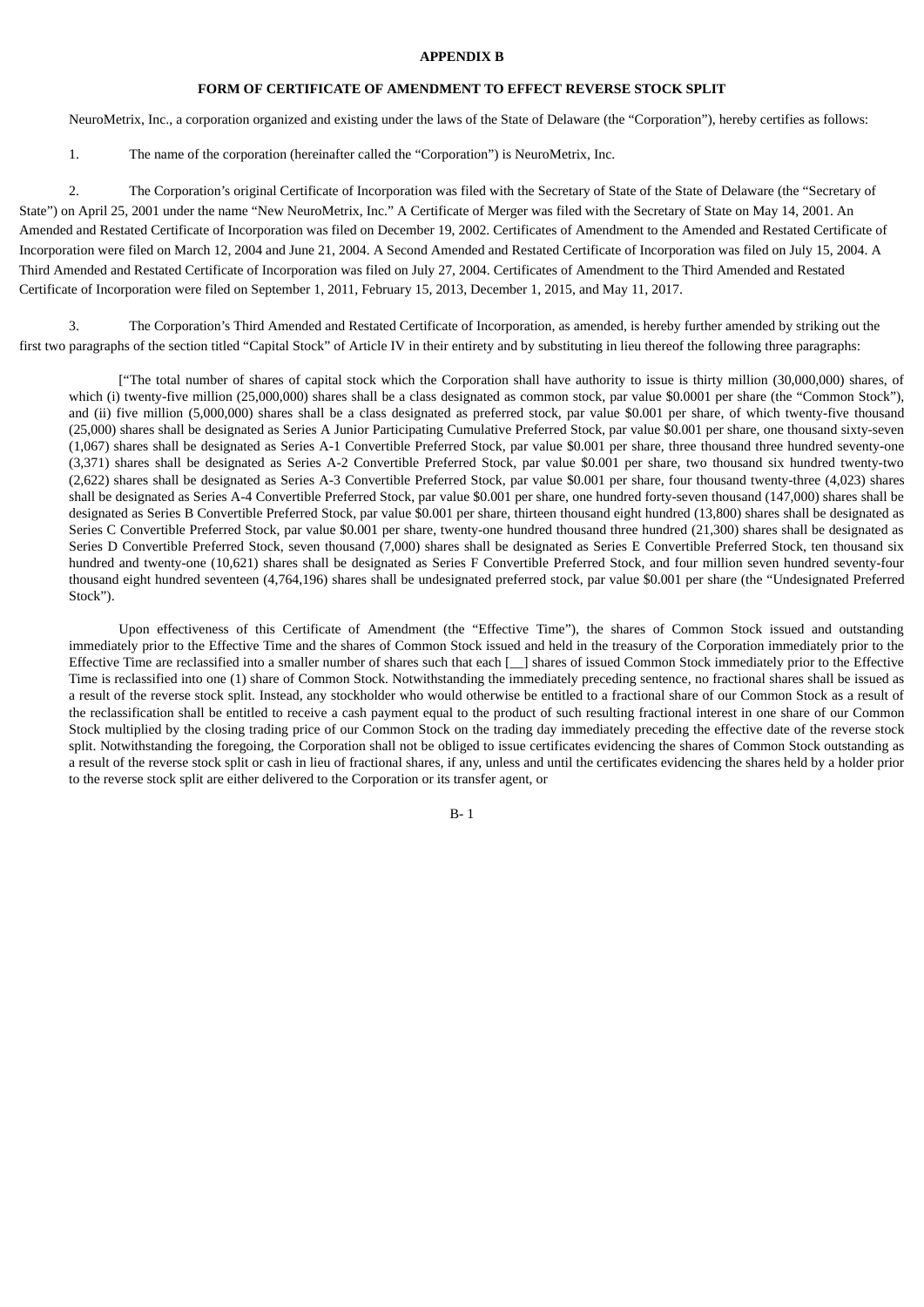#### **APPENDIX B**

# **FORM OF CERTIFICATE OF AMENDMENT TO EFFECT REVERSE STOCK SPLIT**

NeuroMetrix, Inc., a corporation organized and existing under the laws of the State of Delaware (the "Corporation"), hereby certifies as follows:

1. The name of the corporation (hereinafter called the "Corporation") is NeuroMetrix, Inc.

2. The Corporation's original Certificate of Incorporation was filed with the Secretary of State of the State of Delaware (the "Secretary of State") on April 25, 2001 under the name "New NeuroMetrix, Inc." A Certificate of Merger was filed with the Secretary of State on May 14, 2001. An Amended and Restated Certificate of Incorporation was filed on December 19, 2002. Certificates of Amendment to the Amended and Restated Certificate of Incorporation were filed on March 12, 2004 and June 21, 2004. A Second Amended and Restated Certificate of Incorporation was filed on July 15, 2004. A Third Amended and Restated Certificate of Incorporation was filed on July 27, 2004. Certificates of Amendment to the Third Amended and Restated Certificate of Incorporation were filed on September 1, 2011, February 15, 2013, December 1, 2015, and May 11, 2017.

3. The Corporation's Third Amended and Restated Certificate of Incorporation, as amended, is hereby further amended by striking out the first two paragraphs of the section titled "Capital Stock" of Article IV in their entirety and by substituting in lieu thereof the following three paragraphs:

["The total number of shares of capital stock which the Corporation shall have authority to issue is thirty million (30,000,000) shares, of which (i) twenty-five million (25,000,000) shares shall be a class designated as common stock, par value \$0.0001 per share (the "Common Stock"), and (ii) five million (5,000,000) shares shall be a class designated as preferred stock, par value \$0.001 per share, of which twenty-five thousand (25,000) shares shall be designated as Series A Junior Participating Cumulative Preferred Stock, par value \$0.001 per share, one thousand sixty-seven (1,067) shares shall be designated as Series A-1 Convertible Preferred Stock, par value \$0.001 per share, three thousand three hundred seventy-one (3,371) shares shall be designated as Series A-2 Convertible Preferred Stock, par value \$0.001 per share, two thousand six hundred twenty-two (2,622) shares shall be designated as Series A-3 Convertible Preferred Stock, par value \$0.001 per share, four thousand twenty-three (4,023) shares shall be designated as Series A-4 Convertible Preferred Stock, par value \$0.001 per share, one hundred forty-seven thousand (147,000) shares shall be designated as Series B Convertible Preferred Stock, par value \$0.001 per share, thirteen thousand eight hundred (13,800) shares shall be designated as Series C Convertible Preferred Stock, par value \$0.001 per share, twenty-one hundred thousand three hundred (21,300) shares shall be designated as Series D Convertible Preferred Stock, seven thousand (7,000) shares shall be designated as Series E Convertible Preferred Stock, ten thousand six hundred and twenty-one (10,621) shares shall be designated as Series F Convertible Preferred Stock, and four million seven hundred seventy-four thousand eight hundred seventeen (4,764,196) shares shall be undesignated preferred stock, par value \$0.001 per share (the "Undesignated Preferred Stock").

Upon effectiveness of this Certificate of Amendment (the "Effective Time"), the shares of Common Stock issued and outstanding immediately prior to the Effective Time and the shares of Common Stock issued and held in the treasury of the Corporation immediately prior to the Effective Time are reclassified into a smaller number of shares such that each [\_\_] shares of issued Common Stock immediately prior to the Effective Time is reclassified into one (1) share of Common Stock. Notwithstanding the immediately preceding sentence, no fractional shares shall be issued as a result of the reverse stock split. Instead, any stockholder who would otherwise be entitled to a fractional share of our Common Stock as a result of the reclassification shall be entitled to receive a cash payment equal to the product of such resulting fractional interest in one share of our Common Stock multiplied by the closing trading price of our Common Stock on the trading day immediately preceding the effective date of the reverse stock split. Notwithstanding the foregoing, the Corporation shall not be obliged to issue certificates evidencing the shares of Common Stock outstanding as a result of the reverse stock split or cash in lieu of fractional shares, if any, unless and until the certificates evidencing the shares held by a holder prior to the reverse stock split are either delivered to the Corporation or its transfer agent, or

B- 1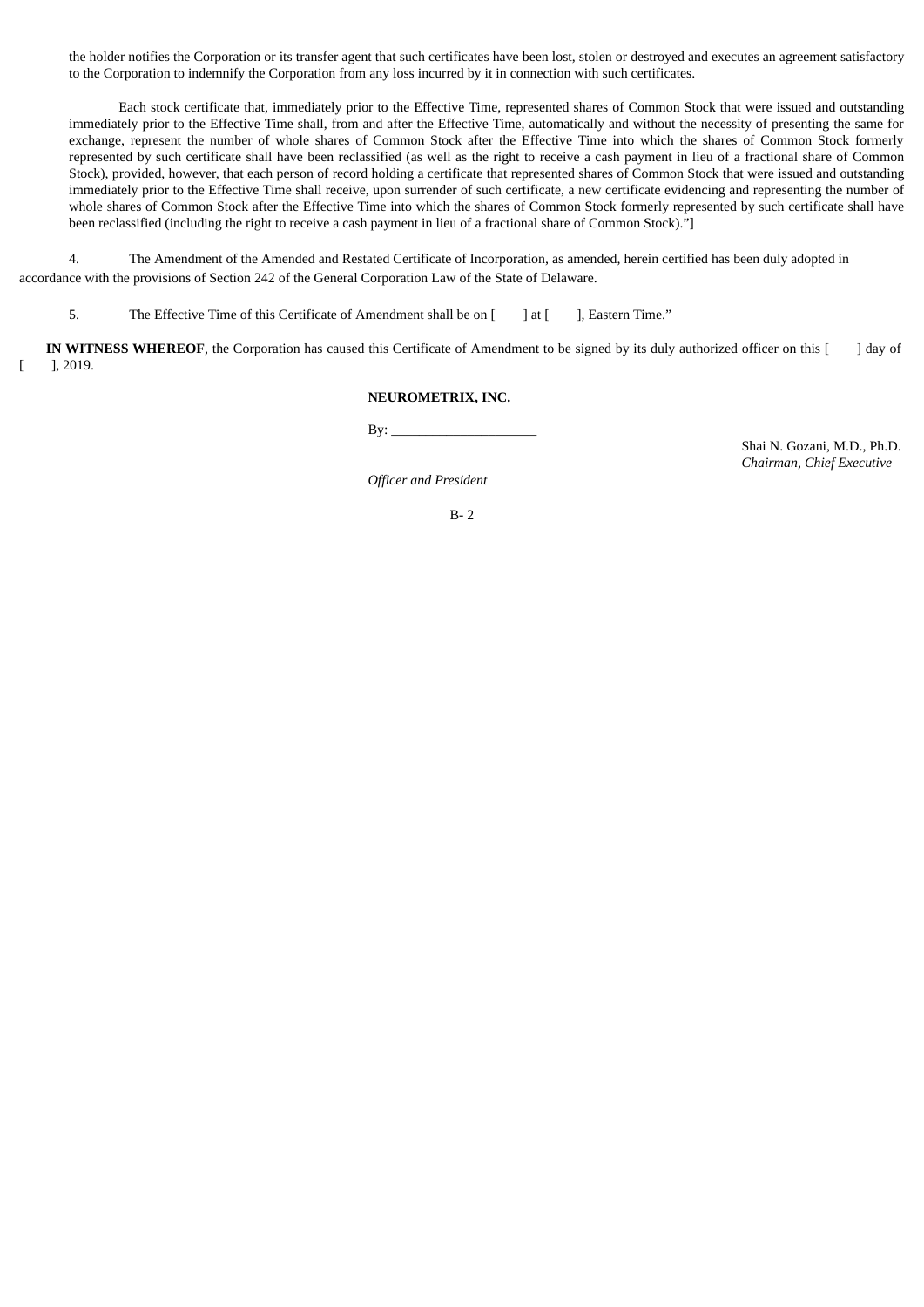the holder notifies the Corporation or its transfer agent that such certificates have been lost, stolen or destroyed and executes an agreement satisfactory to the Corporation to indemnify the Corporation from any loss incurred by it in connection with such certificates.

Each stock certificate that, immediately prior to the Effective Time, represented shares of Common Stock that were issued and outstanding immediately prior to the Effective Time shall, from and after the Effective Time, automatically and without the necessity of presenting the same for exchange, represent the number of whole shares of Common Stock after the Effective Time into which the shares of Common Stock formerly represented by such certificate shall have been reclassified (as well as the right to receive a cash payment in lieu of a fractional share of Common Stock), provided, however, that each person of record holding a certificate that represented shares of Common Stock that were issued and outstanding immediately prior to the Effective Time shall receive, upon surrender of such certificate, a new certificate evidencing and representing the number of whole shares of Common Stock after the Effective Time into which the shares of Common Stock formerly represented by such certificate shall have been reclassified (including the right to receive a cash payment in lieu of a fractional share of Common Stock)."]

4. The Amendment of the Amended and Restated Certificate of Incorporation, as amended, herein certified has been duly adopted in accordance with the provisions of Section 242 of the General Corporation Law of the State of Delaware.

5. The Effective Time of this Certificate of Amendment shall be on [ ] at [ ], Eastern Time."

**IN WITNESS WHEREOF**, the Corporation has caused this Certificate of Amendment to be signed by its duly authorized officer on this [ ] day of  $[$  ], 2019.

# **NEUROMETRIX, INC.**

 $By:$ 

Shai N. Gozani, M.D., Ph.D. *Chairman, Chief Executive*

*Officer and President*

B- 2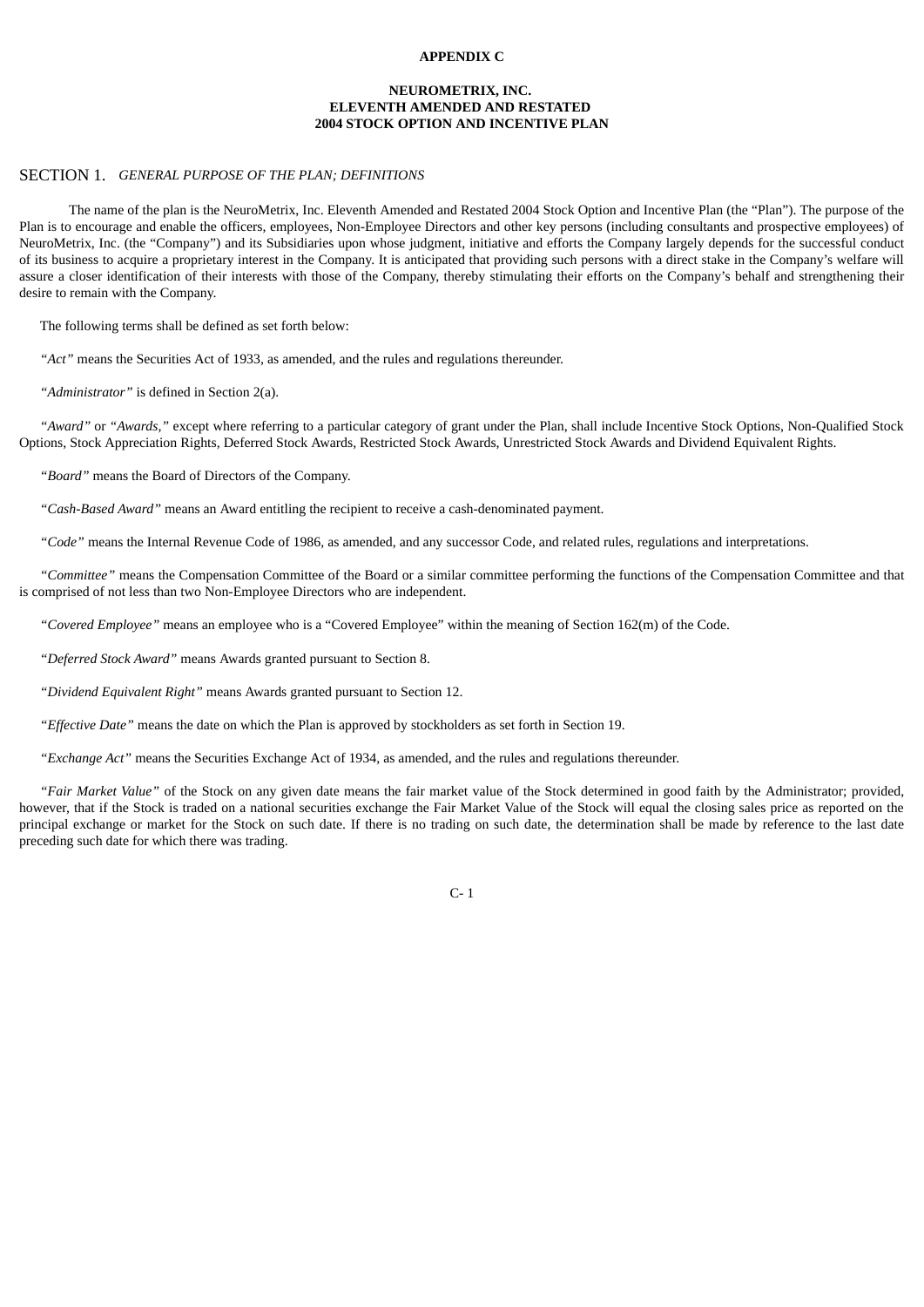# **APPENDIX C**

# **NEUROMETRIX, INC. ELEVENTH AMENDED AND RESTATED 2004 STOCK OPTION AND INCENTIVE PLAN**

#### SECTION 1. *GENERAL PURPOSE OF THE PLAN; DEFINITIONS*

The name of the plan is the NeuroMetrix, Inc. Eleventh Amended and Restated 2004 Stock Option and Incentive Plan (the "Plan"). The purpose of the Plan is to encourage and enable the officers, employees, Non-Employee Directors and other key persons (including consultants and prospective employees) of NeuroMetrix, Inc. (the "Company") and its Subsidiaries upon whose judgment, initiative and efforts the Company largely depends for the successful conduct of its business to acquire a proprietary interest in the Company. It is anticipated that providing such persons with a direct stake in the Company's welfare will assure a closer identification of their interests with those of the Company, thereby stimulating their efforts on the Company's behalf and strengthening their desire to remain with the Company.

The following terms shall be defined as set forth below:

*"Act"* means the Securities Act of 1933, as amended, and the rules and regulations thereunder.

*"Administrator"* is defined in Section 2(a).

*"Award"* or *"Awards,"* except where referring to a particular category of grant under the Plan, shall include Incentive Stock Options, Non-Qualified Stock Options, Stock Appreciation Rights, Deferred Stock Awards, Restricted Stock Awards, Unrestricted Stock Awards and Dividend Equivalent Rights.

*"Board"* means the Board of Directors of the Company.

*"Cash-Based Award"* means an Award entitling the recipient to receive a cash-denominated payment.

*"Code"* means the Internal Revenue Code of 1986, as amended, and any successor Code, and related rules, regulations and interpretations.

*"Committee"* means the Compensation Committee of the Board or a similar committee performing the functions of the Compensation Committee and that is comprised of not less than two Non-Employee Directors who are independent.

*"Covered Employee"* means an employee who is a "Covered Employee" within the meaning of Section 162(m) of the Code.

*"Deferred Stock Award"* means Awards granted pursuant to Section 8.

*"Dividend Equivalent Right"* means Awards granted pursuant to Section 12.

*"Effective Date"* means the date on which the Plan is approved by stockholders as set forth in Section 19.

*"Exchange Act"* means the Securities Exchange Act of 1934, as amended, and the rules and regulations thereunder.

*"Fair Market Value"* of the Stock on any given date means the fair market value of the Stock determined in good faith by the Administrator; provided, however, that if the Stock is traded on a national securities exchange the Fair Market Value of the Stock will equal the closing sales price as reported on the principal exchange or market for the Stock on such date. If there is no trading on such date, the determination shall be made by reference to the last date preceding such date for which there was trading.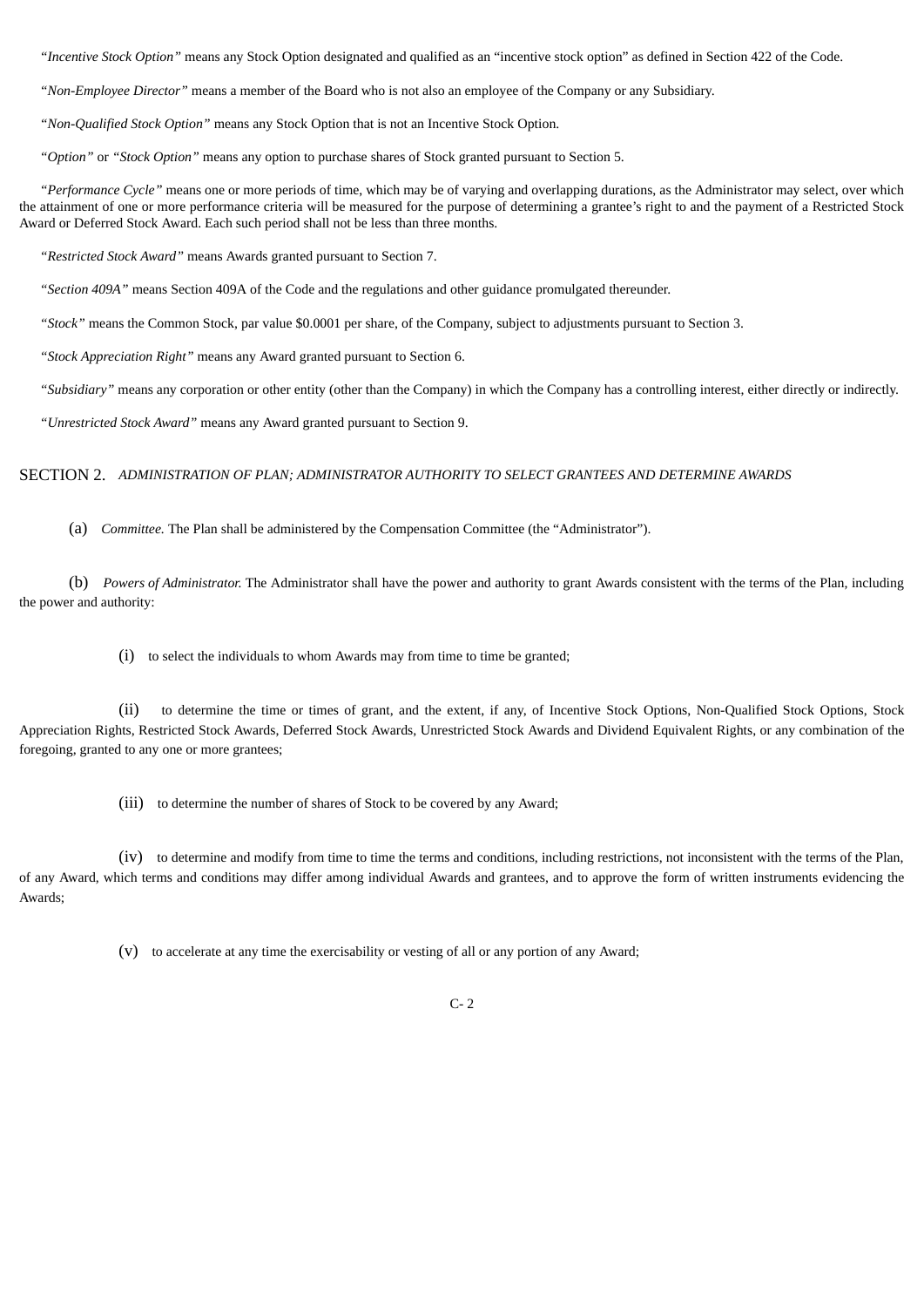*"Incentive Stock Option"* means any Stock Option designated and qualified as an "incentive stock option" as defined in Section 422 of the Code.

*"Non-Employee Director"* means a member of the Board who is not also an employee of the Company or any Subsidiary.

*"Non-Qualified Stock Option"* means any Stock Option that is not an Incentive Stock Option.

*"Option"* or *"Stock Option"* means any option to purchase shares of Stock granted pursuant to Section 5.

*"Performance Cycle"* means one or more periods of time, which may be of varying and overlapping durations, as the Administrator may select, over which the attainment of one or more performance criteria will be measured for the purpose of determining a grantee's right to and the payment of a Restricted Stock Award or Deferred Stock Award. Each such period shall not be less than three months.

*"Restricted Stock Award"* means Awards granted pursuant to Section 7.

*"Section 409A"* means Section 409A of the Code and the regulations and other guidance promulgated thereunder.

*"Stock"* means the Common Stock, par value \$0.0001 per share, of the Company, subject to adjustments pursuant to Section 3.

*"Stock Appreciation Right"* means any Award granted pursuant to Section 6.

*"Subsidiary"* means any corporation or other entity (other than the Company) in which the Company has a controlling interest, either directly or indirectly.

*"Unrestricted Stock Award"* means any Award granted pursuant to Section 9.

# SECTION 2. *ADMINISTRATION OF PLAN; ADMINISTRATOR AUTHORITY TO SELECT GRANTEES AND DETERMINE AWARDS*

(a) *Committee.* The Plan shall be administered by the Compensation Committee (the "Administrator").

(b) *Powers of Administrator.* The Administrator shall have the power and authority to grant Awards consistent with the terms of the Plan, including the power and authority:

(i) to select the individuals to whom Awards may from time to time be granted;

(ii) to determine the time or times of grant, and the extent, if any, of Incentive Stock Options, Non-Qualified Stock Options, Stock Appreciation Rights, Restricted Stock Awards, Deferred Stock Awards, Unrestricted Stock Awards and Dividend Equivalent Rights, or any combination of the foregoing, granted to any one or more grantees;

(iii) to determine the number of shares of Stock to be covered by any Award;

(iv) to determine and modify from time to time the terms and conditions, including restrictions, not inconsistent with the terms of the Plan, of any Award, which terms and conditions may differ among individual Awards and grantees, and to approve the form of written instruments evidencing the Awards;

(v) to accelerate at any time the exercisability or vesting of all or any portion of any Award;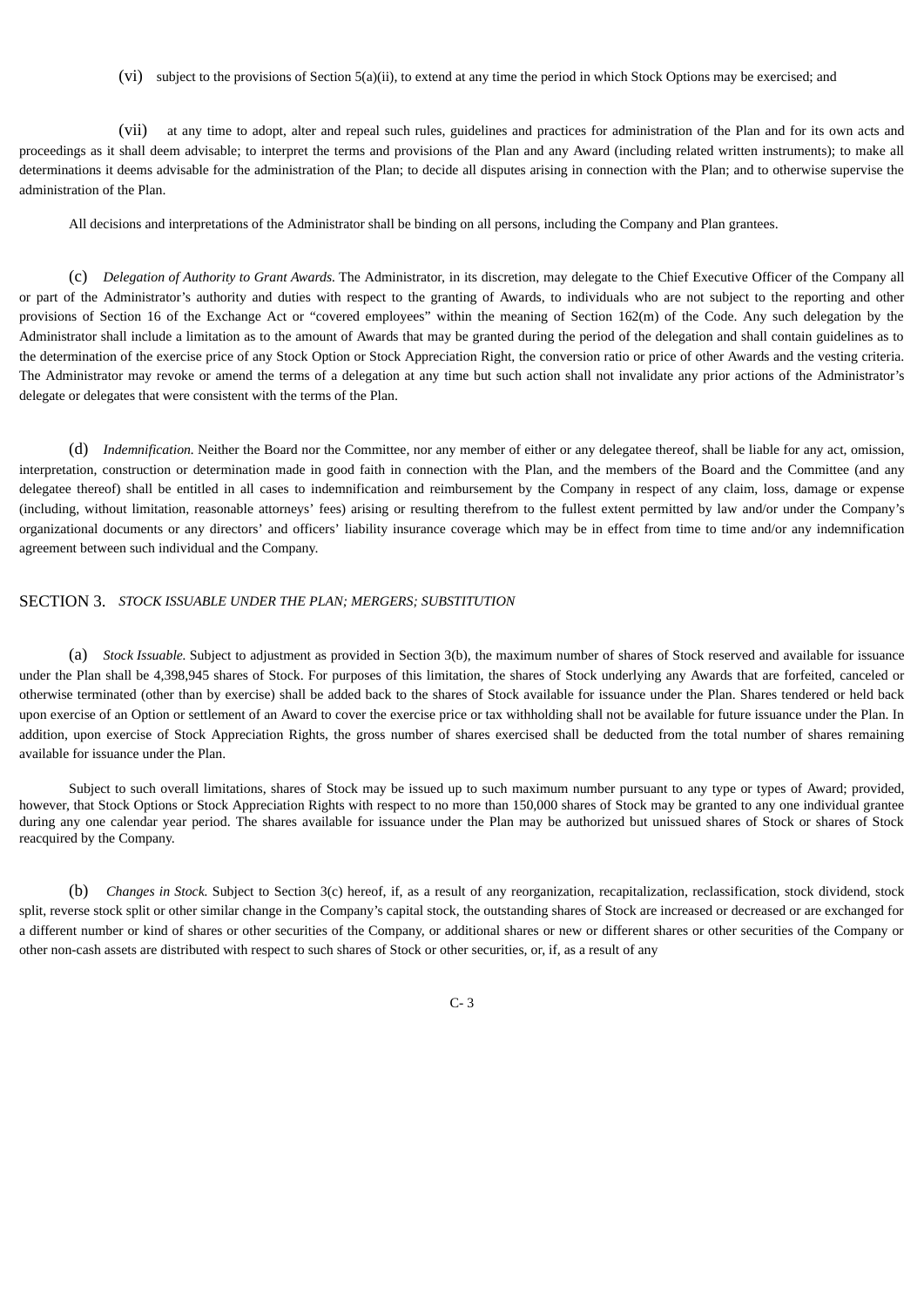(vi) subject to the provisions of Section 5(a)(ii), to extend at any time the period in which Stock Options may be exercised; and

(vii) at any time to adopt, alter and repeal such rules, guidelines and practices for administration of the Plan and for its own acts and proceedings as it shall deem advisable; to interpret the terms and provisions of the Plan and any Award (including related written instruments); to make all determinations it deems advisable for the administration of the Plan; to decide all disputes arising in connection with the Plan; and to otherwise supervise the administration of the Plan.

All decisions and interpretations of the Administrator shall be binding on all persons, including the Company and Plan grantees.

(c) *Delegation of Authority to Grant Awards.* The Administrator, in its discretion, may delegate to the Chief Executive Officer of the Company all or part of the Administrator's authority and duties with respect to the granting of Awards, to individuals who are not subject to the reporting and other provisions of Section 16 of the Exchange Act or "covered employees" within the meaning of Section 162(m) of the Code. Any such delegation by the Administrator shall include a limitation as to the amount of Awards that may be granted during the period of the delegation and shall contain guidelines as to the determination of the exercise price of any Stock Option or Stock Appreciation Right, the conversion ratio or price of other Awards and the vesting criteria. The Administrator may revoke or amend the terms of a delegation at any time but such action shall not invalidate any prior actions of the Administrator's delegate or delegates that were consistent with the terms of the Plan.

(d) *Indemnification.* Neither the Board nor the Committee, nor any member of either or any delegatee thereof, shall be liable for any act, omission, interpretation, construction or determination made in good faith in connection with the Plan, and the members of the Board and the Committee (and any delegatee thereof) shall be entitled in all cases to indemnification and reimbursement by the Company in respect of any claim, loss, damage or expense (including, without limitation, reasonable attorneys' fees) arising or resulting therefrom to the fullest extent permitted by law and/or under the Company's organizational documents or any directors' and officers' liability insurance coverage which may be in effect from time to time and/or any indemnification agreement between such individual and the Company.

# SECTION 3. *STOCK ISSUABLE UNDER THE PLAN; MERGERS; SUBSTITUTION*

(a) *Stock Issuable.* Subject to adjustment as provided in Section 3(b), the maximum number of shares of Stock reserved and available for issuance under the Plan shall be 4,398,945 shares of Stock. For purposes of this limitation, the shares of Stock underlying any Awards that are forfeited, canceled or otherwise terminated (other than by exercise) shall be added back to the shares of Stock available for issuance under the Plan. Shares tendered or held back upon exercise of an Option or settlement of an Award to cover the exercise price or tax withholding shall not be available for future issuance under the Plan. In addition, upon exercise of Stock Appreciation Rights, the gross number of shares exercised shall be deducted from the total number of shares remaining available for issuance under the Plan.

Subject to such overall limitations, shares of Stock may be issued up to such maximum number pursuant to any type or types of Award; provided, however, that Stock Options or Stock Appreciation Rights with respect to no more than 150,000 shares of Stock may be granted to any one individual grantee during any one calendar year period. The shares available for issuance under the Plan may be authorized but unissued shares of Stock or shares of Stock reacquired by the Company.

(b) *Changes in Stock.* Subject to Section 3(c) hereof, if, as a result of any reorganization, recapitalization, reclassification, stock dividend, stock split, reverse stock split or other similar change in the Company's capital stock, the outstanding shares of Stock are increased or decreased or are exchanged for a different number or kind of shares or other securities of the Company, or additional shares or new or different shares or other securities of the Company or other non-cash assets are distributed with respect to such shares of Stock or other securities, or, if, as a result of any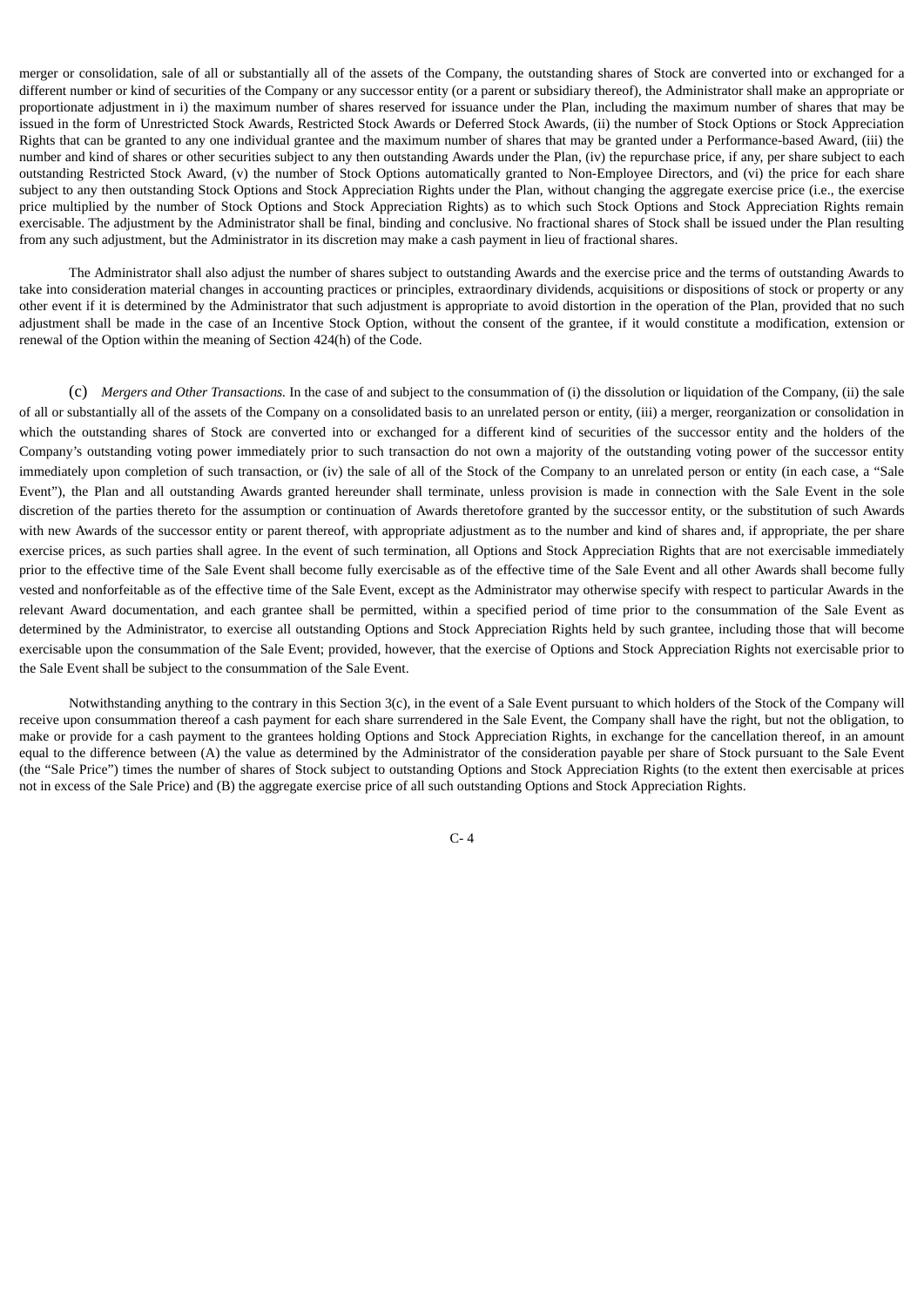merger or consolidation, sale of all or substantially all of the assets of the Company, the outstanding shares of Stock are converted into or exchanged for a different number or kind of securities of the Company or any successor entity (or a parent or subsidiary thereof), the Administrator shall make an appropriate or proportionate adjustment in i) the maximum number of shares reserved for issuance under the Plan, including the maximum number of shares that may be issued in the form of Unrestricted Stock Awards, Restricted Stock Awards or Deferred Stock Awards, (ii) the number of Stock Options or Stock Appreciation Rights that can be granted to any one individual grantee and the maximum number of shares that may be granted under a Performance-based Award, (iii) the number and kind of shares or other securities subject to any then outstanding Awards under the Plan, (iv) the repurchase price, if any, per share subject to each outstanding Restricted Stock Award, (v) the number of Stock Options automatically granted to Non-Employee Directors, and (vi) the price for each share subject to any then outstanding Stock Options and Stock Appreciation Rights under the Plan, without changing the aggregate exercise price (i.e., the exercise price multiplied by the number of Stock Options and Stock Appreciation Rights) as to which such Stock Options and Stock Appreciation Rights remain exercisable. The adjustment by the Administrator shall be final, binding and conclusive. No fractional shares of Stock shall be issued under the Plan resulting from any such adjustment, but the Administrator in its discretion may make a cash payment in lieu of fractional shares.

The Administrator shall also adjust the number of shares subject to outstanding Awards and the exercise price and the terms of outstanding Awards to take into consideration material changes in accounting practices or principles, extraordinary dividends, acquisitions or dispositions of stock or property or any other event if it is determined by the Administrator that such adjustment is appropriate to avoid distortion in the operation of the Plan, provided that no such adjustment shall be made in the case of an Incentive Stock Option, without the consent of the grantee, if it would constitute a modification, extension or renewal of the Option within the meaning of Section 424(h) of the Code.

(c) *Mergers and Other Transactions.* In the case of and subject to the consummation of (i) the dissolution or liquidation of the Company, (ii) the sale of all or substantially all of the assets of the Company on a consolidated basis to an unrelated person or entity, (iii) a merger, reorganization or consolidation in which the outstanding shares of Stock are converted into or exchanged for a different kind of securities of the successor entity and the holders of the Company's outstanding voting power immediately prior to such transaction do not own a majority of the outstanding voting power of the successor entity immediately upon completion of such transaction, or (iv) the sale of all of the Stock of the Company to an unrelated person or entity (in each case, a "Sale Event"), the Plan and all outstanding Awards granted hereunder shall terminate, unless provision is made in connection with the Sale Event in the sole discretion of the parties thereto for the assumption or continuation of Awards theretofore granted by the successor entity, or the substitution of such Awards with new Awards of the successor entity or parent thereof, with appropriate adjustment as to the number and kind of shares and, if appropriate, the per share exercise prices, as such parties shall agree. In the event of such termination, all Options and Stock Appreciation Rights that are not exercisable immediately prior to the effective time of the Sale Event shall become fully exercisable as of the effective time of the Sale Event and all other Awards shall become fully vested and nonforfeitable as of the effective time of the Sale Event, except as the Administrator may otherwise specify with respect to particular Awards in the relevant Award documentation, and each grantee shall be permitted, within a specified period of time prior to the consummation of the Sale Event as determined by the Administrator, to exercise all outstanding Options and Stock Appreciation Rights held by such grantee, including those that will become exercisable upon the consummation of the Sale Event; provided, however, that the exercise of Options and Stock Appreciation Rights not exercisable prior to the Sale Event shall be subject to the consummation of the Sale Event.

Notwithstanding anything to the contrary in this Section 3(c), in the event of a Sale Event pursuant to which holders of the Stock of the Company will receive upon consummation thereof a cash payment for each share surrendered in the Sale Event, the Company shall have the right, but not the obligation, to make or provide for a cash payment to the grantees holding Options and Stock Appreciation Rights, in exchange for the cancellation thereof, in an amount equal to the difference between (A) the value as determined by the Administrator of the consideration payable per share of Stock pursuant to the Sale Event (the "Sale Price") times the number of shares of Stock subject to outstanding Options and Stock Appreciation Rights (to the extent then exercisable at prices not in excess of the Sale Price) and (B) the aggregate exercise price of all such outstanding Options and Stock Appreciation Rights.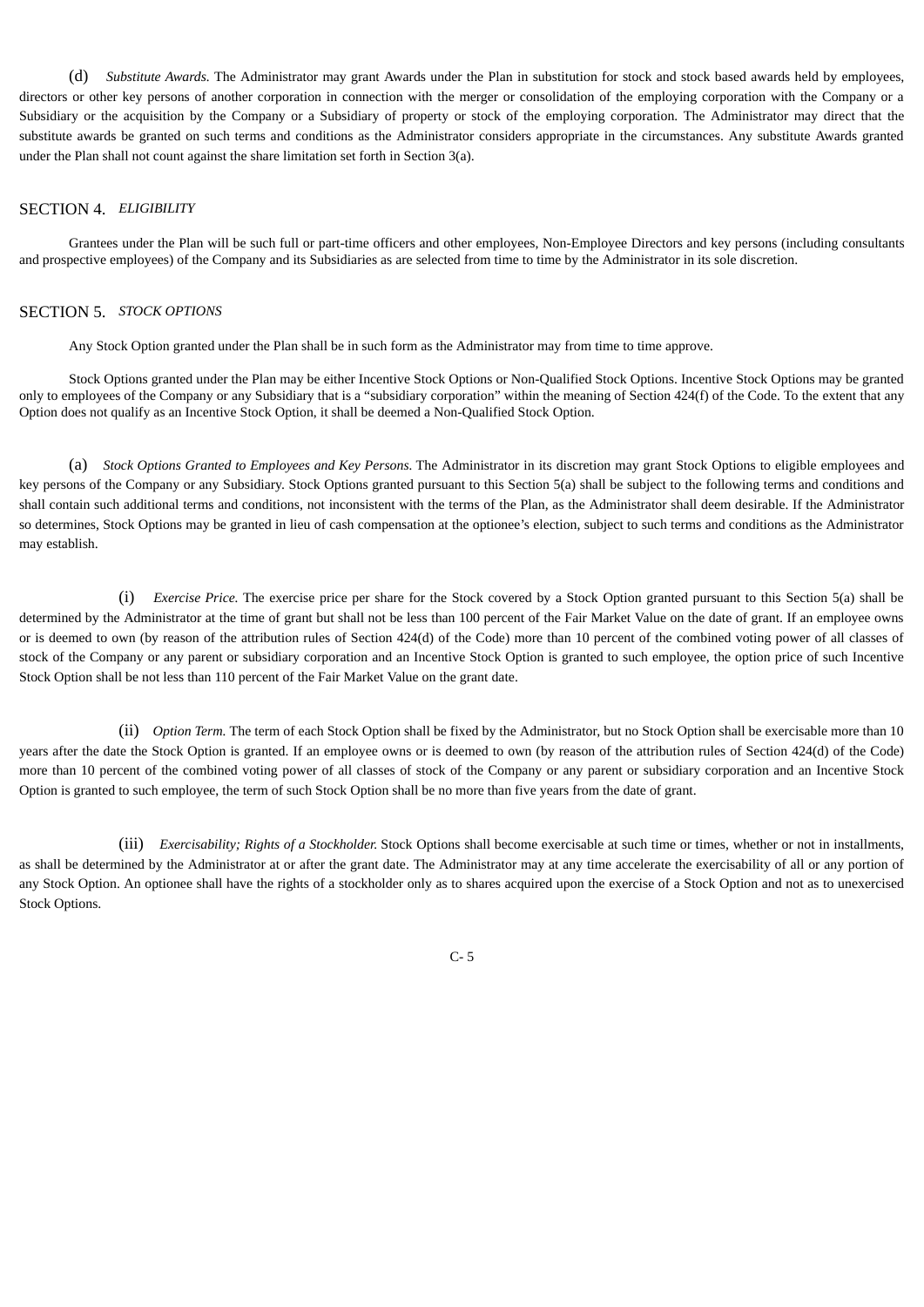(d) *Substitute Awards.* The Administrator may grant Awards under the Plan in substitution for stock and stock based awards held by employees, directors or other key persons of another corporation in connection with the merger or consolidation of the employing corporation with the Company or a Subsidiary or the acquisition by the Company or a Subsidiary of property or stock of the employing corporation. The Administrator may direct that the substitute awards be granted on such terms and conditions as the Administrator considers appropriate in the circumstances. Any substitute Awards granted under the Plan shall not count against the share limitation set forth in Section 3(a).

#### SECTION 4. *ELIGIBILITY*

Grantees under the Plan will be such full or part-time officers and other employees, Non-Employee Directors and key persons (including consultants and prospective employees) of the Company and its Subsidiaries as are selected from time to time by the Administrator in its sole discretion.

# SECTION 5. *STOCK OPTIONS*

Any Stock Option granted under the Plan shall be in such form as the Administrator may from time to time approve.

Stock Options granted under the Plan may be either Incentive Stock Options or Non-Qualified Stock Options. Incentive Stock Options may be granted only to employees of the Company or any Subsidiary that is a "subsidiary corporation" within the meaning of Section 424(f) of the Code. To the extent that any Option does not qualify as an Incentive Stock Option, it shall be deemed a Non-Qualified Stock Option.

(a) *Stock Options Granted to Employees and Key Persons.* The Administrator in its discretion may grant Stock Options to eligible employees and key persons of the Company or any Subsidiary. Stock Options granted pursuant to this Section 5(a) shall be subject to the following terms and conditions and shall contain such additional terms and conditions, not inconsistent with the terms of the Plan, as the Administrator shall deem desirable. If the Administrator so determines, Stock Options may be granted in lieu of cash compensation at the optionee's election, subject to such terms and conditions as the Administrator may establish.

(i) *Exercise Price.* The exercise price per share for the Stock covered by a Stock Option granted pursuant to this Section 5(a) shall be determined by the Administrator at the time of grant but shall not be less than 100 percent of the Fair Market Value on the date of grant. If an employee owns or is deemed to own (by reason of the attribution rules of Section 424(d) of the Code) more than 10 percent of the combined voting power of all classes of stock of the Company or any parent or subsidiary corporation and an Incentive Stock Option is granted to such employee, the option price of such Incentive Stock Option shall be not less than 110 percent of the Fair Market Value on the grant date.

(ii) *Option Term.* The term of each Stock Option shall be fixed by the Administrator, but no Stock Option shall be exercisable more than 10 years after the date the Stock Option is granted. If an employee owns or is deemed to own (by reason of the attribution rules of Section 424(d) of the Code) more than 10 percent of the combined voting power of all classes of stock of the Company or any parent or subsidiary corporation and an Incentive Stock Option is granted to such employee, the term of such Stock Option shall be no more than five years from the date of grant.

(iii) *Exercisability; Rights of a Stockholder.* Stock Options shall become exercisable at such time or times, whether or not in installments, as shall be determined by the Administrator at or after the grant date. The Administrator may at any time accelerate the exercisability of all or any portion of any Stock Option. An optionee shall have the rights of a stockholder only as to shares acquired upon the exercise of a Stock Option and not as to unexercised Stock Options.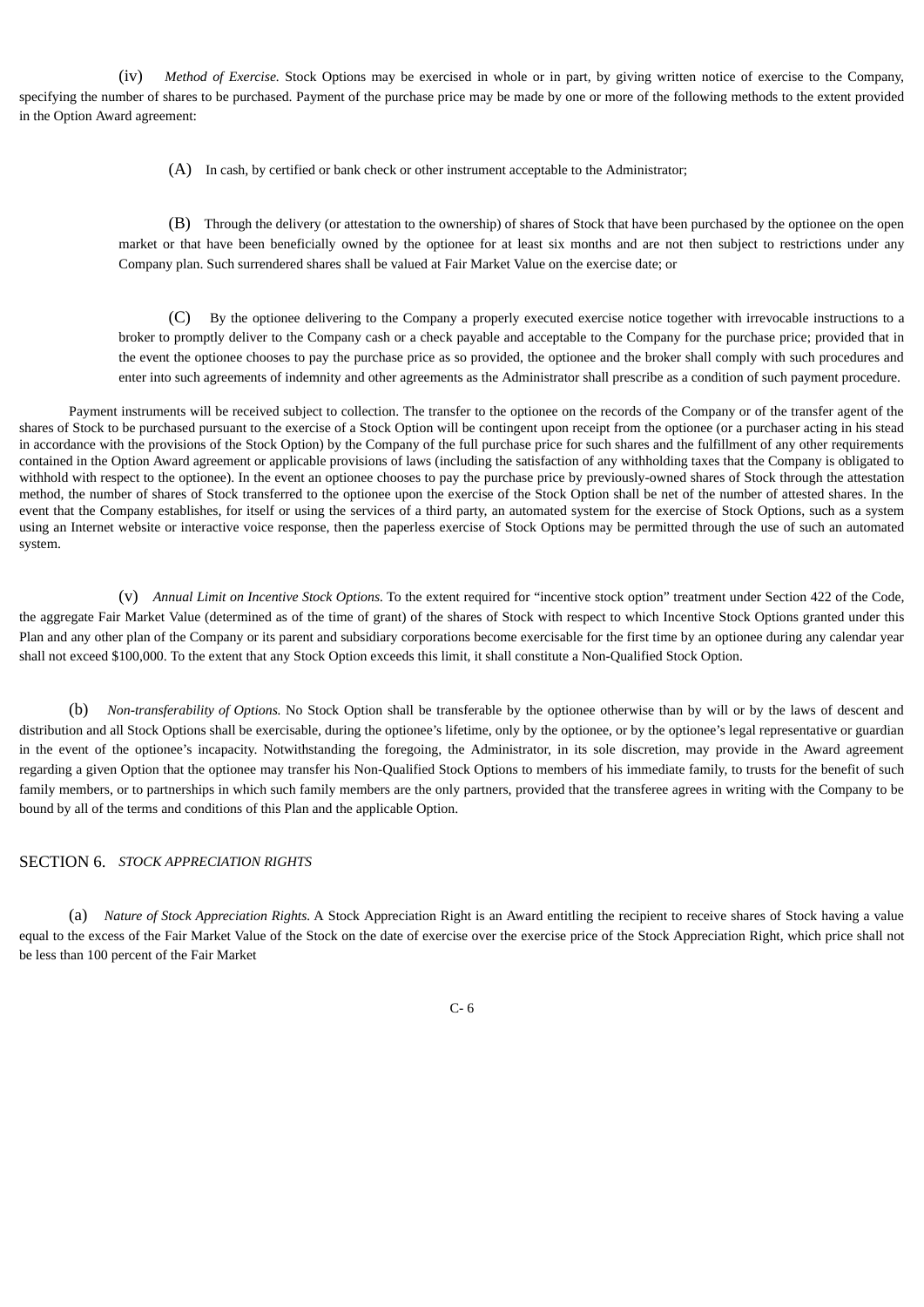(iv) *Method of Exercise.* Stock Options may be exercised in whole or in part, by giving written notice of exercise to the Company, specifying the number of shares to be purchased. Payment of the purchase price may be made by one or more of the following methods to the extent provided in the Option Award agreement:

(A) In cash, by certified or bank check or other instrument acceptable to the Administrator;

(B) Through the delivery (or attestation to the ownership) of shares of Stock that have been purchased by the optionee on the open market or that have been beneficially owned by the optionee for at least six months and are not then subject to restrictions under any Company plan. Such surrendered shares shall be valued at Fair Market Value on the exercise date; or

(C) By the optionee delivering to the Company a properly executed exercise notice together with irrevocable instructions to a broker to promptly deliver to the Company cash or a check payable and acceptable to the Company for the purchase price; provided that in the event the optionee chooses to pay the purchase price as so provided, the optionee and the broker shall comply with such procedures and enter into such agreements of indemnity and other agreements as the Administrator shall prescribe as a condition of such payment procedure.

Payment instruments will be received subject to collection. The transfer to the optionee on the records of the Company or of the transfer agent of the shares of Stock to be purchased pursuant to the exercise of a Stock Option will be contingent upon receipt from the optionee (or a purchaser acting in his stead in accordance with the provisions of the Stock Option) by the Company of the full purchase price for such shares and the fulfillment of any other requirements contained in the Option Award agreement or applicable provisions of laws (including the satisfaction of any withholding taxes that the Company is obligated to withhold with respect to the optionee). In the event an optionee chooses to pay the purchase price by previously-owned shares of Stock through the attestation method, the number of shares of Stock transferred to the optionee upon the exercise of the Stock Option shall be net of the number of attested shares. In the event that the Company establishes, for itself or using the services of a third party, an automated system for the exercise of Stock Options, such as a system using an Internet website or interactive voice response, then the paperless exercise of Stock Options may be permitted through the use of such an automated system.

(v) *Annual Limit on Incentive Stock Options.* To the extent required for "incentive stock option" treatment under Section 422 of the Code, the aggregate Fair Market Value (determined as of the time of grant) of the shares of Stock with respect to which Incentive Stock Options granted under this Plan and any other plan of the Company or its parent and subsidiary corporations become exercisable for the first time by an optionee during any calendar year shall not exceed \$100,000. To the extent that any Stock Option exceeds this limit, it shall constitute a Non-Qualified Stock Option.

(b) *Non-transferability of Options.* No Stock Option shall be transferable by the optionee otherwise than by will or by the laws of descent and distribution and all Stock Options shall be exercisable, during the optionee's lifetime, only by the optionee, or by the optionee's legal representative or guardian in the event of the optionee's incapacity. Notwithstanding the foregoing, the Administrator, in its sole discretion, may provide in the Award agreement regarding a given Option that the optionee may transfer his Non-Qualified Stock Options to members of his immediate family, to trusts for the benefit of such family members, or to partnerships in which such family members are the only partners, provided that the transferee agrees in writing with the Company to be bound by all of the terms and conditions of this Plan and the applicable Option.

# SECTION 6. *STOCK APPRECIATION RIGHTS*

(a) *Nature of Stock Appreciation Rights.* A Stock Appreciation Right is an Award entitling the recipient to receive shares of Stock having a value equal to the excess of the Fair Market Value of the Stock on the date of exercise over the exercise price of the Stock Appreciation Right, which price shall not be less than 100 percent of the Fair Market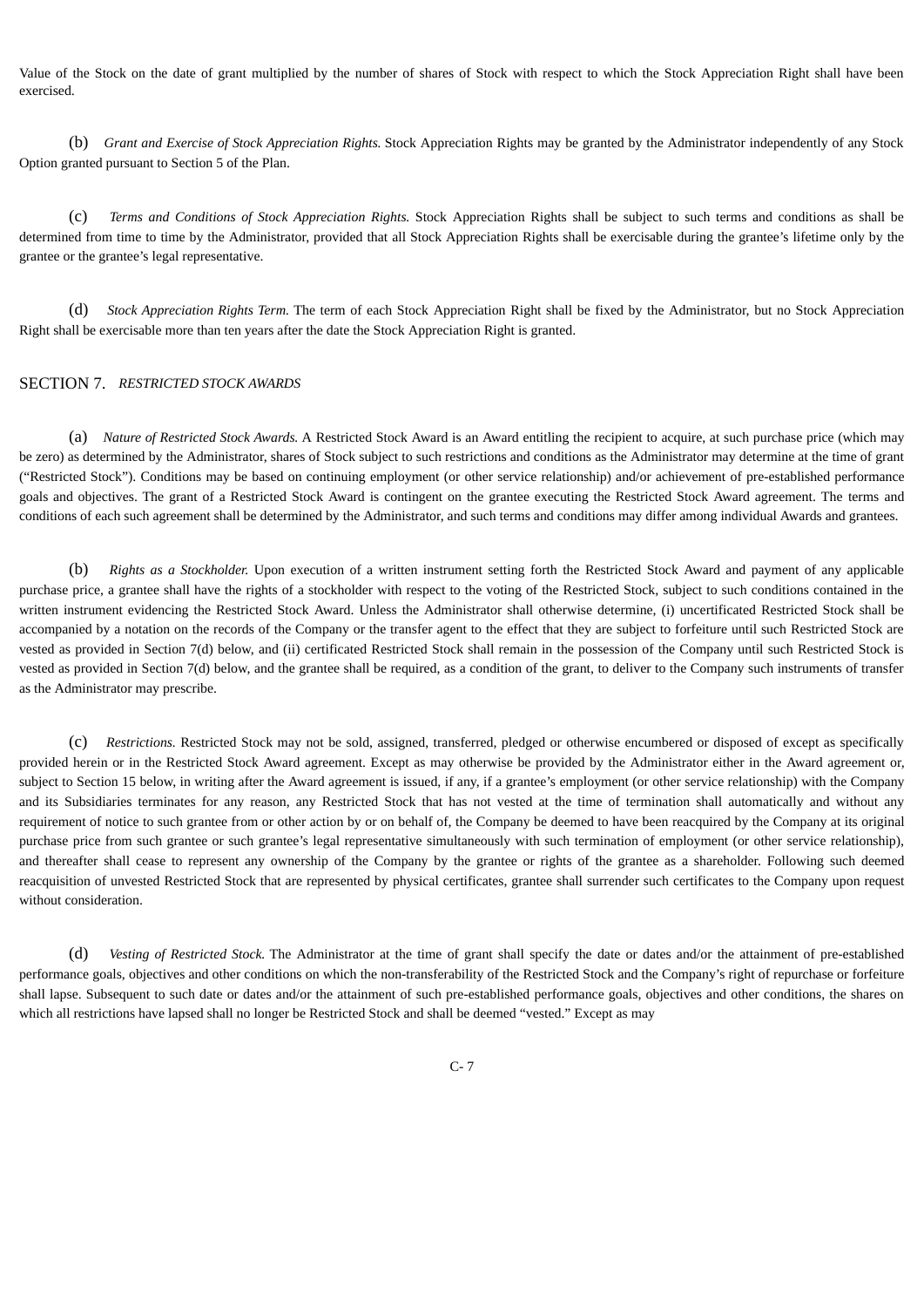Value of the Stock on the date of grant multiplied by the number of shares of Stock with respect to which the Stock Appreciation Right shall have been exercised.

(b) *Grant and Exercise of Stock Appreciation Rights.* Stock Appreciation Rights may be granted by the Administrator independently of any Stock Option granted pursuant to Section 5 of the Plan.

(c) *Terms and Conditions of Stock Appreciation Rights.* Stock Appreciation Rights shall be subject to such terms and conditions as shall be determined from time to time by the Administrator, provided that all Stock Appreciation Rights shall be exercisable during the grantee's lifetime only by the grantee or the grantee's legal representative.

(d) *Stock Appreciation Rights Term.* The term of each Stock Appreciation Right shall be fixed by the Administrator, but no Stock Appreciation Right shall be exercisable more than ten years after the date the Stock Appreciation Right is granted.

# SECTION 7. *RESTRICTED STOCK AWARDS*

(a) *Nature of Restricted Stock Awards.* A Restricted Stock Award is an Award entitling the recipient to acquire, at such purchase price (which may be zero) as determined by the Administrator, shares of Stock subject to such restrictions and conditions as the Administrator may determine at the time of grant ("Restricted Stock"). Conditions may be based on continuing employment (or other service relationship) and/or achievement of pre-established performance goals and objectives. The grant of a Restricted Stock Award is contingent on the grantee executing the Restricted Stock Award agreement. The terms and conditions of each such agreement shall be determined by the Administrator, and such terms and conditions may differ among individual Awards and grantees.

(b) *Rights as a Stockholder.* Upon execution of a written instrument setting forth the Restricted Stock Award and payment of any applicable purchase price, a grantee shall have the rights of a stockholder with respect to the voting of the Restricted Stock, subject to such conditions contained in the written instrument evidencing the Restricted Stock Award. Unless the Administrator shall otherwise determine, (i) uncertificated Restricted Stock shall be accompanied by a notation on the records of the Company or the transfer agent to the effect that they are subject to forfeiture until such Restricted Stock are vested as provided in Section 7(d) below, and (ii) certificated Restricted Stock shall remain in the possession of the Company until such Restricted Stock is vested as provided in Section 7(d) below, and the grantee shall be required, as a condition of the grant, to deliver to the Company such instruments of transfer as the Administrator may prescribe.

(c) *Restrictions.* Restricted Stock may not be sold, assigned, transferred, pledged or otherwise encumbered or disposed of except as specifically provided herein or in the Restricted Stock Award agreement. Except as may otherwise be provided by the Administrator either in the Award agreement or, subject to Section 15 below, in writing after the Award agreement is issued, if any, if a grantee's employment (or other service relationship) with the Company and its Subsidiaries terminates for any reason, any Restricted Stock that has not vested at the time of termination shall automatically and without any requirement of notice to such grantee from or other action by or on behalf of, the Company be deemed to have been reacquired by the Company at its original purchase price from such grantee or such grantee's legal representative simultaneously with such termination of employment (or other service relationship), and thereafter shall cease to represent any ownership of the Company by the grantee or rights of the grantee as a shareholder. Following such deemed reacquisition of unvested Restricted Stock that are represented by physical certificates, grantee shall surrender such certificates to the Company upon request without consideration.

(d) *Vesting of Restricted Stock.* The Administrator at the time of grant shall specify the date or dates and/or the attainment of pre-established performance goals, objectives and other conditions on which the non-transferability of the Restricted Stock and the Company's right of repurchase or forfeiture shall lapse. Subsequent to such date or dates and/or the attainment of such pre-established performance goals, objectives and other conditions, the shares on which all restrictions have lapsed shall no longer be Restricted Stock and shall be deemed "vested." Except as may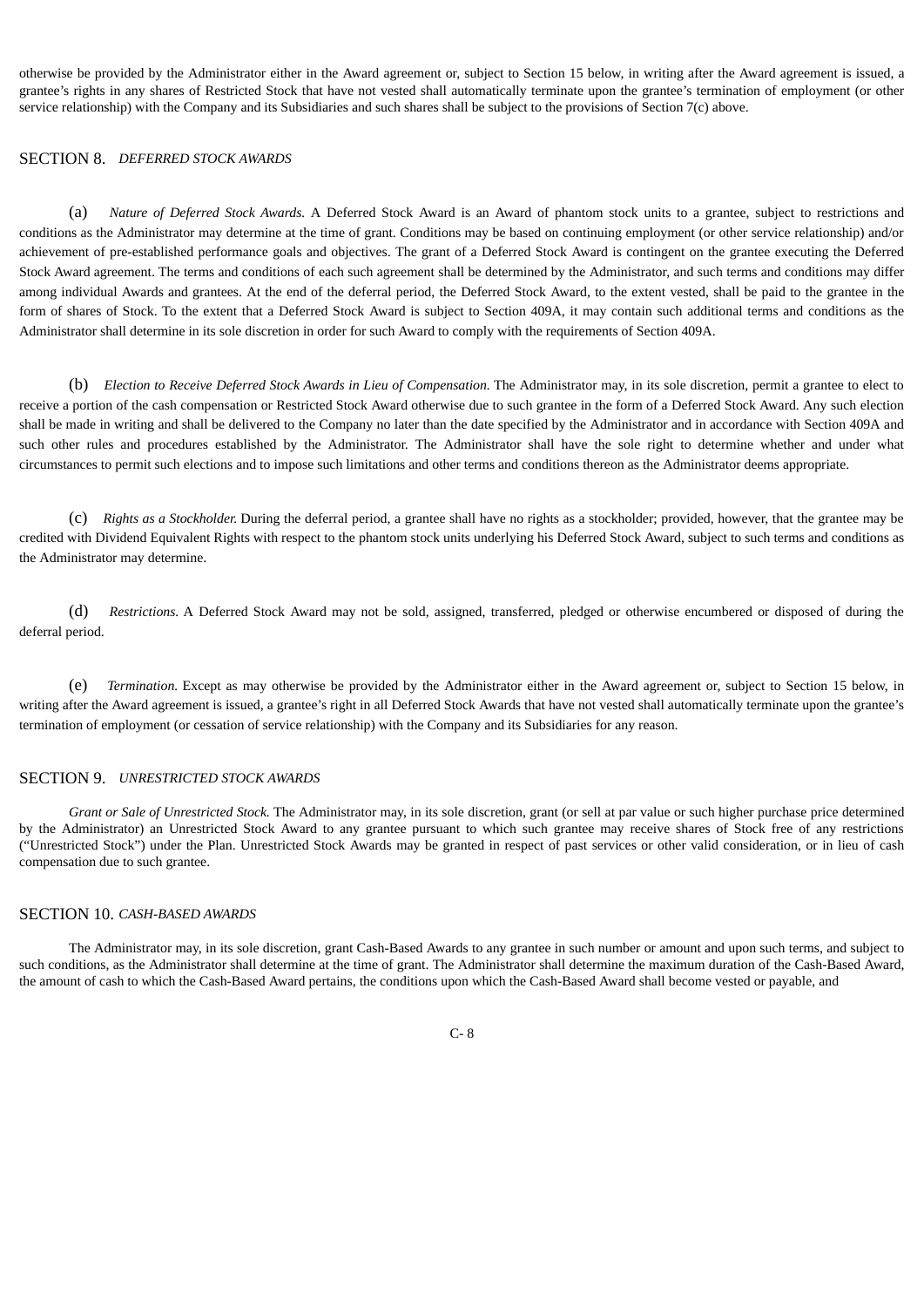otherwise be provided by the Administrator either in the Award agreement or, subject to Section 15 below, in writing after the Award agreement is issued, a grantee's rights in any shares of Restricted Stock that have not vested shall automatically terminate upon the grantee's termination of employment (or other service relationship) with the Company and its Subsidiaries and such shares shall be subject to the provisions of Section 7(c) above.

# SECTION 8. *DEFERRED STOCK AWARDS*

(a) *Nature of Deferred Stock Awards.* A Deferred Stock Award is an Award of phantom stock units to a grantee, subject to restrictions and conditions as the Administrator may determine at the time of grant. Conditions may be based on continuing employment (or other service relationship) and/or achievement of pre-established performance goals and objectives. The grant of a Deferred Stock Award is contingent on the grantee executing the Deferred Stock Award agreement. The terms and conditions of each such agreement shall be determined by the Administrator, and such terms and conditions may differ among individual Awards and grantees. At the end of the deferral period, the Deferred Stock Award, to the extent vested, shall be paid to the grantee in the form of shares of Stock. To the extent that a Deferred Stock Award is subject to Section 409A, it may contain such additional terms and conditions as the Administrator shall determine in its sole discretion in order for such Award to comply with the requirements of Section 409A.

(b) *Election to Receive Deferred Stock Awards in Lieu of Compensation.* The Administrator may, in its sole discretion, permit a grantee to elect to receive a portion of the cash compensation or Restricted Stock Award otherwise due to such grantee in the form of a Deferred Stock Award. Any such election shall be made in writing and shall be delivered to the Company no later than the date specified by the Administrator and in accordance with Section 409A and such other rules and procedures established by the Administrator. The Administrator shall have the sole right to determine whether and under what circumstances to permit such elections and to impose such limitations and other terms and conditions thereon as the Administrator deems appropriate.

(c) *Rights as a Stockholder.* During the deferral period, a grantee shall have no rights as a stockholder; provided, however, that the grantee may be credited with Dividend Equivalent Rights with respect to the phantom stock units underlying his Deferred Stock Award, subject to such terms and conditions as the Administrator may determine.

(d) *Restrictions.* A Deferred Stock Award may not be sold, assigned, transferred, pledged or otherwise encumbered or disposed of during the deferral period.

(e) *Termination.* Except as may otherwise be provided by the Administrator either in the Award agreement or, subject to Section 15 below, in writing after the Award agreement is issued, a grantee's right in all Deferred Stock Awards that have not vested shall automatically terminate upon the grantee's termination of employment (or cessation of service relationship) with the Company and its Subsidiaries for any reason.

#### SECTION 9. *UNRESTRICTED STOCK AWARDS*

*Grant or Sale of Unrestricted Stock.* The Administrator may, in its sole discretion, grant (or sell at par value or such higher purchase price determined by the Administrator) an Unrestricted Stock Award to any grantee pursuant to which such grantee may receive shares of Stock free of any restrictions ("Unrestricted Stock") under the Plan. Unrestricted Stock Awards may be granted in respect of past services or other valid consideration, or in lieu of cash compensation due to such grantee.

#### SECTION 10. *CASH-BASED AWARDS*

The Administrator may, in its sole discretion, grant Cash-Based Awards to any grantee in such number or amount and upon such terms, and subject to such conditions, as the Administrator shall determine at the time of grant. The Administrator shall determine the maximum duration of the Cash-Based Award, the amount of cash to which the Cash-Based Award pertains, the conditions upon which the Cash-Based Award shall become vested or payable, and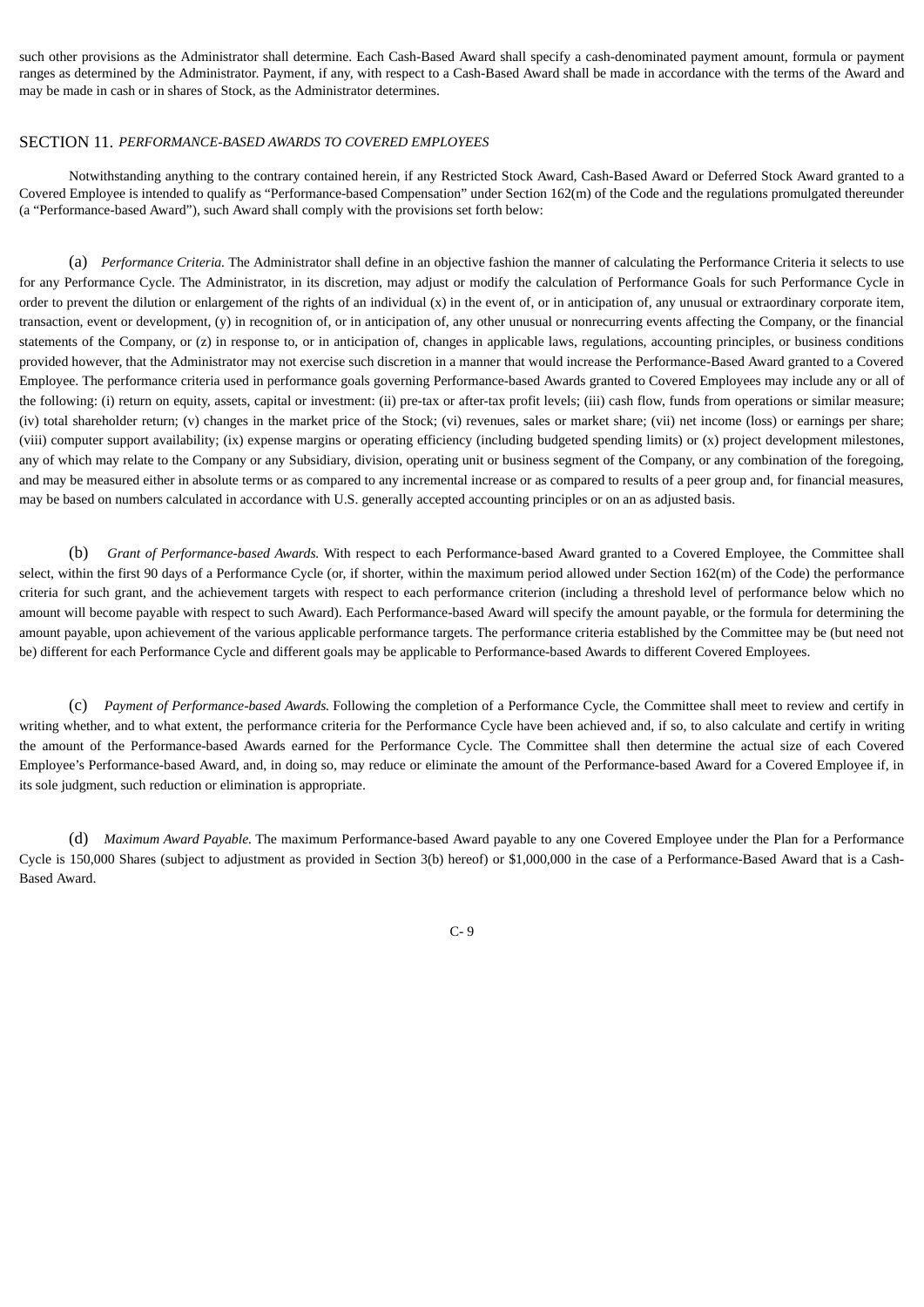such other provisions as the Administrator shall determine. Each Cash-Based Award shall specify a cash-denominated payment amount, formula or payment ranges as determined by the Administrator. Payment, if any, with respect to a Cash-Based Award shall be made in accordance with the terms of the Award and may be made in cash or in shares of Stock, as the Administrator determines.

#### SECTION 11. *PERFORMANCE-BASED AWARDS TO COVERED EMPLOYEES*

Notwithstanding anything to the contrary contained herein, if any Restricted Stock Award, Cash-Based Award or Deferred Stock Award granted to a Covered Employee is intended to qualify as "Performance-based Compensation" under Section 162(m) of the Code and the regulations promulgated thereunder (a "Performance-based Award"), such Award shall comply with the provisions set forth below:

(a) *Performance Criteria.* The Administrator shall define in an objective fashion the manner of calculating the Performance Criteria it selects to use for any Performance Cycle. The Administrator, in its discretion, may adjust or modify the calculation of Performance Goals for such Performance Cycle in order to prevent the dilution or enlargement of the rights of an individual (x) in the event of, or in anticipation of, any unusual or extraordinary corporate item, transaction, event or development, (y) in recognition of, or in anticipation of, any other unusual or nonrecurring events affecting the Company, or the financial statements of the Company, or (z) in response to, or in anticipation of, changes in applicable laws, regulations, accounting principles, or business conditions provided however, that the Administrator may not exercise such discretion in a manner that would increase the Performance-Based Award granted to a Covered Employee. The performance criteria used in performance goals governing Performance-based Awards granted to Covered Employees may include any or all of the following: (i) return on equity, assets, capital or investment: (ii) pre-tax or after-tax profit levels; (iii) cash flow, funds from operations or similar measure; (iv) total shareholder return; (v) changes in the market price of the Stock; (vi) revenues, sales or market share; (vii) net income (loss) or earnings per share; (viii) computer support availability; (ix) expense margins or operating efficiency (including budgeted spending limits) or (x) project development milestones, any of which may relate to the Company or any Subsidiary, division, operating unit or business segment of the Company, or any combination of the foregoing, and may be measured either in absolute terms or as compared to any incremental increase or as compared to results of a peer group and, for financial measures, may be based on numbers calculated in accordance with U.S. generally accepted accounting principles or on an as adjusted basis.

(b) *Grant of Performance-based Awards.* With respect to each Performance-based Award granted to a Covered Employee, the Committee shall select, within the first 90 days of a Performance Cycle (or, if shorter, within the maximum period allowed under Section 162(m) of the Code) the performance criteria for such grant, and the achievement targets with respect to each performance criterion (including a threshold level of performance below which no amount will become payable with respect to such Award). Each Performance-based Award will specify the amount payable, or the formula for determining the amount payable, upon achievement of the various applicable performance targets. The performance criteria established by the Committee may be (but need not be) different for each Performance Cycle and different goals may be applicable to Performance-based Awards to different Covered Employees.

(c) *Payment of Performance-based Awards.* Following the completion of a Performance Cycle, the Committee shall meet to review and certify in writing whether, and to what extent, the performance criteria for the Performance Cycle have been achieved and, if so, to also calculate and certify in writing the amount of the Performance-based Awards earned for the Performance Cycle. The Committee shall then determine the actual size of each Covered Employee's Performance-based Award, and, in doing so, may reduce or eliminate the amount of the Performance-based Award for a Covered Employee if, in its sole judgment, such reduction or elimination is appropriate.

(d) *Maximum Award Payable.* The maximum Performance-based Award payable to any one Covered Employee under the Plan for a Performance Cycle is 150,000 Shares (subject to adjustment as provided in Section 3(b) hereof) or \$1,000,000 in the case of a Performance-Based Award that is a Cash-Based Award.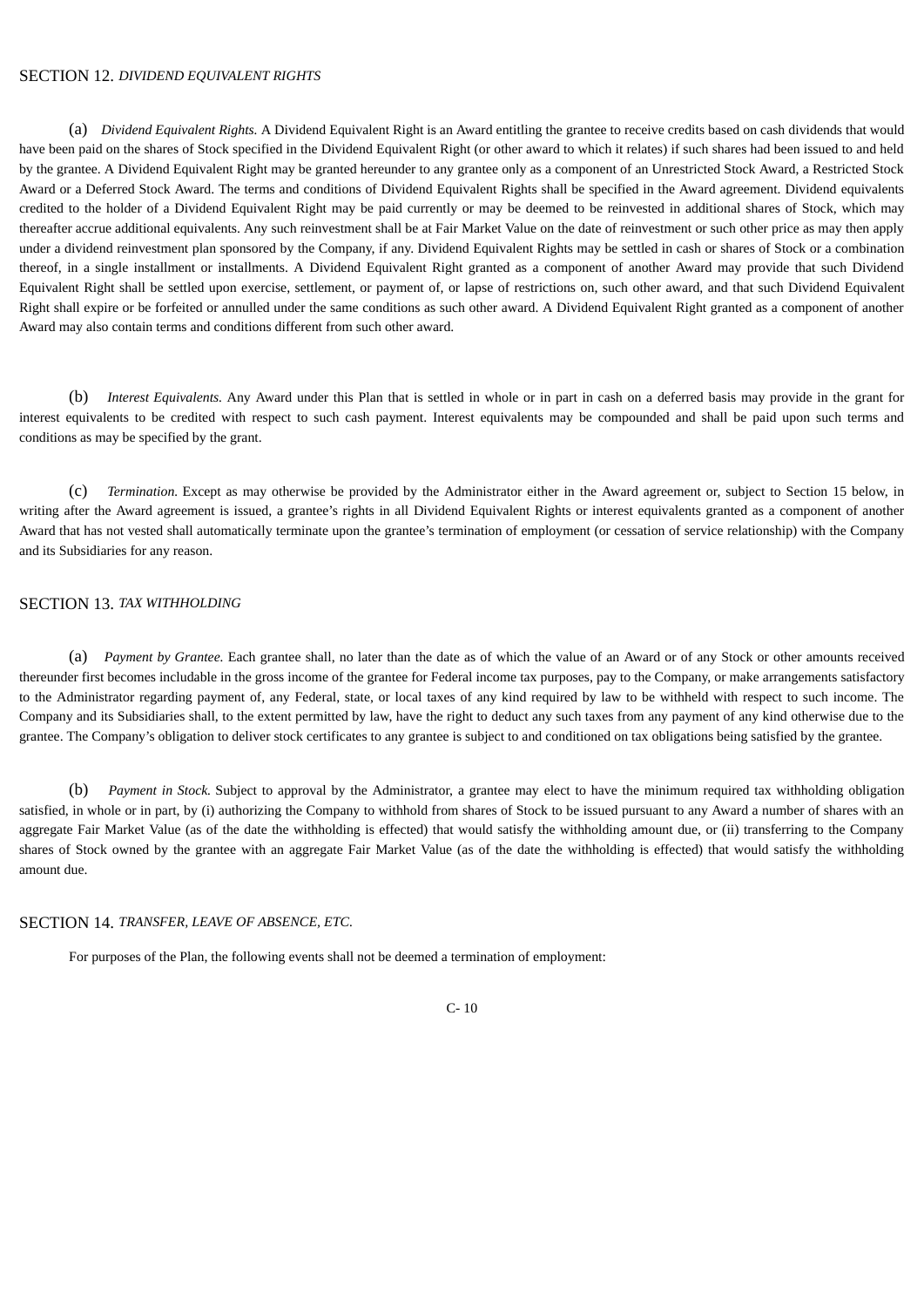# SECTION 12. *DIVIDEND EQUIVALENT RIGHTS*

(a) *Dividend Equivalent Rights.* A Dividend Equivalent Right is an Award entitling the grantee to receive credits based on cash dividends that would have been paid on the shares of Stock specified in the Dividend Equivalent Right (or other award to which it relates) if such shares had been issued to and held by the grantee. A Dividend Equivalent Right may be granted hereunder to any grantee only as a component of an Unrestricted Stock Award, a Restricted Stock Award or a Deferred Stock Award. The terms and conditions of Dividend Equivalent Rights shall be specified in the Award agreement. Dividend equivalents credited to the holder of a Dividend Equivalent Right may be paid currently or may be deemed to be reinvested in additional shares of Stock, which may thereafter accrue additional equivalents. Any such reinvestment shall be at Fair Market Value on the date of reinvestment or such other price as may then apply under a dividend reinvestment plan sponsored by the Company, if any. Dividend Equivalent Rights may be settled in cash or shares of Stock or a combination thereof, in a single installment or installments. A Dividend Equivalent Right granted as a component of another Award may provide that such Dividend Equivalent Right shall be settled upon exercise, settlement, or payment of, or lapse of restrictions on, such other award, and that such Dividend Equivalent Right shall expire or be forfeited or annulled under the same conditions as such other award. A Dividend Equivalent Right granted as a component of another Award may also contain terms and conditions different from such other award.

(b) *Interest Equivalents.* Any Award under this Plan that is settled in whole or in part in cash on a deferred basis may provide in the grant for interest equivalents to be credited with respect to such cash payment. Interest equivalents may be compounded and shall be paid upon such terms and conditions as may be specified by the grant.

(c) *Termination.* Except as may otherwise be provided by the Administrator either in the Award agreement or, subject to Section 15 below, in writing after the Award agreement is issued, a grantee's rights in all Dividend Equivalent Rights or interest equivalents granted as a component of another Award that has not vested shall automatically terminate upon the grantee's termination of employment (or cessation of service relationship) with the Company and its Subsidiaries for any reason.

# SECTION 13. *TAX WITHHOLDING*

(a) *Payment by Grantee.* Each grantee shall, no later than the date as of which the value of an Award or of any Stock or other amounts received thereunder first becomes includable in the gross income of the grantee for Federal income tax purposes, pay to the Company, or make arrangements satisfactory to the Administrator regarding payment of, any Federal, state, or local taxes of any kind required by law to be withheld with respect to such income. The Company and its Subsidiaries shall, to the extent permitted by law, have the right to deduct any such taxes from any payment of any kind otherwise due to the grantee. The Company's obligation to deliver stock certificates to any grantee is subject to and conditioned on tax obligations being satisfied by the grantee.

(b) *Payment in Stock.* Subject to approval by the Administrator, a grantee may elect to have the minimum required tax withholding obligation satisfied, in whole or in part, by (i) authorizing the Company to withhold from shares of Stock to be issued pursuant to any Award a number of shares with an aggregate Fair Market Value (as of the date the withholding is effected) that would satisfy the withholding amount due, or (ii) transferring to the Company shares of Stock owned by the grantee with an aggregate Fair Market Value (as of the date the withholding is effected) that would satisfy the withholding amount due.

#### SECTION 14. *TRANSFER, LEAVE OF ABSENCE, ETC.*

For purposes of the Plan, the following events shall not be deemed a termination of employment: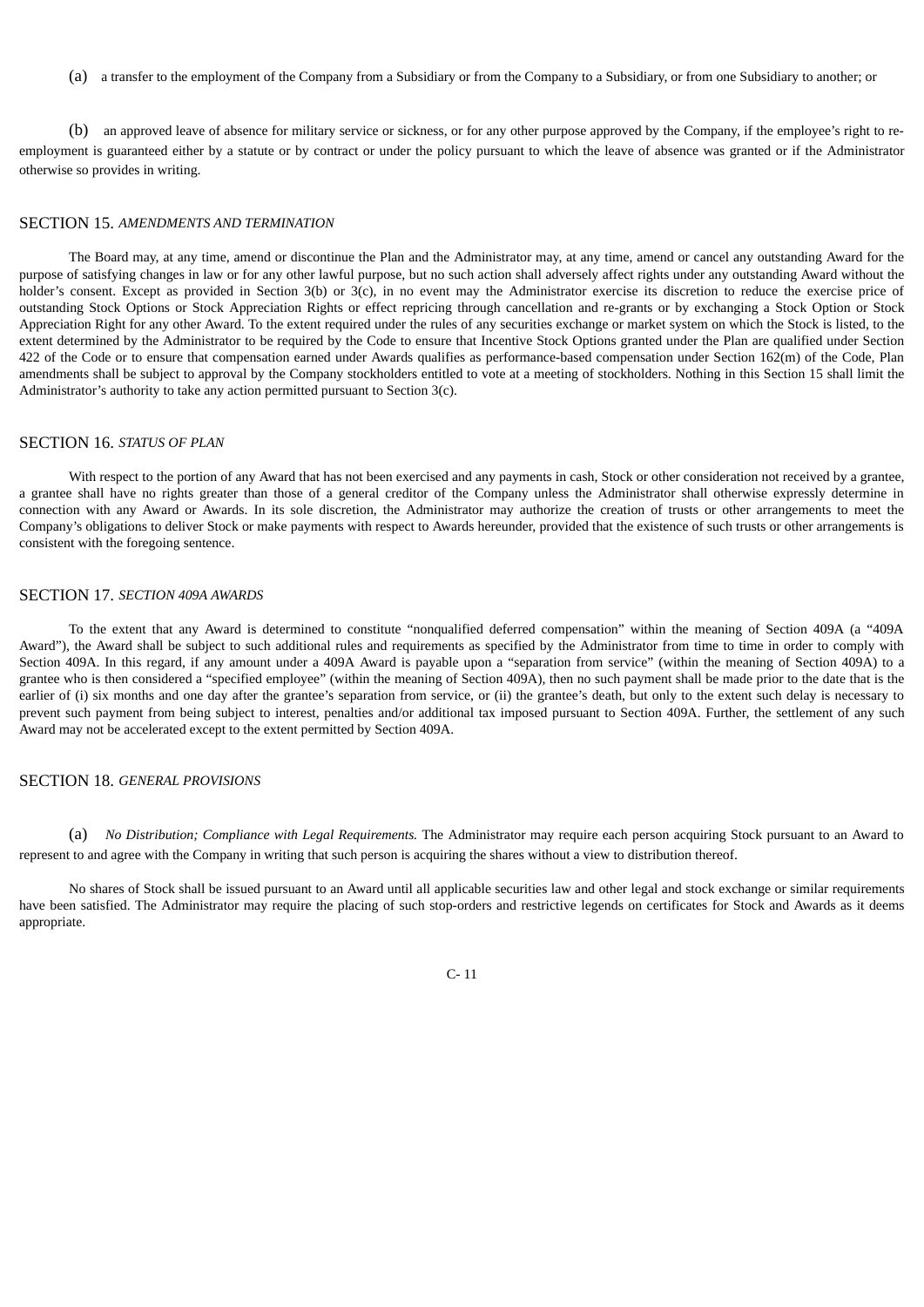(a) a transfer to the employment of the Company from a Subsidiary or from the Company to a Subsidiary, or from one Subsidiary to another; or

(b) an approved leave of absence for military service or sickness, or for any other purpose approved by the Company, if the employee's right to reemployment is guaranteed either by a statute or by contract or under the policy pursuant to which the leave of absence was granted or if the Administrator otherwise so provides in writing.

#### SECTION 15. *AMENDMENTS AND TERMINATION*

The Board may, at any time, amend or discontinue the Plan and the Administrator may, at any time, amend or cancel any outstanding Award for the purpose of satisfying changes in law or for any other lawful purpose, but no such action shall adversely affect rights under any outstanding Award without the holder's consent. Except as provided in Section 3(b) or 3(c), in no event may the Administrator exercise its discretion to reduce the exercise price of outstanding Stock Options or Stock Appreciation Rights or effect repricing through cancellation and re-grants or by exchanging a Stock Option or Stock Appreciation Right for any other Award. To the extent required under the rules of any securities exchange or market system on which the Stock is listed, to the extent determined by the Administrator to be required by the Code to ensure that Incentive Stock Options granted under the Plan are qualified under Section 422 of the Code or to ensure that compensation earned under Awards qualifies as performance-based compensation under Section 162(m) of the Code, Plan amendments shall be subject to approval by the Company stockholders entitled to vote at a meeting of stockholders. Nothing in this Section 15 shall limit the Administrator's authority to take any action permitted pursuant to Section 3(c).

#### SECTION 16. *STATUS OF PLAN*

With respect to the portion of any Award that has not been exercised and any payments in cash, Stock or other consideration not received by a grantee, a grantee shall have no rights greater than those of a general creditor of the Company unless the Administrator shall otherwise expressly determine in connection with any Award or Awards. In its sole discretion, the Administrator may authorize the creation of trusts or other arrangements to meet the Company's obligations to deliver Stock or make payments with respect to Awards hereunder, provided that the existence of such trusts or other arrangements is consistent with the foregoing sentence.

#### SECTION 17. *SECTION 409A AWARDS*

To the extent that any Award is determined to constitute "nonqualified deferred compensation" within the meaning of Section 409A (a "409A Award"), the Award shall be subject to such additional rules and requirements as specified by the Administrator from time to time in order to comply with Section 409A. In this regard, if any amount under a 409A Award is payable upon a "separation from service" (within the meaning of Section 409A) to a grantee who is then considered a "specified employee" (within the meaning of Section 409A), then no such payment shall be made prior to the date that is the earlier of (i) six months and one day after the grantee's separation from service, or (ii) the grantee's death, but only to the extent such delay is necessary to prevent such payment from being subject to interest, penalties and/or additional tax imposed pursuant to Section 409A. Further, the settlement of any such Award may not be accelerated except to the extent permitted by Section 409A.

#### SECTION 18. *GENERAL PROVISIONS*

(a) *No Distribution; Compliance with Legal Requirements.* The Administrator may require each person acquiring Stock pursuant to an Award to represent to and agree with the Company in writing that such person is acquiring the shares without a view to distribution thereof.

No shares of Stock shall be issued pursuant to an Award until all applicable securities law and other legal and stock exchange or similar requirements have been satisfied. The Administrator may require the placing of such stop-orders and restrictive legends on certificates for Stock and Awards as it deems appropriate.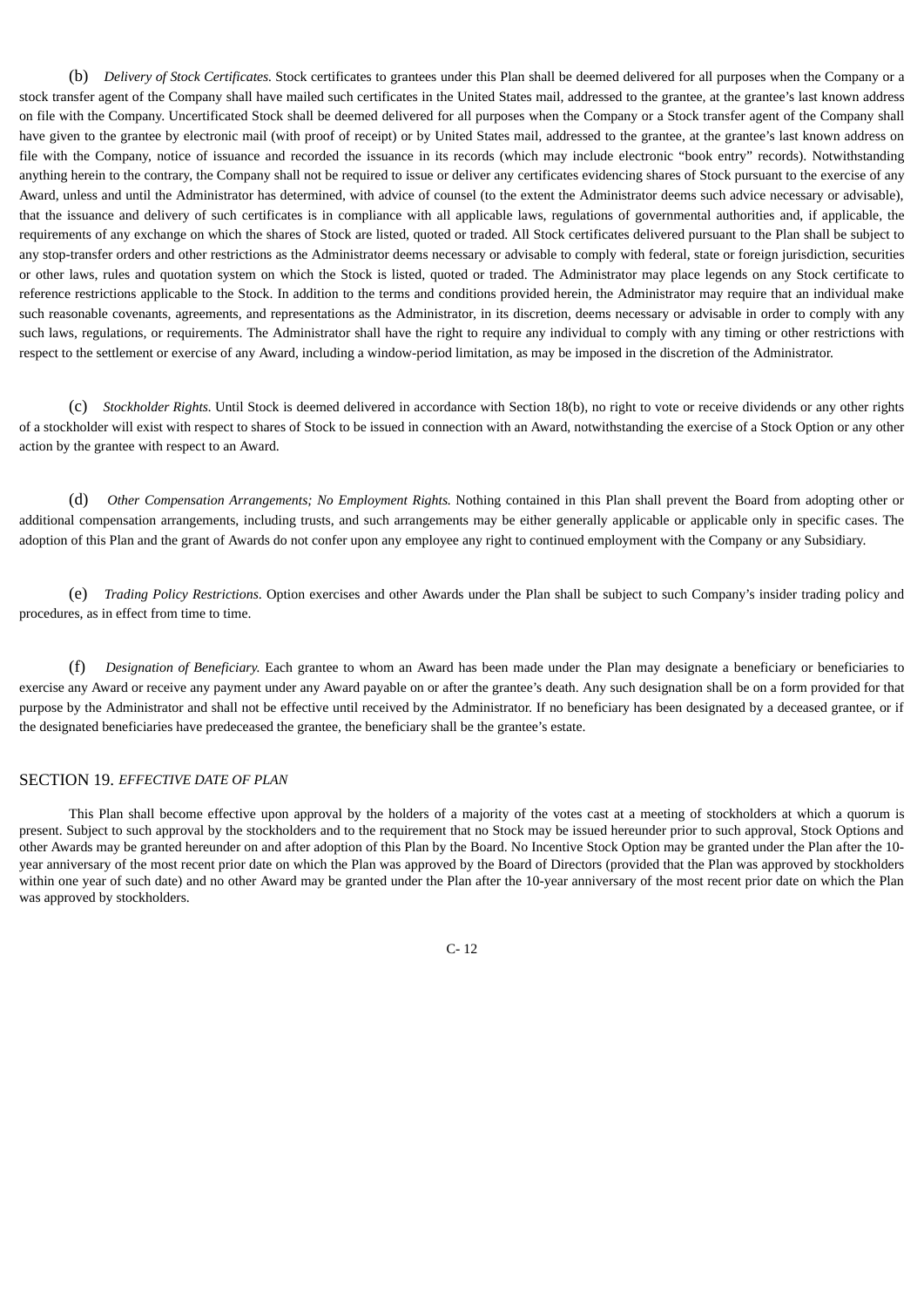(b) *Delivery of Stock Certificates.* Stock certificates to grantees under this Plan shall be deemed delivered for all purposes when the Company or a stock transfer agent of the Company shall have mailed such certificates in the United States mail, addressed to the grantee, at the grantee's last known address on file with the Company. Uncertificated Stock shall be deemed delivered for all purposes when the Company or a Stock transfer agent of the Company shall have given to the grantee by electronic mail (with proof of receipt) or by United States mail, addressed to the grantee, at the grantee's last known address on file with the Company, notice of issuance and recorded the issuance in its records (which may include electronic "book entry" records). Notwithstanding anything herein to the contrary, the Company shall not be required to issue or deliver any certificates evidencing shares of Stock pursuant to the exercise of any Award, unless and until the Administrator has determined, with advice of counsel (to the extent the Administrator deems such advice necessary or advisable), that the issuance and delivery of such certificates is in compliance with all applicable laws, regulations of governmental authorities and, if applicable, the requirements of any exchange on which the shares of Stock are listed, quoted or traded. All Stock certificates delivered pursuant to the Plan shall be subject to any stop-transfer orders and other restrictions as the Administrator deems necessary or advisable to comply with federal, state or foreign jurisdiction, securities or other laws, rules and quotation system on which the Stock is listed, quoted or traded. The Administrator may place legends on any Stock certificate to reference restrictions applicable to the Stock. In addition to the terms and conditions provided herein, the Administrator may require that an individual make such reasonable covenants, agreements, and representations as the Administrator, in its discretion, deems necessary or advisable in order to comply with any such laws, regulations, or requirements. The Administrator shall have the right to require any individual to comply with any timing or other restrictions with respect to the settlement or exercise of any Award, including a window-period limitation, as may be imposed in the discretion of the Administrator.

(c) *Stockholder Rights.* Until Stock is deemed delivered in accordance with Section 18(b), no right to vote or receive dividends or any other rights of a stockholder will exist with respect to shares of Stock to be issued in connection with an Award, notwithstanding the exercise of a Stock Option or any other action by the grantee with respect to an Award.

(d) *Other Compensation Arrangements; No Employment Rights.* Nothing contained in this Plan shall prevent the Board from adopting other or additional compensation arrangements, including trusts, and such arrangements may be either generally applicable or applicable only in specific cases. The adoption of this Plan and the grant of Awards do not confer upon any employee any right to continued employment with the Company or any Subsidiary.

(e) *Trading Policy Restrictions*. Option exercises and other Awards under the Plan shall be subject to such Company's insider trading policy and procedures, as in effect from time to time.

(f) *Designation of Beneficiary.* Each grantee to whom an Award has been made under the Plan may designate a beneficiary or beneficiaries to exercise any Award or receive any payment under any Award payable on or after the grantee's death. Any such designation shall be on a form provided for that purpose by the Administrator and shall not be effective until received by the Administrator. If no beneficiary has been designated by a deceased grantee, or if the designated beneficiaries have predeceased the grantee, the beneficiary shall be the grantee's estate.

# SECTION 19. *EFFECTIVE DATE OF PLAN*

This Plan shall become effective upon approval by the holders of a majority of the votes cast at a meeting of stockholders at which a quorum is present. Subject to such approval by the stockholders and to the requirement that no Stock may be issued hereunder prior to such approval, Stock Options and other Awards may be granted hereunder on and after adoption of this Plan by the Board. No Incentive Stock Option may be granted under the Plan after the 10 year anniversary of the most recent prior date on which the Plan was approved by the Board of Directors (provided that the Plan was approved by stockholders within one year of such date) and no other Award may be granted under the Plan after the 10-year anniversary of the most recent prior date on which the Plan was approved by stockholders.